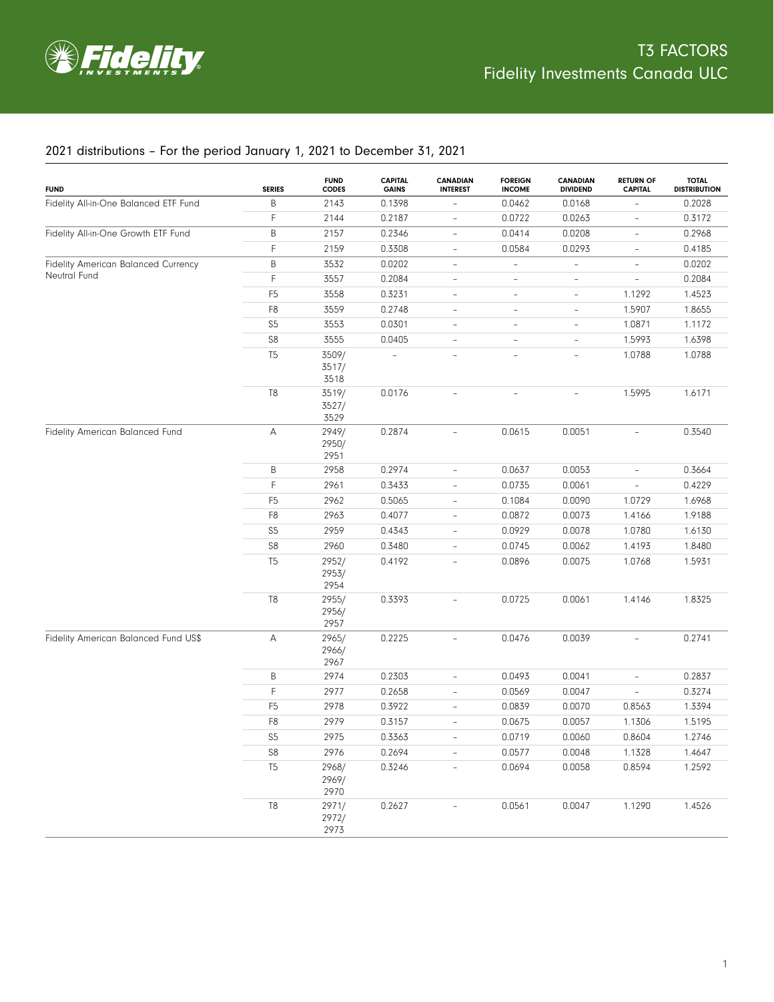

## 2021 distributions – For the period January 1, 2021 to December 31, 2021

| <b>FUND</b>                           | <b>SERIES</b>  | <b>FUND</b><br><b>CODES</b> | <b>CAPITAL</b><br><b>GAINS</b> | <b>CANADIAN</b><br><b>INTEREST</b> | <b>FOREIGN</b><br><b>INCOME</b> | <b>CANADIAN</b><br><b>DIVIDEND</b> | <b>RETURN OF</b><br><b>CAPITAL</b> | <b>TOTAL</b><br><b>DISTRIBUTION</b> |
|---------------------------------------|----------------|-----------------------------|--------------------------------|------------------------------------|---------------------------------|------------------------------------|------------------------------------|-------------------------------------|
| Fidelity All-in-One Balanced ETF Fund | В              | 2143                        | 0.1398                         |                                    | 0.0462                          | 0.0168                             |                                    | 0.2028                              |
|                                       | F.             | 2144                        | 0.2187                         | $\overline{a}$                     | 0.0722                          | 0.0263                             | ÷                                  | 0.3172                              |
| Fidelity All-in-One Growth ETF Fund   | В              | 2157                        | 0.2346                         | $\overline{\phantom{a}}$           | 0.0414                          | 0.0208                             | $\overline{\phantom{0}}$           | 0.2968                              |
|                                       | F.             | 2159                        | 0.3308                         | $\overline{\phantom{a}}$           | 0.0584                          | 0.0293                             | $\overline{\phantom{0}}$           | 0.4185                              |
| Fidelity American Balanced Currency   | В              | 3532                        | 0.0202                         | $\overline{\phantom{a}}$           |                                 |                                    | $\overline{\phantom{0}}$           | 0.0202                              |
| Neutral Fund                          | F.             | 3557                        | 0.2084                         | $\overline{a}$                     | $\overline{\phantom{0}}$        | $\overline{a}$                     | $\overline{\phantom{0}}$           | 0.2084                              |
|                                       | F <sub>5</sub> | 3558                        | 0.3231                         | $\qquad \qquad -$                  | $\overline{a}$                  | $\qquad \qquad -$                  | 1.1292                             | 1.4523                              |
|                                       | F8             | 3559                        | 0.2748                         | $\frac{1}{2}$                      | $\overline{a}$                  | $\qquad \qquad -$                  | 1.5907                             | 1.8655                              |
|                                       | S <sub>5</sub> | 3553                        | 0.0301                         | $\qquad \qquad -$                  | $\overline{\phantom{0}}$        | $\qquad \qquad -$                  | 1.0871                             | 1.1172                              |
|                                       | $\mathbb{S}8$  | 3555                        | 0.0405                         | $\overline{\phantom{0}}$           | $\qquad \qquad -$               | ÷,                                 | 1.5993                             | 1.6398                              |
|                                       | T <sub>5</sub> | 3509/<br>3517/<br>3518      |                                |                                    | $\overline{\phantom{a}}$        | $\overline{\phantom{a}}$           | 1.0788                             | 1.0788                              |
|                                       | T8             | 3519/<br>3527/<br>3529      | 0.0176                         |                                    |                                 |                                    | 1.5995                             | 1.6171                              |
| Fidelity American Balanced Fund       | А              | 2949/<br>2950/<br>2951      | 0.2874                         | $\overline{\phantom{a}}$           | 0.0615                          | 0.0051                             | ÷.                                 | 0.3540                              |
|                                       | B              | 2958                        | 0.2974                         | $\overline{\phantom{a}}$           | 0.0637                          | 0.0053                             | $\overline{\phantom{0}}$           | 0.3664                              |
|                                       | F              | 2961                        | 0.3433                         | $\overline{\phantom{a}}$           | 0.0735                          | 0.0061                             | $\overline{\phantom{a}}$           | 0.4229                              |
|                                       | F <sub>5</sub> | 2962                        | 0.5065                         | $\overline{\phantom{a}}$           | 0.1084                          | 0.0090                             | 1.0729                             | 1.6968                              |
|                                       | F8             | 2963                        | 0.4077                         | $\overline{\phantom{a}}$           | 0.0872                          | 0.0073                             | 1.4166                             | 1.9188                              |
|                                       | S <sub>5</sub> | 2959                        | 0.4343                         | $\overline{\phantom{a}}$           | 0.0929                          | 0.0078                             | 1.0780                             | 1.6130                              |
|                                       | $\mathbb{S}8$  | 2960                        | 0.3480                         | $\qquad \qquad -$                  | 0.0745                          | 0.0062                             | 1.4193                             | 1.8480                              |
|                                       | T <sub>5</sub> | 2952/<br>2953/<br>2954      | 0.4192                         | $\overline{\phantom{a}}$           | 0.0896                          | 0.0075                             | 1.0768                             | 1.5931                              |
|                                       | T8             | 2955/<br>2956/<br>2957      | 0.3393                         |                                    | 0.0725                          | 0.0061                             | 1.4146                             | 1.8325                              |
| Fidelity American Balanced Fund US\$  | Α              | 2965/<br>2966/<br>2967      | 0.2225                         |                                    | 0.0476                          | 0.0039                             |                                    | 0.2741                              |
|                                       | Β              | 2974                        | 0.2303                         | ÷,                                 | 0.0493                          | 0.0041                             |                                    | 0.2837                              |
|                                       | F              | 2977                        | 0.2658                         | $\equiv$                           | 0.0569                          | 0.0047                             |                                    | 0.3274                              |
|                                       | F <sub>5</sub> | 2978                        | 0.3922                         | $\qquad \qquad -$                  | 0.0839                          | 0.0070                             | 0.8563                             | 1.3394                              |
|                                       | F8             | 2979                        | 0.3157                         | $\overline{\phantom{a}}$           | 0.0675                          | 0.0057                             | 1.1306                             | 1.5195                              |
|                                       | $S5\,$         | 2975                        | 0.3363                         |                                    | 0.0719                          | 0.0060                             | 0.8604                             | 1.2746                              |
|                                       | ${\sf S8}$     | 2976                        | 0.2694                         |                                    | 0.0577                          | 0.0048                             | 1.1328                             | 1.4647                              |
|                                       | T <sub>5</sub> | 2968/<br>2969/<br>2970      | 0.3246                         |                                    | 0.0694                          | 0.0058                             | 0.8594                             | 1.2592                              |
|                                       | $\mathsf{T}8$  | 2971/<br>2972/<br>2973      | 0.2627                         |                                    | 0.0561                          | 0.0047                             | 1.1290                             | 1.4526                              |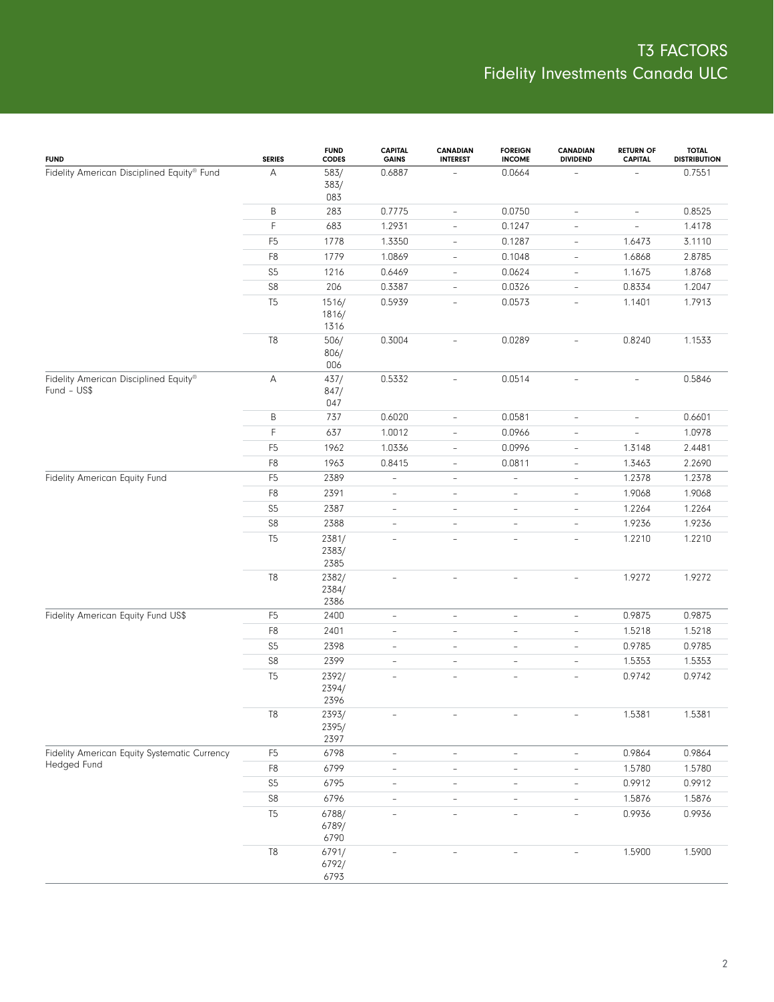| <b>FUND</b>                                  | <b>SERIES</b>  | <b>FUND</b><br><b>CODES</b> | <b>CAPITAL</b><br><b>GAINS</b> | <b>CANADIAN</b><br><b>INTEREST</b> | <b>FOREIGN</b><br><b>INCOME</b> | <b>CANADIAN</b><br><b>DIVIDEND</b> | <b>RETURN OF</b><br><b>CAPITAL</b> | <b>TOTAL</b><br><b>DISTRIBUTION</b> |
|----------------------------------------------|----------------|-----------------------------|--------------------------------|------------------------------------|---------------------------------|------------------------------------|------------------------------------|-------------------------------------|
| Fidelity American Disciplined Equity® Fund   | А              | 583/<br>383/<br>083         | 0.6887                         |                                    | 0.0664                          |                                    |                                    | 0.7551                              |
|                                              | Β              | 283                         | 0.7775                         | $\overline{\phantom{a}}$           | 0.0750                          | $\overline{\phantom{0}}$           | $\overline{\phantom{a}}$           | 0.8525                              |
|                                              | F              | 683                         | 1.2931                         | $\overline{\phantom{a}}$           | 0.1247                          | $\overline{\phantom{0}}$           | $\overline{\phantom{a}}$           | 1.4178                              |
|                                              | F <sub>5</sub> | 1778                        | 1.3350                         | $\overline{\phantom{a}}$           | 0.1287                          | $\overline{\phantom{0}}$           | 1.6473                             | 3.1110                              |
|                                              | F8             | 1779                        | 1.0869                         | $\overline{\phantom{a}}$           | 0.1048                          | $\overline{\phantom{0}}$           | 1.6868                             | 2.8785                              |
|                                              | $S5\,$         | 1216                        | 0.6469                         | $\overline{\phantom{a}}$           | 0.0624                          | $\overline{\phantom{0}}$           | 1.1675                             | 1.8768                              |
|                                              | ${\sf S8}$     | 206                         | 0.3387                         | $\overline{\phantom{a}}$           | 0.0326                          | $\overline{\phantom{0}}$           | 0.8334                             | 1.2047                              |
|                                              | T <sub>5</sub> | 1516/<br>1816/<br>1316      | 0.5939                         | L,                                 | 0.0573                          | $\overline{\phantom{0}}$           | 1.1401                             | 1.7913                              |
| Fidelity American Disciplined Equity®        | $\mathbb{T}8$  | 506/<br>806/<br>006         | 0.3004                         | $\overline{a}$                     | 0.0289                          | ÷,                                 | 0.8240                             | 1.1533                              |
| $Fund - US$$                                 | А              | 437/<br>847/<br>047         | 0.5332                         | $\overline{\phantom{a}}$           | 0.0514                          | $\overline{\phantom{a}}$           | $\overline{\phantom{a}}$           | 0.5846                              |
|                                              | B              | 737                         | 0.6020                         | $\overline{\phantom{0}}$           | 0.0581                          | $\overline{\phantom{0}}$           | $\overline{\phantom{a}}$           | 0.6601                              |
|                                              | F              | 637                         | 1.0012                         | $\overline{\phantom{0}}$           | 0.0966                          | $\overline{\phantom{0}}$           | $\equiv$                           | 1.0978                              |
|                                              | F <sub>5</sub> | 1962                        | 1.0336                         | $\overline{\phantom{0}}$           | 0.0996                          | $\overline{\phantom{0}}$           | 1.3148                             | 2.4481                              |
|                                              | F8             | 1963                        | 0.8415                         | $\frac{1}{2}$                      | 0.0811                          | $\overline{\phantom{0}}$           | 1.3463                             | 2.2690                              |
| Fidelity American Equity Fund                | F <sub>5</sub> | 2389                        | $\overline{\phantom{0}}$       | $\qquad \qquad -$                  | $\overline{\phantom{0}}$        | $\overline{\phantom{0}}$           | 1.2378                             | 1.2378                              |
|                                              | F8             | 2391                        | $\overline{\phantom{a}}$       | L,                                 | $\bar{ }$                       | $\overline{\phantom{0}}$           | 1.9068                             | 1.9068                              |
|                                              | S5             | 2387                        | $\qquad \qquad -$              | $\qquad \qquad -$                  | $\qquad \qquad -$               | $\overline{\phantom{0}}$           | 1.2264                             | 1.2264                              |
|                                              | ${\sf S8}$     | 2388                        | ÷,                             | $\bar{ }$                          | $\overline{\phantom{a}}$        | $\overline{\phantom{0}}$           | 1.9236                             | 1.9236                              |
|                                              | T <sub>5</sub> | 2381/<br>2383/<br>2385      | $\overline{a}$                 | $\overline{\phantom{0}}$           | $\overline{\phantom{a}}$        | $\overline{\phantom{0}}$           | 1.2210                             | 1.2210                              |
|                                              | $\mathbb{T}8$  | 2382/<br>2384/<br>2386      | L,                             | $\qquad \qquad -$                  | $\qquad \qquad -$               | $\overline{\phantom{0}}$           | 1.9272                             | 1.9272                              |
| Fidelity American Equity Fund US\$           | F <sub>5</sub> | 2400                        | $\overline{\phantom{a}}$       | $\qquad \qquad -$                  | ÷,                              | $\overline{\phantom{0}}$           | 0.9875                             | 0.9875                              |
|                                              | F8             | 2401                        | $\overline{\phantom{a}}$       | $\qquad \qquad -$                  | $\overline{\phantom{a}}$        | $\overline{\phantom{0}}$           | 1.5218                             | 1.5218                              |
|                                              | S5             | 2398                        | $\overline{\phantom{a}}$       | $\qquad \qquad -$                  | $\overline{\phantom{a}}$        | $\overline{\phantom{0}}$           | 0.9785                             | 0.9785                              |
|                                              | ${\sf S8}$     | 2399                        | $\overline{\phantom{a}}$       | $\qquad \qquad -$                  | $\overline{\phantom{a}}$        | $\overline{\phantom{0}}$           | 1.5353                             | 1.5353                              |
|                                              | T <sub>5</sub> | 2392/<br>2394/<br>2396      | $\overline{a}$                 | $\overline{\phantom{a}}$           | $\bar{ }$                       | $\overline{\phantom{0}}$           | 0.9742                             | 0.9742                              |
|                                              | $\mathbb{T}8$  | 2393/<br>2395/<br>2397      |                                |                                    |                                 |                                    | 1.5381                             | 1.5381                              |
| Fidelity American Equity Systematic Currency | F <sub>5</sub> | 6798                        | $\blacksquare$                 | $\overline{\phantom{a}}$           | $\overline{\phantom{a}}$        | $\overline{\phantom{a}}$           | 0.9864                             | 0.9864                              |
| Hedged Fund                                  | F8             | 6799                        | $\blacksquare$                 | $\qquad \qquad -$                  | $\blacksquare$                  | $\overline{\phantom{a}}$           | 1.5780                             | 1.5780                              |
|                                              | S <sub>5</sub> | 6795                        | $\qquad \qquad -$              | $\qquad \qquad -$                  | $\overline{\phantom{a}}$        | $\overline{\phantom{a}}$           | 0.9912                             | 0.9912                              |
|                                              | S8             | 6796                        | $\blacksquare$                 | $\qquad \qquad -$                  | $\overline{\phantom{a}}$        | $\overline{\phantom{a}}$           | 1.5876                             | 1.5876                              |
|                                              | T <sub>5</sub> | 6788/<br>6789/<br>6790      | ÷,                             | L,                                 | $\overline{\phantom{a}}$        | $\overline{\phantom{a}}$           | 0.9936                             | 0.9936                              |
|                                              | T8             | 6791/<br>6792/<br>6793      |                                |                                    |                                 |                                    | 1.5900                             | 1.5900                              |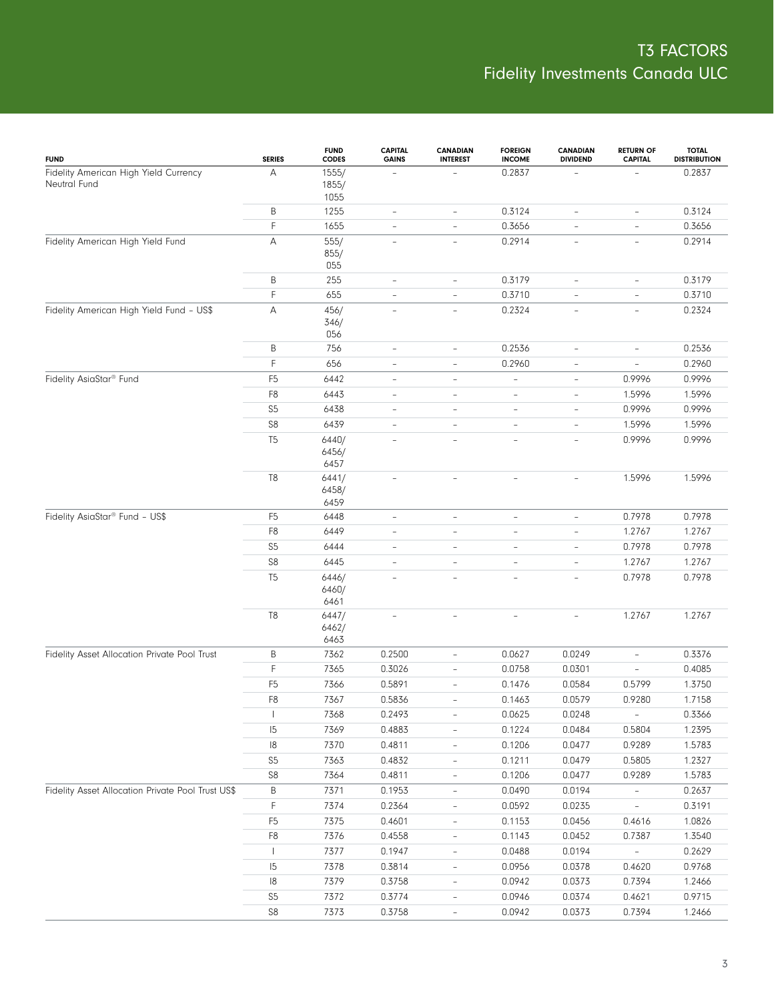| <b>FUND</b>                                           | <b>SERIES</b>  | <b>FUND</b><br><b>CODES</b> | <b>CAPITAL</b><br><b>GAINS</b> | <b>CANADIAN</b><br><b>INTEREST</b> | <b>FOREIGN</b><br><b>INCOME</b> | <b>CANADIAN</b><br><b>DIVIDEND</b> | <b>RETURN OF</b><br><b>CAPITAL</b> | <b>TOTAL</b><br><b>DISTRIBUTION</b> |
|-------------------------------------------------------|----------------|-----------------------------|--------------------------------|------------------------------------|---------------------------------|------------------------------------|------------------------------------|-------------------------------------|
| Fidelity American High Yield Currency<br>Neutral Fund | Α              | 1555/<br>1855/<br>1055      |                                |                                    | 0.2837                          |                                    |                                    | 0.2837                              |
|                                                       | Β              | 1255                        | $\overline{\phantom{a}}$       | $\overline{\phantom{a}}$           | 0.3124                          | $\overline{\phantom{a}}$           | $\overline{\phantom{a}}$           | 0.3124                              |
|                                                       | F              | 1655                        | $\overline{\phantom{a}}$       | $\overline{\phantom{a}}$           | 0.3656                          | $\qquad \qquad -$                  | $\qquad \qquad -$                  | 0.3656                              |
| Fidelity American High Yield Fund                     | Α              | 555/<br>855/<br>055         | $\sim$                         | $\overline{\phantom{a}}$           | 0.2914                          | $\overline{\phantom{a}}$           | $\overline{\phantom{a}}$           | 0.2914                              |
|                                                       | B              | 255                         | $\overline{\phantom{a}}$       | $\overline{\phantom{a}}$           | 0.3179                          | $\overline{\phantom{a}}$           | $\overline{\phantom{a}}$           | 0.3179                              |
|                                                       | F              | 655                         | $\overline{\phantom{a}}$       | $\overline{\phantom{a}}$           | 0.3710                          | $\overline{\phantom{a}}$           | $\overline{\phantom{a}}$           | 0.3710                              |
| Fidelity American High Yield Fund - US\$              | A              | 456/<br>346/<br>056         | $\overline{\phantom{a}}$       | $\overline{\phantom{a}}$           | 0.2324                          | $\qquad \qquad -$                  | $\overline{\phantom{a}}$           | 0.2324                              |
|                                                       | B              | 756                         | $\overline{\phantom{a}}$       | $\overline{a}$                     | 0.2536                          | ÷,                                 | $\qquad \qquad -$                  | 0.2536                              |
|                                                       | F              | 656                         | $\overline{\phantom{a}}$       | $\overline{\phantom{a}}$           | 0.2960                          | $\overline{\phantom{0}}$           | $\overline{\phantom{a}}$           | 0.2960                              |
| Fidelity AsiaStar <sup>®</sup> Fund                   | F <sub>5</sub> | 6442                        | $\overline{\phantom{a}}$       | $\overline{a}$                     | $\overline{a}$                  | $\qquad \qquad -$                  | 0.9996                             | 0.9996                              |
|                                                       | F <sub>8</sub> | 6443                        | $\overline{\phantom{a}}$       | $\overline{a}$                     | $\overline{\phantom{a}}$        | $\overline{a}$                     | 1.5996                             | 1.5996                              |
|                                                       | S <sub>5</sub> | 6438                        | $\overline{\phantom{a}}$       | $\overline{a}$                     | $\overline{\phantom{a}}$        | ÷,                                 | 0.9996                             | 0.9996                              |
|                                                       | S8             | 6439                        | $\overline{\phantom{a}}$       | $\overline{a}$                     | $\overline{\phantom{a}}$        | $\overline{\phantom{0}}$           | 1.5996                             | 1.5996                              |
|                                                       | T <sub>5</sub> | 6440/<br>6456/<br>6457      | ÷,                             | $\overline{\phantom{a}}$           | $\overline{\phantom{a}}$        | $\overline{\phantom{0}}$           | 0.9996                             | 0.9996                              |
|                                                       | $\mathbb{T}8$  | 6441/<br>6458/<br>6459      | ÷,                             | $\overline{a}$                     | $\bar{ }$                       | ÷                                  | 1.5996                             | 1.5996                              |
| Fidelity AsiaStar® Fund - US\$                        | F <sub>5</sub> | 6448                        | $\overline{\phantom{a}}$       | $\overline{a}$                     | $\overline{\phantom{a}}$        | $\overline{\phantom{a}}$           | 0.7978                             | 0.7978                              |
|                                                       | F <sub>8</sub> | 6449                        | ÷,                             | L,                                 | $\qquad \qquad -$               | ÷,                                 | 1.2767                             | 1.2767                              |
|                                                       | S <sub>5</sub> | 6444                        | $\overline{\phantom{a}}$       | L,                                 | $\bar{ }$                       | $\overline{\phantom{0}}$           | 0.7978                             | 0.7978                              |
|                                                       | S8             | 6445                        | ÷,                             | L,                                 | $\bar{ }$                       | $\overline{\phantom{0}}$           | 1.2767                             | 1.2767                              |
|                                                       | T <sub>5</sub> | 6446/<br>6460/<br>6461      | $\overline{a}$                 | $\overline{a}$                     | $\bar{ }$                       | $\overline{a}$                     | 0.7978                             | 0.7978                              |
|                                                       | $\mathbb{T}8$  | 6447/<br>6462/<br>6463      |                                |                                    | ÷,                              | $\equiv$                           | 1.2767                             | 1.2767                              |
| Fidelity Asset Allocation Private Pool Trust          | B              | 7362                        | 0.2500                         | $\overline{a}$                     | 0.0627                          | 0.0249                             | $\overline{\phantom{0}}$           | 0.3376                              |
|                                                       | F              | 7365                        | 0.3026                         | $\overline{\phantom{a}}$           | 0.0758                          | 0.0301                             | $\overline{\phantom{a}}$           | 0.4085                              |
|                                                       | F <sub>5</sub> | 7366                        | 0.5891                         | $\overline{\phantom{a}}$           | 0.1476                          | 0.0584                             | 0.5799                             | 1.3750                              |
|                                                       | F <sub>8</sub> | 7367                        | 0.5836                         | $\overline{\phantom{0}}$           | 0.1463                          | 0.0579                             | 0.9280                             | 1.7158                              |
|                                                       | $\mathbf{I}$   | 7368                        | 0.2493                         |                                    | 0.0625                          | 0.0248                             | $\equiv$                           | 0.3366                              |
|                                                       | 5              | 7369                        | 0.4883                         |                                    | 0.1224                          | 0.0484                             | 0.5804                             | 1.2395                              |
|                                                       | 8              | 7370                        | 0.4811                         | $\overline{\phantom{0}}$           | 0.1206                          | 0.0477                             | 0.9289                             | 1.5783                              |
|                                                       | S <sub>5</sub> | 7363                        | 0.4832                         | $\overline{\phantom{0}}$           | 0.1211                          | 0.0479                             | 0.5805                             | 1.2327                              |
|                                                       | S8             | 7364                        | 0.4811                         | $\overline{\phantom{0}}$           | 0.1206                          | 0.0477                             | 0.9289                             | 1.5783                              |
| Fidelity Asset Allocation Private Pool Trust US\$     | B              | 7371                        | 0.1953                         | $\overline{\phantom{0}}$           | 0.0490                          | 0.0194                             | $\overline{\phantom{a}}$           | 0.2637                              |
|                                                       | F              | 7374                        | 0.2364                         | $\overline{\phantom{0}}$           | 0.0592                          | 0.0235                             | $\frac{1}{2}$                      | 0.3191                              |
|                                                       | F <sub>5</sub> | 7375                        | 0.4601                         | $\overline{\phantom{0}}$           | 0.1153                          | 0.0456                             | 0.4616                             | 1.0826                              |
|                                                       | ${\sf F8}$     | 7376                        | 0.4558                         | $\overline{\phantom{0}}$           | 0.1143                          | 0.0452                             | 0.7387                             | 1.3540                              |
|                                                       |                | 7377                        | 0.1947                         | $\overline{\phantom{0}}$           | 0.0488                          | 0.0194                             | $\overline{\phantom{a}}$           | 0.2629                              |
|                                                       | 5              | 7378                        | 0.3814                         | $\overline{\phantom{0}}$           | 0.0956                          | 0.0378                             | 0.4620                             | 0.9768                              |
|                                                       | 8              | 7379                        | 0.3758                         | $\overline{\phantom{0}}$           | 0.0942                          | 0.0373                             | 0.7394                             | 1.2466                              |
|                                                       | S <sub>5</sub> | 7372                        | 0.3774                         | $\overline{\phantom{0}}$           | 0.0946                          | 0.0374                             | 0.4621                             | 0.9715                              |
|                                                       | S8             | 7373                        | 0.3758                         |                                    | 0.0942                          | 0.0373                             | 0.7394                             | 1.2466                              |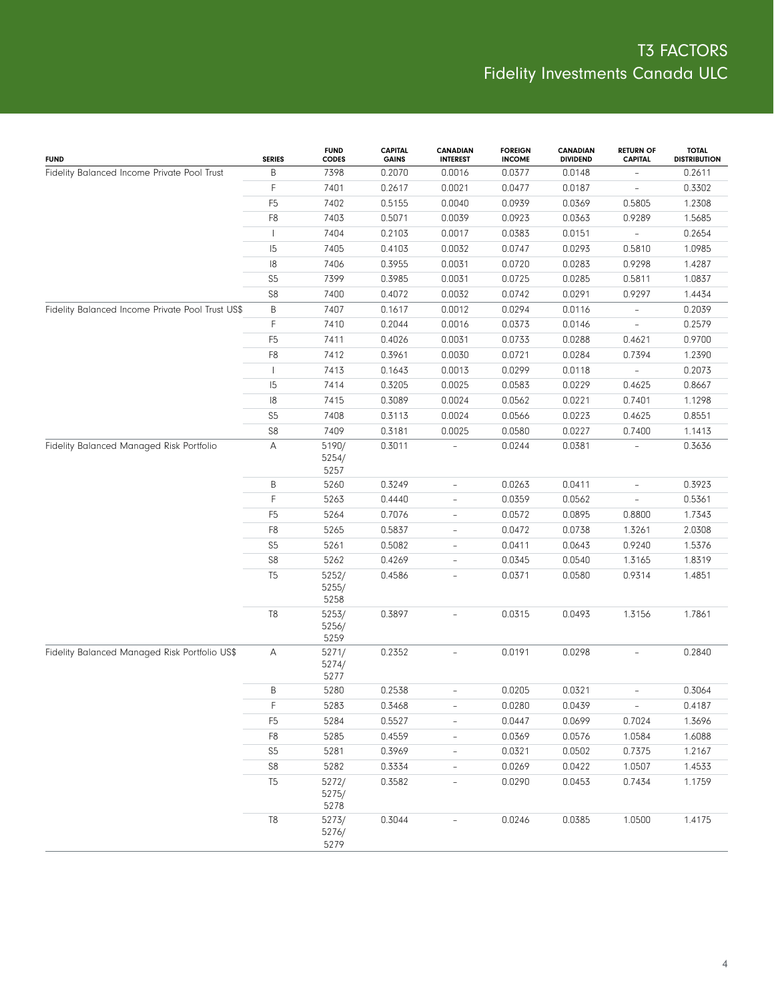| <b>FUND</b>                                      | <b>SERIES</b>  | <b>FUND</b><br><b>CODES</b> | <b>CAPITAL</b><br><b>GAINS</b> | <b>CANADIAN</b><br><b>INTEREST</b> | <b>FOREIGN</b><br><b>INCOME</b> | <b>CANADIAN</b><br><b>DIVIDEND</b> | <b>RETURN OF</b><br><b>CAPITAL</b> | <b>TOTAL</b><br><b>DISTRIBUTION</b> |
|--------------------------------------------------|----------------|-----------------------------|--------------------------------|------------------------------------|---------------------------------|------------------------------------|------------------------------------|-------------------------------------|
| Fidelity Balanced Income Private Pool Trust      | B              | 7398                        | 0.2070                         | 0.0016                             | 0.0377                          | 0.0148                             |                                    | 0.2611                              |
|                                                  | F              | 7401                        | 0.2617                         | 0.0021                             | 0.0477                          | 0.0187                             |                                    | 0.3302                              |
|                                                  | F <sub>5</sub> | 7402                        | 0.5155                         | 0.0040                             | 0.0939                          | 0.0369                             | 0.5805                             | 1.2308                              |
|                                                  | F8             | 7403                        | 0.5071                         | 0.0039                             | 0.0923                          | 0.0363                             | 0.9289                             | 1.5685                              |
|                                                  |                | 7404                        | 0.2103                         | 0.0017                             | 0.0383                          | 0.0151                             |                                    | 0.2654                              |
|                                                  | 15             | 7405                        | 0.4103                         | 0.0032                             | 0.0747                          | 0.0293                             | 0.5810                             | 1.0985                              |
|                                                  | 18             | 7406                        | 0.3955                         | 0.0031                             | 0.0720                          | 0.0283                             | 0.9298                             | 1.4287                              |
|                                                  | S <sub>5</sub> | 7399                        | 0.3985                         | 0.0031                             | 0.0725                          | 0.0285                             | 0.5811                             | 1.0837                              |
|                                                  | S8             | 7400                        | 0.4072                         | 0.0032                             | 0.0742                          | 0.0291                             | 0.9297                             | 1.4434                              |
| Fidelity Balanced Income Private Pool Trust US\$ | B              | 7407                        | 0.1617                         | 0.0012                             | 0.0294                          | 0.0116                             | ÷,                                 | 0.2039                              |
|                                                  | F              | 7410                        | 0.2044                         | 0.0016                             | 0.0373                          | 0.0146                             |                                    | 0.2579                              |
|                                                  | F <sub>5</sub> | 7411                        | 0.4026                         | 0.0031                             | 0.0733                          | 0.0288                             | 0.4621                             | 0.9700                              |
|                                                  | F8             | 7412                        | 0.3961                         | 0.0030                             | 0.0721                          | 0.0284                             | 0.7394                             | 1.2390                              |
|                                                  |                | 7413                        | 0.1643                         | 0.0013                             | 0.0299                          | 0.0118                             |                                    | 0.2073                              |
|                                                  | 5              | 7414                        | 0.3205                         | 0.0025                             | 0.0583                          | 0.0229                             | 0.4625                             | 0.8667                              |
|                                                  | 18             | 7415                        | 0.3089                         | 0.0024                             | 0.0562                          | 0.0221                             | 0.7401                             | 1.1298                              |
|                                                  | S <sub>5</sub> | 7408                        | 0.3113                         | 0.0024                             | 0.0566                          | 0.0223                             | 0.4625                             | 0.8551                              |
|                                                  | S8             | 7409                        | 0.3181                         | 0.0025                             | 0.0580                          | 0.0227                             | 0.7400                             | 1.1413                              |
| Fidelity Balanced Managed Risk Portfolio         | А              | 5190/<br>5254/<br>5257      | 0.3011                         |                                    | 0.0244                          | 0.0381                             |                                    | 0.3636                              |
|                                                  | В              | 5260                        | 0.3249                         | $\qquad \qquad -$                  | 0.0263                          | 0.0411                             | $\overline{\phantom{0}}$           | 0.3923                              |
|                                                  | F.             | 5263                        | 0.4440                         | $\overline{\phantom{a}}$           | 0.0359                          | 0.0562                             | $\overline{\phantom{0}}$           | 0.5361                              |
|                                                  | F <sub>5</sub> | 5264                        | 0.7076                         | $\overline{\phantom{a}}$           | 0.0572                          | 0.0895                             | 0.8800                             | 1.7343                              |
|                                                  | F8             | 5265                        | 0.5837                         | $\overline{\phantom{a}}$           | 0.0472                          | 0.0738                             | 1.3261                             | 2.0308                              |
|                                                  | S <sub>5</sub> | 5261                        | 0.5082                         | $\overline{\phantom{a}}$           | 0.0411                          | 0.0643                             | 0.9240                             | 1.5376                              |
|                                                  | ${\sf S8}$     | 5262                        | 0.4269                         | $\overline{a}$                     | 0.0345                          | 0.0540                             | 1.3165                             | 1.8319                              |
|                                                  | T <sub>5</sub> | 5252/<br>5255/<br>5258      | 0.4586                         | $\overline{\phantom{0}}$           | 0.0371                          | 0.0580                             | 0.9314                             | 1.4851                              |
|                                                  | T8             | 5253/<br>5256/<br>5259      | 0.3897                         | $\overline{\phantom{0}}$           | 0.0315                          | 0.0493                             | 1.3156                             | 1.7861                              |
| Fidelity Balanced Managed Risk Portfolio US\$    | Α              | 5271/<br>5274/<br>5277      | 0.2352                         | $\overline{\phantom{a}}$           | 0.0191                          | 0.0298                             | $\overline{\phantom{0}}$           | 0.2840                              |
|                                                  | B              | 5280                        | 0.2538                         |                                    | 0.0205                          | 0.0321                             |                                    | 0.3064                              |
|                                                  | $\mathsf F$    | 5283                        | 0.3468                         |                                    | 0.0280                          | 0.0439                             | $ -$                               | 0.4187                              |
|                                                  | F <sub>5</sub> | 5284                        | 0.5527                         | $\overline{\phantom{a}}$           | 0.0447                          | 0.0699                             | 0.7024                             | 1.3696                              |
|                                                  | F8             | 5285                        | 0.4559                         | $\overline{\phantom{a}}$           | 0.0369                          | 0.0576                             | 1.0584                             | 1.6088                              |
|                                                  | S <sub>5</sub> | 5281                        | 0.3969                         | $\overline{\phantom{a}}$           | 0.0321                          | 0.0502                             | 0.7375                             | 1.2167                              |
|                                                  | ${\sf S8}$     | 5282                        | 0.3334                         | $\overline{\phantom{0}}$           | 0.0269                          | 0.0422                             | 1.0507                             | 1.4533                              |
|                                                  | T <sub>5</sub> | 5272/<br>5275/<br>5278      | 0.3582                         | $\overline{\phantom{0}}$           | 0.0290                          | 0.0453                             | 0.7434                             | 1.1759                              |
|                                                  | $\mathsf{T}8$  | 5273/<br>5276/<br>5279      | 0.3044                         |                                    | 0.0246                          | 0.0385                             | 1.0500                             | 1.4175                              |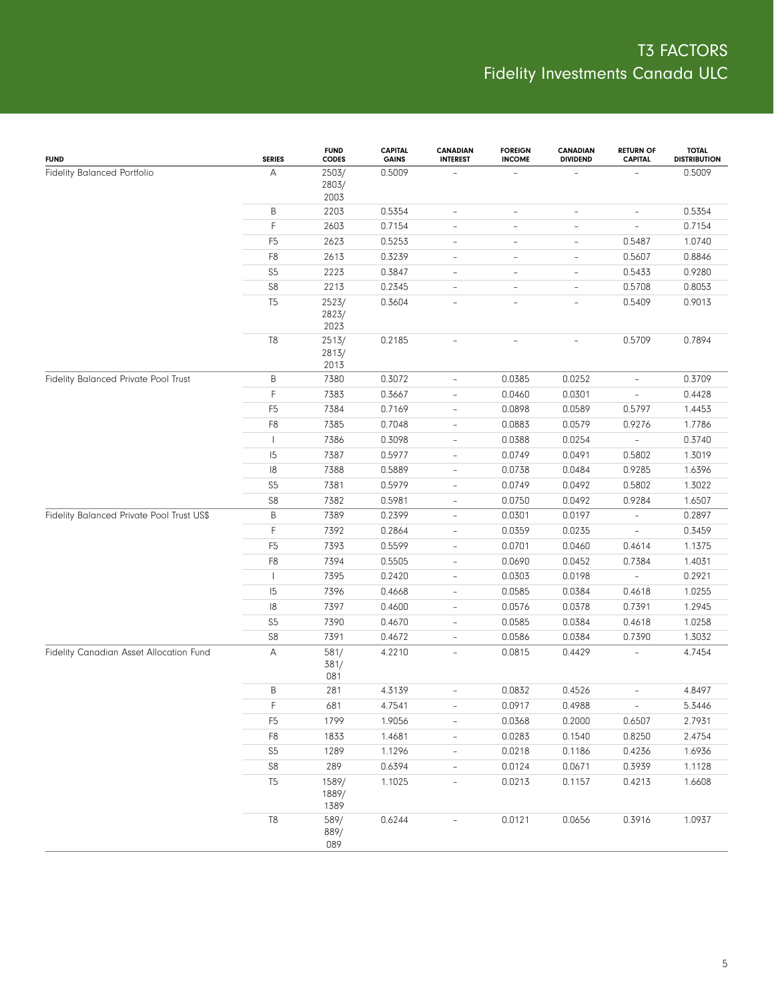| <b>FUND</b>                               | <b>SERIES</b>  | <b>FUND</b><br><b>CODES</b> | <b>CAPITAL</b><br><b>GAINS</b> | <b>CANADIAN</b><br><b>INTEREST</b> | <b>FOREIGN</b><br><b>INCOME</b> | <b>CANADIAN</b><br><b>DIVIDEND</b> | <b>RETURN OF</b><br><b>CAPITAL</b> | <b>TOTAL</b><br><b>DISTRIBUTION</b> |
|-------------------------------------------|----------------|-----------------------------|--------------------------------|------------------------------------|---------------------------------|------------------------------------|------------------------------------|-------------------------------------|
| Fidelity Balanced Portfolio               | А              | 2503/<br>2803/<br>2003      | 0.5009                         |                                    |                                 |                                    |                                    | 0.5009                              |
|                                           | B              | 2203                        | 0.5354                         | $\overline{\phantom{0}}$           | $\qquad \qquad -$               | $\overline{\phantom{a}}$           | $\overline{\phantom{a}}$           | 0.5354                              |
|                                           | F              | 2603                        | 0.7154                         | $\qquad \qquad -$                  | $\qquad \qquad -$               | $\qquad \qquad -$                  | $\overline{\phantom{a}}$           | 0.7154                              |
|                                           | F <sub>5</sub> | 2623                        | 0.5253                         | $\qquad \qquad -$                  | $\overline{\phantom{a}}$        | $\qquad \qquad -$                  | 0.5487                             | 1.0740                              |
|                                           | F8             | 2613                        | 0.3239                         | $\qquad \qquad -$                  | $\overline{\phantom{a}}$        | $\overline{\phantom{0}}$           | 0.5607                             | 0.8846                              |
|                                           | S5             | 2223                        | 0.3847                         | $\overline{\phantom{0}}$           | $\overline{\phantom{a}}$        | $\qquad \qquad -$                  | 0.5433                             | 0.9280                              |
|                                           | ${\sf S8}$     | 2213                        | 0.2345                         | $\qquad \qquad -$                  | $\overline{\phantom{a}}$        | $\qquad \qquad -$                  | 0.5708                             | 0.8053                              |
|                                           | T <sub>5</sub> | 2523/<br>2823/<br>2023      | 0.3604                         | $\overline{\phantom{0}}$           | $\overline{\phantom{a}}$        | $\qquad \qquad -$                  | 0.5409                             | 0.9013                              |
|                                           | T <sub>8</sub> | 2513/<br>2813/<br>2013      | 0.2185                         |                                    | $\overline{a}$                  | $\overline{\phantom{0}}$           | 0.5709                             | 0.7894                              |
| Fidelity Balanced Private Pool Trust      | Β              | 7380                        | 0.3072                         | $\overline{\phantom{a}}$           | 0.0385                          | 0.0252                             | $\overline{\phantom{a}}$           | 0.3709                              |
|                                           | F              | 7383                        | 0.3667                         | $\overline{a}$                     | 0.0460                          | 0.0301                             | $\overline{\phantom{0}}$           | 0.4428                              |
|                                           | F <sub>5</sub> | 7384                        | 0.7169                         | $\qquad \qquad -$                  | 0.0898                          | 0.0589                             | 0.5797                             | 1.4453                              |
|                                           | F8             | 7385                        | 0.7048                         | $\qquad \qquad -$                  | 0.0883                          | 0.0579                             | 0.9276                             | 1.7786                              |
|                                           | $\mathbf{I}$   | 7386                        | 0.3098                         | $\qquad \qquad -$                  | 0.0388                          | 0.0254                             | $\overline{\phantom{a}}$           | 0.3740                              |
|                                           | 15             | 7387                        | 0.5977                         | $\qquad \qquad -$                  | 0.0749                          | 0.0491                             | 0.5802                             | 1.3019                              |
|                                           | 18             | 7388                        | 0.5889                         | $\frac{1}{2}$                      | 0.0738                          | 0.0484                             | 0.9285                             | 1.6396                              |
|                                           | S <sub>5</sub> | 7381                        | 0.5979                         | $\frac{1}{2}$                      | 0.0749                          | 0.0492                             | 0.5802                             | 1.3022                              |
|                                           | S8             | 7382                        | 0.5981                         | $\overline{\phantom{0}}$           | 0.0750                          | 0.0492                             | 0.9284                             | 1.6507                              |
| Fidelity Balanced Private Pool Trust US\$ | B              | 7389                        | 0.2399                         | $\overline{\phantom{a}}$           | 0.0301                          | 0.0197                             | $\overline{\phantom{a}}$           | 0.2897                              |
|                                           | F              | 7392                        | 0.2864                         | $\overline{a}$                     | 0.0359                          | 0.0235                             | $\bar{ }$                          | 0.3459                              |
|                                           | F <sub>5</sub> | 7393                        | 0.5599                         | $\qquad \qquad -$                  | 0.0701                          | 0.0460                             | 0.4614                             | 1.1375                              |
|                                           | F8             | 7394                        | 0.5505                         | $\frac{1}{2}$                      | 0.0690                          | 0.0452                             | 0.7384                             | 1.4031                              |
|                                           | $\mathbf{I}$   | 7395                        | 0.2420                         | $\qquad \qquad -$                  | 0.0303                          | 0.0198                             | $\overline{\phantom{0}}$           | 0.2921                              |
|                                           | 15             | 7396                        | 0.4668                         | $\frac{1}{2}$                      | 0.0585                          | 0.0384                             | 0.4618                             | 1.0255                              |
|                                           | 18             | 7397                        | 0.4600                         | $\overline{\phantom{a}}$           | 0.0576                          | 0.0378                             | 0.7391                             | 1.2945                              |
|                                           | S <sub>5</sub> | 7390                        | 0.4670                         | $\frac{1}{2}$                      | 0.0585                          | 0.0384                             | 0.4618                             | 1.0258                              |
|                                           | S8             | 7391                        | 0.4672                         | $\overline{\phantom{0}}$           | 0.0586                          | 0.0384                             | 0.7390                             | 1.3032                              |
| Fidelity Canadian Asset Allocation Fund   | А              | 581/<br>381/<br>081         | 4.2210                         | $\overline{\phantom{a}}$           | 0.0815                          | 0.4429                             |                                    | 4.7454                              |
|                                           | Β              | 281                         | 4.3139                         | L,                                 | 0.0832                          | 0.4526                             | $\bar{ }$                          | 4.8497                              |
|                                           | F              | 681                         | 4.7541                         |                                    | 0.0917                          | 0.4988                             |                                    | 5.3446                              |
|                                           | F <sub>5</sub> | 1799                        | 1.9056                         | $\overline{\phantom{a}}$           | 0.0368                          | 0.2000                             | 0.6507                             | 2.7931                              |
|                                           | ${\sf F8}$     | 1833                        | 1.4681                         | $\overline{a}$                     | 0.0283                          | 0.1540                             | 0.8250                             | 2.4754                              |
|                                           | $S5\,$         | 1289                        | 1.1296                         | $\overline{\phantom{a}}$           | 0.0218                          | 0.1186                             | 0.4236                             | 1.6936                              |
|                                           | ${\sf S8}$     | 289                         | 0.6394                         | $\overline{\phantom{0}}$           | 0.0124                          | 0.0671                             | 0.3939                             | 1.1128                              |
|                                           | T <sub>5</sub> | 1589/<br>1889/<br>1389      | 1.1025                         | $\overline{\phantom{a}}$           | 0.0213                          | 0.1157                             | 0.4213                             | 1.6608                              |
|                                           | $\mathbb{T}8$  | 589/<br>889/<br>089         | 0.6244                         | $\overline{a}$                     | 0.0121                          | 0.0656                             | 0.3916                             | 1.0937                              |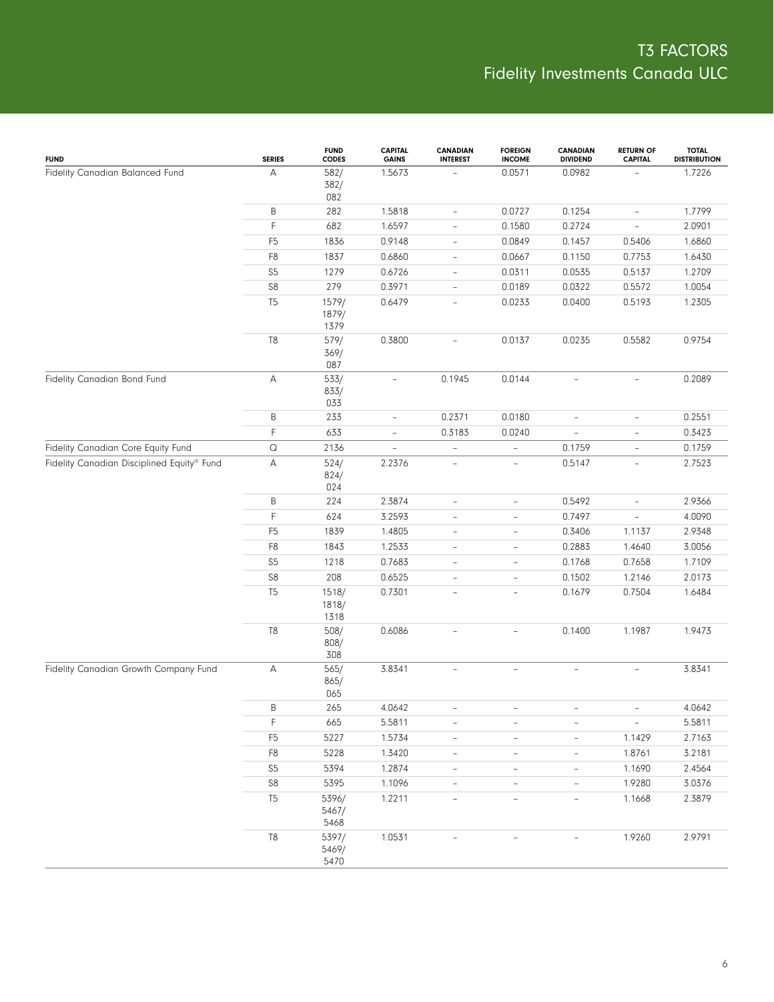| <b>FUND</b>                                | <b>SERIES</b>  | <b>FUND</b><br>CODES   | <b>CAPITAL</b><br><b>GAINS</b> | <b>CANADIAN</b><br><b>INTEREST</b> | <b>FOREIGN</b><br><b>INCOME</b> | <b>CANADIAN</b><br><b>DIVIDEND</b> | <b>RETURN OF</b><br><b>CAPITAL</b> | <b>TOTAL</b><br><b>DISTRIBUTION</b> |
|--------------------------------------------|----------------|------------------------|--------------------------------|------------------------------------|---------------------------------|------------------------------------|------------------------------------|-------------------------------------|
| Fidelity Canadian Balanced Fund            | А              | 582/<br>382/<br>082    | 1.5673                         |                                    | 0.0571                          | 0.0982                             |                                    | 1.7226                              |
|                                            | B              | 282                    | 1.5818                         | $\overline{\phantom{a}}$           | 0.0727                          | 0.1254                             | $\overline{\phantom{a}}$           | 1.7799                              |
|                                            | F              | 682                    | 1.6597                         | $\overline{\phantom{a}}$           | 0.1580                          | 0.2724                             | $\overline{\phantom{a}}$           | 2.0901                              |
|                                            | F <sub>5</sub> | 1836                   | 0.9148                         | $\overline{\phantom{a}}$           | 0.0849                          | 0.1457                             | 0.5406                             | 1.6860                              |
|                                            | F8             | 1837                   | 0.6860                         | $\overline{\phantom{a}}$           | 0.0667                          | 0.1150                             | 0.7753                             | 1.6430                              |
|                                            | S <sub>5</sub> | 1279                   | 0.6726                         | $\overline{\phantom{a}}$           | 0.0311                          | 0.0535                             | 0.5137                             | 1.2709                              |
|                                            | ${\sf S8}$     | 279                    | 0.3971                         | $\overline{\phantom{a}}$           | 0.0189                          | 0.0322                             | 0.5572                             | 1.0054                              |
|                                            | T <sub>5</sub> | 1579/<br>1879/<br>1379 | 0.6479                         | $\overline{\phantom{a}}$           | 0.0233                          | 0.0400                             | 0.5193                             | 1.2305                              |
| Fidelity Canadian Bond Fund                | $\mathbb{T}8$  | 579/<br>369/<br>087    | 0.3800                         | $\overline{\phantom{a}}$           | 0.0137                          | 0.0235                             | 0.5582                             | 0.9754                              |
|                                            | А              | 533/<br>833/<br>033    | $\overline{\phantom{a}}$       | 0.1945                             | 0.0144                          | $\overline{\phantom{a}}$           | $\overline{\phantom{a}}$           | 0.2089                              |
|                                            | B              | 233                    | $\qquad \qquad -$              | 0.2371                             | 0.0180                          | $\overline{\phantom{a}}$           | $\overline{\phantom{a}}$           | 0.2551                              |
|                                            | F              | 633                    | $\overline{\phantom{a}}$       | 0.3183                             | 0.0240                          | $\equiv$                           | $\overline{\phantom{a}}$           | 0.3423                              |
| Fidelity Canadian Core Equity Fund         | $\mathsf Q$    | 2136                   | $\overline{\phantom{a}}$       | $\overline{\phantom{a}}$           | ÷,                              | 0.1759                             | $\overline{\phantom{a}}$           | 0.1759                              |
| Fidelity Canadian Disciplined Equity® Fund | А              | 524/<br>824/<br>024    | 2.2376                         | $\equiv$                           | $\overline{\phantom{a}}$        | 0.5147                             | $\equiv$                           | 2.7523                              |
|                                            | B              | 224                    | 2.3874                         | $\overline{\phantom{a}}$           | $\overline{\phantom{a}}$        | 0.5492                             | $\overline{\phantom{a}}$           | 2.9366                              |
|                                            | F              | 624                    | 3.2593                         | $\overline{\phantom{0}}$           | $\overline{a}$                  | 0.7497                             | $\overline{\phantom{a}}$           | 4.0090                              |
|                                            | F <sub>5</sub> | 1839                   | 1.4805                         | $\overline{\phantom{a}}$           | $\overline{\phantom{a}}$        | 0.3406                             | 1.1137                             | 2.9348                              |
|                                            | F8             | 1843                   | 1.2533                         | $\qquad \qquad -$                  | $\overline{\phantom{a}}$        | 0.2883                             | 1.4640                             | 3.0056                              |
|                                            | S <sub>5</sub> | 1218                   | 0.7683                         | $\overline{\phantom{a}}$           | $\overline{\phantom{a}}$        | 0.1768                             | 0.7658                             | 1.7109                              |
|                                            | ${\sf S8}$     | 208                    | 0.6525                         | $\overline{\phantom{a}}$           | $\overline{a}$                  | 0.1502                             | 1.2146                             | 2.0173                              |
|                                            | T <sub>5</sub> | 1518/<br>1818/<br>1318 | 0.7301                         | $\overline{\phantom{a}}$           | $\overline{\phantom{a}}$        | 0.1679                             | 0.7504                             | 1.6484                              |
|                                            | $\mathbb{T}8$  | 508/<br>808/<br>308    | 0.6086                         | $\overline{a}$                     | $\bar{a}$                       | 0.1400                             | 1.1987                             | 1.9473                              |
| Fidelity Canadian Growth Company Fund      | A              | 565/<br>865/<br>065    | 3.8341                         |                                    |                                 |                                    |                                    | 3.8341                              |
|                                            | Β              | 265                    | 4.0642                         |                                    |                                 |                                    |                                    | 4.0642                              |
|                                            | F              | 665                    | 5.5811                         | $\overline{\phantom{a}}$           | $\overline{\phantom{a}}$        | $\overline{\phantom{a}}$           | $\equiv$                           | 5.5811                              |
|                                            | F <sub>5</sub> | 5227                   | 1.5734                         | $\overline{\phantom{0}}$           | $\overline{\phantom{a}}$        | $\overline{\phantom{a}}$           | 1.1429                             | 2.7163                              |
|                                            | F <sub>8</sub> | 5228                   | 1.3420                         | $\overline{\phantom{a}}$           | $\overline{\phantom{a}}$        | $\overline{\phantom{a}}$           | 1.8761                             | 3.2181                              |
|                                            | S <sub>5</sub> | 5394                   | 1.2874                         | $\overline{\phantom{a}}$           | $\overline{\phantom{a}}$        | $\overline{\phantom{a}}$           | 1.1690                             | 2.4564                              |
|                                            | ${\sf S8}$     | 5395                   | 1.1096                         |                                    | $\overline{\phantom{a}}$        | $\overline{\phantom{a}}$           | 1.9280                             | 3.0376                              |
|                                            | T <sub>5</sub> | 5396/<br>5467/<br>5468 | 1.2211                         |                                    |                                 |                                    | 1.1668                             | 2.3879                              |
|                                            | $\mathsf{T}8$  | 5397/<br>5469/<br>5470 | 1.0531                         |                                    |                                 |                                    | 1.9260                             | 2.9791                              |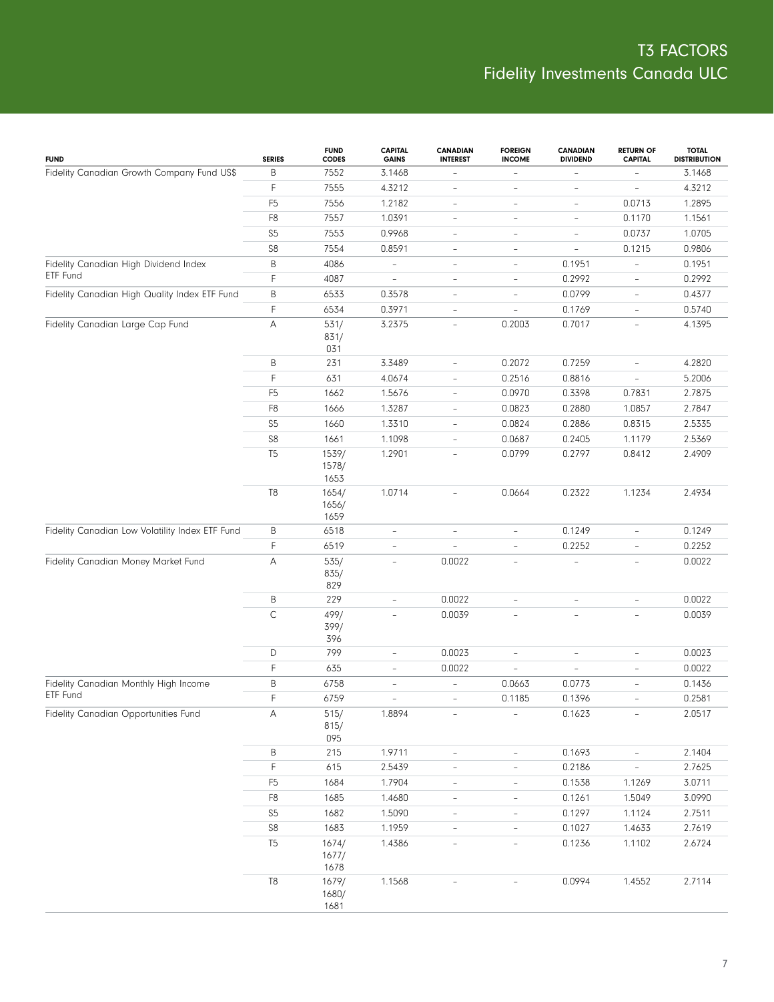| <b>FUND</b>                                     | <b>SERIES</b>  | <b>FUND</b><br><b>CODES</b> | <b>CAPITAL</b><br><b>GAINS</b> | <b>CANADIAN</b><br><b>INTEREST</b> | <b>FOREIGN</b><br><b>INCOME</b> | <b>CANADIAN</b><br><b>DIVIDEND</b> | <b>RETURN OF</b><br><b>CAPITAL</b> | <b>TOTAL</b><br><b>DISTRIBUTION</b> |
|-------------------------------------------------|----------------|-----------------------------|--------------------------------|------------------------------------|---------------------------------|------------------------------------|------------------------------------|-------------------------------------|
| Fidelity Canadian Growth Company Fund US\$      | B              | 7552                        | 3.1468                         |                                    | $\overline{a}$                  |                                    | $\overline{\phantom{a}}$           | 3.1468                              |
|                                                 | F              | 7555                        | 4.3212                         | $\overline{\phantom{a}}$           | $\overline{a}$                  | $\overline{\phantom{a}}$           | $\overline{\phantom{a}}$           | 4.3212                              |
|                                                 | F <sub>5</sub> | 7556                        | 1.2182                         | $\overline{\phantom{a}}$           | $\overline{a}$                  | $\overline{\phantom{a}}$           | 0.0713                             | 1.2895                              |
|                                                 | F <sub>8</sub> | 7557                        | 1.0391                         | $\overline{\phantom{a}}$           | $\overline{a}$                  | $\overline{\phantom{a}}$           | 0.1170                             | 1.1561                              |
|                                                 | S <sub>5</sub> | 7553                        | 0.9968                         | $\overline{\phantom{a}}$           | $\overline{a}$                  | $\overline{\phantom{a}}$           | 0.0737                             | 1.0705                              |
|                                                 | S8             | 7554                        | 0.8591                         | $\overline{\phantom{a}}$           | $\overline{\phantom{a}}$        | $\overline{\phantom{a}}$           | 0.1215                             | 0.9806                              |
| Fidelity Canadian High Dividend Index           | B              | 4086                        | $\frac{1}{2}$                  | $\overline{\phantom{a}}$           | $\overline{a}$                  | 0.1951                             | $\overline{\phantom{a}}$           | 0.1951                              |
| ETF Fund                                        | F              | 4087                        | $\overline{a}$                 | $\overline{\phantom{a}}$           | $\overline{\phantom{a}}$        | 0.2992                             | $\overline{\phantom{a}}$           | 0.2992                              |
| Fidelity Canadian High Quality Index ETF Fund   | B              | 6533                        | 0.3578                         | $\overline{\phantom{a}}$           | $\overline{a}$                  | 0.0799                             | $\overline{\phantom{a}}$           | 0.4377                              |
|                                                 | F              | 6534                        | 0.3971                         | $\overline{\phantom{a}}$           | $\overline{a}$                  | 0.1769                             | $\overline{\phantom{a}}$           | 0.5740                              |
| Fidelity Canadian Large Cap Fund                | Α              | 531/                        | 3.2375                         | $\overline{\phantom{a}}$           | 0.2003                          | 0.7017                             | $\overline{\phantom{a}}$           | 4.1395                              |
|                                                 |                | 831/<br>031                 |                                |                                    |                                 |                                    |                                    |                                     |
|                                                 | Β              | 231                         | 3.3489                         | $\overline{\phantom{a}}$           | 0.2072                          | 0.7259                             | $\overline{\phantom{a}}$           | 4.2820                              |
|                                                 | F              | 631                         | 4.0674                         | $\overline{\phantom{a}}$           | 0.2516                          | 0.8816                             | $\overline{\phantom{0}}$           | 5.2006                              |
|                                                 | F <sub>5</sub> | 1662                        | 1.5676                         | $\overline{\phantom{a}}$           | 0.0970                          | 0.3398                             | 0.7831                             | 2.7875                              |
|                                                 | F <sub>8</sub> | 1666                        | 1.3287                         | $\overline{\phantom{a}}$           | 0.0823                          | 0.2880                             | 1.0857                             | 2.7847                              |
|                                                 | S <sub>5</sub> | 1660                        | 1.3310                         | $\overline{\phantom{a}}$           | 0.0824                          | 0.2886                             | 0.8315                             | 2.5335                              |
|                                                 | S8             | 1661                        | 1.1098                         | $\overline{\phantom{a}}$           | 0.0687                          | 0.2405                             | 1.1179                             | 2.5369                              |
|                                                 | T <sub>5</sub> | 1539/                       | 1.2901                         | $\bar{a}$                          | 0.0799                          | 0.2797                             | 0.8412                             | 2.4909                              |
|                                                 |                | 1578/<br>1653               |                                |                                    |                                 |                                    |                                    |                                     |
|                                                 | T <sub>8</sub> | 1654/<br>1656/<br>1659      | 1.0714                         | $\overline{\phantom{a}}$           | 0.0664                          | 0.2322                             | 1.1234                             | 2.4934                              |
| Fidelity Canadian Low Volatility Index ETF Fund | Β              | 6518                        | $\qquad \qquad -$              | $\overline{\phantom{a}}$           | $\overline{a}$                  | 0.1249                             | $\overline{\phantom{0}}$           | 0.1249                              |
|                                                 | F              | 6519                        | $\overline{a}$                 | $\equiv$                           | $\overline{a}$                  | 0.2252                             | $\overline{\phantom{0}}$           | 0.2252                              |
| Fidelity Canadian Money Market Fund             | Α              | 535/<br>835/<br>829         | $\overline{\phantom{0}}$       | 0.0022                             | $\overline{a}$                  | $\overline{\phantom{a}}$           | $\overline{\phantom{0}}$           | 0.0022                              |
|                                                 | B              | 229                         | $\overline{\phantom{0}}$       | 0.0022                             | $\overline{a}$                  | $\overline{\phantom{m}}$           | ÷,                                 | 0.0022                              |
|                                                 | $\mathsf C$    | 499/<br>399/<br>396         | ÷,                             | 0.0039                             | $\overline{a}$                  | $\overline{a}$                     | $\overline{a}$                     | 0.0039                              |
|                                                 | D              | 799                         | $\overline{\phantom{a}}$       | 0.0023                             | $\overline{a}$                  | $\overline{\phantom{a}}$           | $\overline{\phantom{0}}$           | 0.0023                              |
|                                                 | F              | 635                         | $\overline{\phantom{a}}$       | 0.0022                             |                                 | ÷,                                 | $\overline{\phantom{0}}$           | 0.0022                              |
| Fidelity Canadian Monthly High Income           | B              | 6758                        | $\overline{\phantom{a}}$       | $\overline{\phantom{a}}$           | 0.0663                          | 0.0773                             | $\overline{\phantom{a}}$           | 0.1436                              |
| ETF Fund                                        | F              | 6759                        | ÷,                             | $\overline{\phantom{a}}$           | 0.1185                          | 0.1396                             | $\overline{\phantom{0}}$           | 0.2581                              |
| Fidelity Canadian Opportunities Fund            | A              | 515/<br>815/<br>095         | 1.8894                         |                                    |                                 | 0.1623                             | $\overline{\phantom{a}}$           | 2.0517                              |
|                                                 | B              | $215\,$                     | 1.9711                         | $\overline{\phantom{a}}$           | $\overline{\phantom{0}}$        | 0.1693                             | $\overline{\phantom{a}}$           | 2.1404                              |
|                                                 | F              | 615                         | 2.5439                         | $\overline{\phantom{a}}$           | $\overline{a}$                  | 0.2186                             | $\overline{\phantom{a}}$           | 2.7625                              |
|                                                 | F <sub>5</sub> | 1684                        | 1.7904                         | $\overline{\phantom{a}}$           | $\overline{\phantom{0}}$        | 0.1538                             | 1.1269                             | 3.0711                              |
|                                                 | F <sub>8</sub> | 1685                        | 1.4680                         | $\overline{\phantom{a}}$           | $\qquad \qquad -$               | 0.1261                             | 1.5049                             | 3.0990                              |
|                                                 | S <sub>5</sub> | 1682                        | 1.5090                         | $\overline{\phantom{a}}$           | $\qquad \qquad -$               | 0.1297                             | 1.1124                             | 2.7511                              |
|                                                 | S <sub>8</sub> | 1683                        | 1.1959                         | $\qquad \qquad -$                  | $\overline{\phantom{0}}$        | 0.1027                             | 1.4633                             | 2.7619                              |
|                                                 | T <sub>5</sub> | 1674/<br>1677/<br>1678      | 1.4386                         | $\qquad \qquad -$                  | $\overline{a}$                  | 0.1236                             | 1.1102                             | 2.6724                              |
|                                                 | T <sub>8</sub> | 1679/<br>1680/<br>1681      | 1.1568                         |                                    |                                 | 0.0994                             | 1.4552                             | 2.7114                              |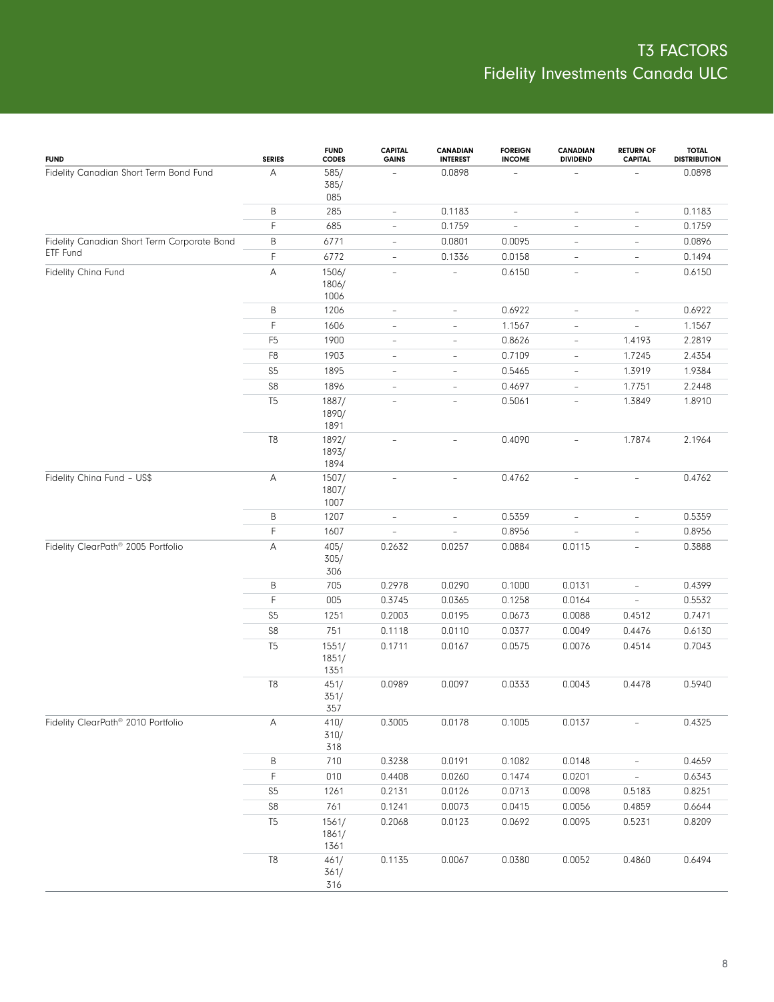| <b>FUND</b>                                 | <b>SERIES</b>                | <b>FUND</b><br><b>CODES</b>   | <b>CAPITAL</b><br><b>GAINS</b> | CANADIAN<br><b>INTEREST</b> | <b>FOREIGN</b><br><b>INCOME</b> | <b>CANADIAN</b><br><b>DIVIDEND</b> | <b>RETURN OF</b><br><b>CAPITAL</b> | <b>TOTAL</b><br><b>DISTRIBUTION</b> |
|---------------------------------------------|------------------------------|-------------------------------|--------------------------------|-----------------------------|---------------------------------|------------------------------------|------------------------------------|-------------------------------------|
| Fidelity Canadian Short Term Bond Fund      | А                            | 585/<br>385/<br>085           |                                | 0.0898                      |                                 |                                    |                                    | 0.0898                              |
|                                             | B                            | 285                           | $\overline{\phantom{a}}$       | 0.1183                      | $\overline{\phantom{a}}$        | $\overline{\phantom{a}}$           | $\overline{\phantom{a}}$           | 0.1183                              |
|                                             | F.                           | 685                           | $\overline{\phantom{a}}$       | 0.1759                      | $\qquad \qquad -$               | $\overline{\phantom{0}}$           | $\overline{\phantom{a}}$           | 0.1759                              |
| Fidelity Canadian Short Term Corporate Bond | B                            | 6771                          | $\overline{\phantom{a}}$       | 0.0801                      | 0.0095                          | $\overline{\phantom{a}}$           | $\overline{\phantom{a}}$           | 0.0896                              |
| ETF Fund                                    | F.                           | 6772                          | $\overline{\phantom{a}}$       | 0.1336                      | 0.0158                          | $\overline{\phantom{a}}$           | $\overline{\phantom{a}}$           | 0.1494                              |
| Fidelity China Fund                         | Α                            | 1506/<br>1806/<br>1006        | $\overline{\phantom{a}}$       |                             | 0.6150                          | $\overline{\phantom{a}}$           | $\overline{\phantom{a}}$           | 0.6150                              |
|                                             | В                            | 1206                          | $\qquad \qquad -$              | $\overline{\phantom{a}}$    | 0.6922                          | $\overline{\phantom{a}}$           | $\qquad \qquad -$                  | 0.6922                              |
|                                             | F                            | 1606                          | $\overline{\phantom{a}}$       | $\overline{\phantom{a}}$    | 1.1567                          | $\overline{\phantom{a}}$           | $\overline{\phantom{a}}$           | 1.1567                              |
|                                             | F <sub>5</sub>               | 1900                          | $\overline{\phantom{a}}$       | $\overline{\phantom{a}}$    | 0.8626                          | $\overline{\phantom{a}}$           | 1.4193                             | 2.2819                              |
|                                             | F <sub>8</sub>               | 1903                          | $\overline{\phantom{a}}$       | $\overline{\phantom{a}}$    | 0.7109                          | $\overline{\phantom{a}}$           | 1.7245                             | 2.4354                              |
|                                             | $S5\,$                       | 1895                          | $\overline{\phantom{a}}$       | $\overline{\phantom{a}}$    | 0.5465                          | $\overline{\phantom{a}}$           | 1.3919                             | 1.9384                              |
| Fidelity China Fund - US\$                  | ${\sf S8}$                   | 1896                          | $\overline{\phantom{a}}$       | $\overline{\phantom{a}}$    | 0.4697                          | $\overline{\phantom{a}}$           | 1.7751                             | 2.2448                              |
|                                             | T <sub>5</sub>               | 1887/<br>1890/<br>1891        | $\overline{\phantom{a}}$       | $\overline{\phantom{a}}$    | 0.5061                          | $\overline{\phantom{0}}$           | 1.3849                             | 1.8910                              |
|                                             | T <sub>8</sub>               | 1892/<br>1893/<br>1894        | $\overline{\phantom{a}}$       | $\overline{\phantom{a}}$    | 0.4090                          | $\overline{\phantom{0}}$           | 1.7874                             | 2.1964                              |
|                                             | Α                            | 1507/<br>1807/<br>1007        | $\overline{\phantom{a}}$       | $\overline{\phantom{a}}$    | 0.4762                          | $\overline{\phantom{a}}$           | $\overline{\phantom{a}}$           | 0.4762                              |
|                                             | B                            | 1207                          | $\qquad \qquad -$              | $\overline{\phantom{a}}$    | 0.5359                          | $\overline{\phantom{0}}$           | $\overline{\phantom{a}}$           | 0.5359                              |
|                                             | F                            | 1607                          | $\overline{\phantom{a}}$       | $\overline{\phantom{a}}$    | 0.8956                          | $\overline{\phantom{0}}$           | $\overline{\phantom{a}}$           | 0.8956                              |
| Fidelity ClearPath® 2005 Portfolio          | А                            | 405/<br>305/<br>306           | 0.2632                         | 0.0257                      | 0.0884                          | 0.0115                             | $\overline{\phantom{a}}$           | 0.3888                              |
|                                             | B                            | 705                           | 0.2978                         | 0.0290                      | 0.1000                          | 0.0131                             | $\qquad \qquad -$                  | 0.4399                              |
|                                             | F                            | 005                           | 0.3745                         | 0.0365                      | 0.1258                          | 0.0164                             | $\overline{\phantom{a}}$           | 0.5532                              |
|                                             | S <sub>5</sub>               | 1251                          | 0.2003                         | 0.0195                      | 0.0673                          | 0.0088                             | 0.4512                             | 0.7471                              |
|                                             | ${\sf S8}$<br>T <sub>5</sub> | 751<br>1551/<br>1851/<br>1351 | 0.1118<br>0.1711               | 0.0110<br>0.0167            | 0.0377<br>0.0575                | 0.0049<br>0.0076                   | 0.4476<br>0.4514                   | 0.6130<br>0.7043                    |
|                                             | T8                           | 451/<br>351/<br>357           | 0.0989                         | 0.0097                      | 0.0333                          | 0.0043                             | 0.4478                             | 0.5940                              |
| Fidelity ClearPath® 2010 Portfolio          | Α                            | 410/<br>310/<br>318           | 0.3005                         | 0.0178                      | 0.1005                          | 0.0137                             | $\overline{\phantom{0}}$           | 0.4325                              |
|                                             | B                            | $710$                         | 0.3238                         | 0.0191                      | 0.1082                          | 0.0148                             | $\equiv$                           | 0.4659                              |
|                                             | F                            | 010                           | 0.4408                         | 0.0260                      | 0.1474                          | 0.0201                             | $\equiv$                           | 0.6343                              |
|                                             | S <sub>5</sub>               | 1261                          | 0.2131                         | 0.0126                      | 0.0713                          | 0.0098                             | 0.5183                             | 0.8251                              |
|                                             | ${\sf S8}$                   | 761                           | 0.1241                         | 0.0073                      | 0.0415                          | 0.0056                             | 0.4859                             | 0.6644                              |
|                                             | T <sub>5</sub>               | 1561/<br>1861/<br>1361        | 0.2068                         | 0.0123                      | 0.0692                          | 0.0095                             | 0.5231                             | 0.8209                              |
|                                             | $\mathbb{T}8$                | 461/<br>361/<br>316           | 0.1135                         | 0.0067                      | 0.0380                          | 0.0052                             | 0.4860                             | 0.6494                              |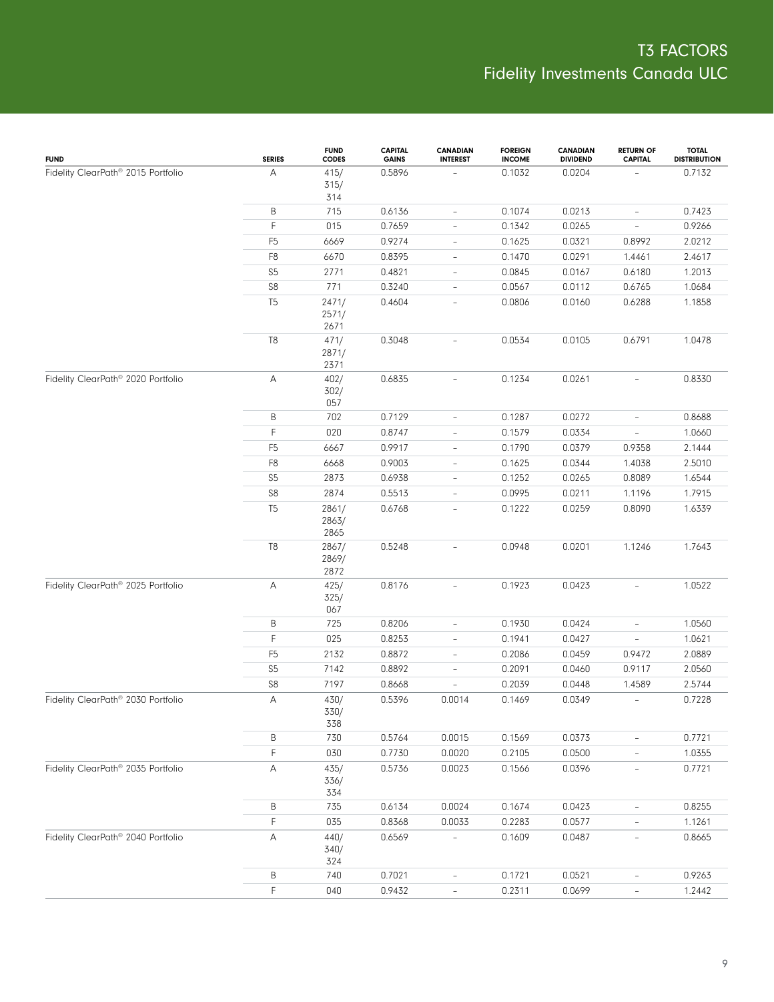| <b>FUND</b>                                    | <b>SERIES</b>  | <b>FUND</b><br><b>CODES</b> | <b>CAPITAL</b><br><b>GAINS</b> | <b>CANADIAN</b><br><b>INTEREST</b> | <b>FOREIGN</b><br><b>INCOME</b> | <b>CANADIAN</b><br><b>DIVIDEND</b> | <b>RETURN OF</b><br><b>CAPITAL</b> | <b>TOTAL</b><br><b>DISTRIBUTION</b> |
|------------------------------------------------|----------------|-----------------------------|--------------------------------|------------------------------------|---------------------------------|------------------------------------|------------------------------------|-------------------------------------|
| Fidelity ClearPath® 2015 Portfolio             | А              | 415/<br>315/<br>314         | 0.5896                         |                                    | 0.1032                          | 0.0204                             |                                    | 0.7132                              |
|                                                | B              | 715                         | 0.6136                         | $\overline{\phantom{0}}$           | 0.1074                          | 0.0213                             | $\overline{\phantom{a}}$           | 0.7423                              |
|                                                | F              | 015                         | 0.7659                         | $\overline{\phantom{0}}$           | 0.1342                          | 0.0265                             | $\overline{\phantom{a}}$           | 0.9266                              |
|                                                | F <sub>5</sub> | 6669                        | 0.9274                         | $\overline{\phantom{0}}$           | 0.1625                          | 0.0321                             | 0.8992                             | 2.0212                              |
|                                                | F8             | 6670                        | 0.8395                         | $\qquad \qquad -$                  | 0.1470                          | 0.0291                             | 1.4461                             | 2.4617                              |
|                                                | S <sub>5</sub> | 2771                        | 0.4821                         | $\overline{\phantom{0}}$           | 0.0845                          | 0.0167                             | 0.6180                             | 1.2013                              |
|                                                | ${\sf S8}$     | 771                         | 0.3240                         | $\qquad \qquad -$                  | 0.0567                          | 0.0112                             | 0.6765                             | 1.0684                              |
|                                                | T <sub>5</sub> | 2471/<br>2571/<br>2671      | 0.4604                         | $\qquad \qquad -$                  | 0.0806                          | 0.0160                             | 0.6288                             | 1.1858                              |
|                                                | T8             | 471/<br>2871/<br>2371       | 0.3048                         | $\overline{\phantom{0}}$           | 0.0534                          | 0.0105                             | 0.6791                             | 1.0478                              |
| Fidelity ClearPath <sup>®</sup> 2020 Portfolio | А              | 402/<br>302/<br>057         | 0.6835                         | $\overline{\phantom{0}}$           | 0.1234                          | 0.0261                             | $\overline{\phantom{a}}$           | 0.8330                              |
|                                                | Β              | 702                         | 0.7129                         | $\overline{\phantom{a}}$           | 0.1287                          | 0.0272                             | $\overline{\phantom{0}}$           | 0.8688                              |
|                                                | F              | 020                         | 0.8747                         | $\overline{\phantom{a}}$           | 0.1579                          | 0.0334                             | $\overline{\phantom{a}}$           | 1.0660                              |
|                                                | F <sub>5</sub> | 6667                        | 0.9917                         | $\overline{\phantom{a}}$           | 0.1790                          | 0.0379                             | 0.9358                             | 2.1444                              |
|                                                | F8             | 6668                        | 0.9003                         | $\overline{\phantom{a}}$           | 0.1625                          | 0.0344                             | 1.4038                             | 2.5010                              |
|                                                | S <sub>5</sub> | 2873                        | 0.6938                         | $\overline{\phantom{a}}$           | 0.1252                          | 0.0265                             | 0.8089                             | 1.6544                              |
|                                                | ${\sf S8}$     | 2874                        | 0.5513                         | $\overline{a}$                     | 0.0995                          | 0.0211                             | 1.1196                             | 1.7915                              |
|                                                | T <sub>5</sub> | 2861/<br>2863/<br>2865      | 0.6768                         | L,                                 | 0.1222                          | 0.0259                             | 0.8090                             | 1.6339                              |
|                                                | T8             | 2867/<br>2869/<br>2872      | 0.5248                         | $\overline{a}$                     | 0.0948                          | 0.0201                             | 1.1246                             | 1.7643                              |
| Fidelity ClearPath® 2025 Portfolio             | А              | 425/<br>325/<br>067         | 0.8176                         | $\overline{\phantom{a}}$           | 0.1923                          | 0.0423                             | $\overline{\phantom{a}}$           | 1.0522                              |
|                                                | Β              | 725                         | 0.8206                         | $\overline{\phantom{0}}$           | 0.1930                          | 0.0424                             | $\overline{\phantom{0}}$           | 1.0560                              |
|                                                | F              | 025                         | 0.8253                         | $\overline{\phantom{0}}$           | 0.1941                          | 0.0427                             | $\overline{\phantom{a}}$           | 1.0621                              |
|                                                | F <sub>5</sub> | 2132                        | 0.8872                         | $\overline{\phantom{0}}$           | 0.2086                          | 0.0459                             | 0.9472                             | 2.0889                              |
|                                                | S <sub>5</sub> | 7142                        | 0.8892                         | $\overline{\phantom{0}}$           | 0.2091                          | 0.0460                             | 0.9117                             | 2.0560                              |
|                                                | S8             | 7197                        | 0.8668                         | $\overline{a}$                     | 0.2039                          | 0.0448                             | 1.4589                             | 2.5744                              |
| Fidelity ClearPath® 2030 Portfolio             | Α              | 430/<br>330/<br>338         | 0.5396                         | 0.0014                             | 0.1469                          | 0.0349                             | $\overline{\phantom{a}}$           | 0.7228                              |
|                                                | Β              | 730                         | 0.5764                         | 0.0015                             | 0.1569                          | 0.0373                             | $\overline{\phantom{0}}$           | 0.7721                              |
|                                                | F              | 030                         | 0.7730                         | 0.0020                             | 0.2105                          | 0.0500                             | $\frac{1}{2}$                      | 1.0355                              |
| Fidelity ClearPath® 2035 Portfolio             | А              | 435/<br>336/<br>334         | 0.5736                         | 0.0023                             | 0.1566                          | 0.0396                             | $\overline{\phantom{a}}$           | 0.7721                              |
|                                                | B              | 735                         | 0.6134                         | 0.0024                             | 0.1674                          | 0.0423                             | $\overline{\phantom{a}}$           | 0.8255                              |
|                                                | F              | 035                         | 0.8368                         | 0.0033                             | 0.2283                          | 0.0577                             |                                    | 1.1261                              |
| Fidelity ClearPath <sup>®</sup> 2040 Portfolio | А              | 440/<br>340/<br>324         | 0.6569                         | $\overline{\phantom{a}}$           | 0.1609                          | 0.0487                             | $\overline{\phantom{a}}$           | 0.8665                              |
|                                                | B              | 740                         | 0.7021                         | $\overline{\phantom{0}}$           | 0.1721                          | 0.0521                             | $\overline{\phantom{a}}$           | 0.9263                              |
|                                                | F              | 040                         | 0.9432                         | $\qquad \qquad -$                  | 0.2311                          | 0.0699                             | $\overline{\phantom{a}}$           | 1.2442                              |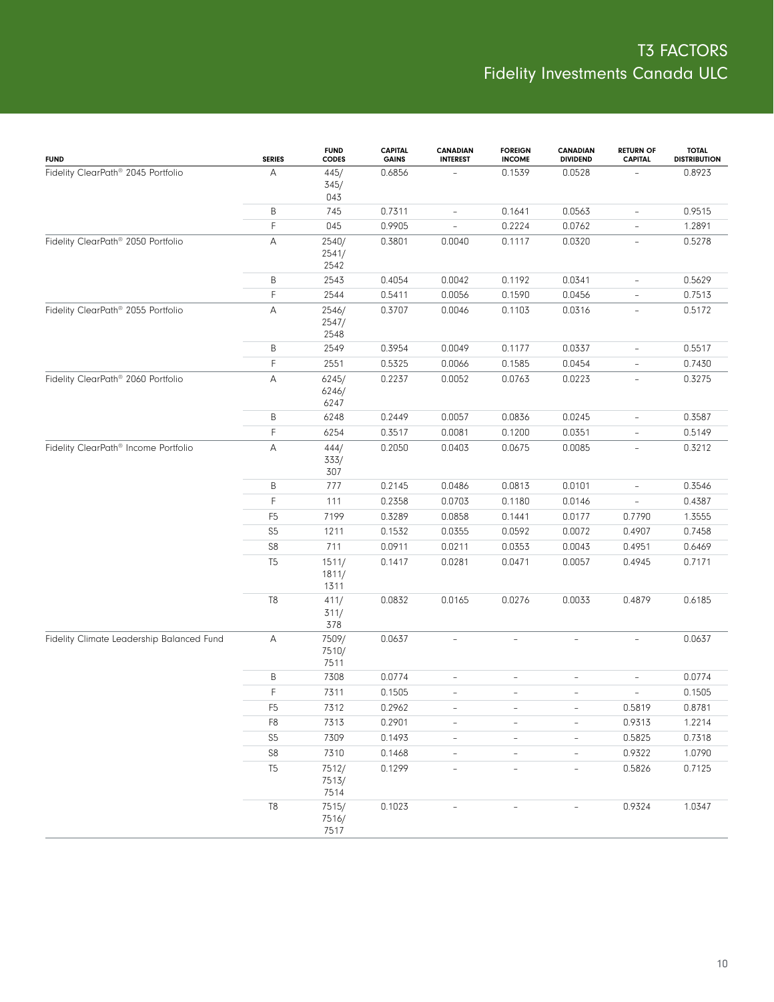| <b>FUND</b>                                    | <b>SERIES</b>  | <b>FUND</b><br><b>CODES</b> | <b>CAPITAL</b><br><b>GAINS</b> | <b>CANADIAN</b><br><b>INTEREST</b> | <b>FOREIGN</b><br><b>INCOME</b> | <b>CANADIAN</b><br><b>DIVIDEND</b> | <b>RETURN OF</b><br><b>CAPITAL</b> | <b>TOTAL</b><br><b>DISTRIBUTION</b> |
|------------------------------------------------|----------------|-----------------------------|--------------------------------|------------------------------------|---------------------------------|------------------------------------|------------------------------------|-------------------------------------|
| Fidelity ClearPath <sup>®</sup> 2045 Portfolio | А              | 445/<br>345/<br>043         | 0.6856                         |                                    | 0.1539                          | 0.0528                             |                                    | 0.8923                              |
|                                                | B              | 745                         | 0.7311                         | $\overline{\phantom{a}}$           | 0.1641                          | 0.0563                             | $\overline{\phantom{a}}$           | 0.9515                              |
|                                                | F              | 045                         | 0.9905                         | $\overline{\phantom{a}}$           | 0.2224                          | 0.0762                             | $\overline{\phantom{a}}$           | 1.2891                              |
| Fidelity ClearPath® 2050 Portfolio             | А              | 2540/<br>2541/<br>2542      | 0.3801                         | 0.0040                             | 0.1117                          | 0.0320                             | $\overline{\phantom{a}}$           | 0.5278                              |
|                                                | B              | 2543                        | 0.4054                         | 0.0042                             | 0.1192                          | 0.0341                             | $\overline{\phantom{a}}$           | 0.5629                              |
|                                                | F              | 2544                        | 0.5411                         | 0.0056                             | 0.1590                          | 0.0456                             | $\overline{\phantom{a}}$           | 0.7513                              |
| Fidelity ClearPath <sup>®</sup> 2055 Portfolio | А              | 2546/<br>2547/<br>2548      | 0.3707                         | 0.0046                             | 0.1103                          | 0.0316                             | $\overline{\phantom{a}}$           | 0.5172                              |
|                                                | Β              | 2549                        | 0.3954                         | 0.0049                             | 0.1177                          | 0.0337                             | $\overline{\phantom{a}}$           | 0.5517                              |
|                                                | F              | 2551                        | 0.5325                         | 0.0066                             | 0.1585                          | 0.0454                             | $\overline{\phantom{a}}$           | 0.7430                              |
| Fidelity ClearPath <sup>®</sup> 2060 Portfolio | А              | 6245/<br>6246/<br>6247      | 0.2237                         | 0.0052                             | 0.0763                          | 0.0223                             | $\overline{\phantom{a}}$           | 0.3275                              |
|                                                | Β              | 6248                        | 0.2449                         | 0.0057                             | 0.0836                          | 0.0245                             | $\overline{\phantom{a}}$           | 0.3587                              |
|                                                | F              | 6254                        | 0.3517                         | 0.0081                             | 0.1200                          | 0.0351                             | $\overline{\phantom{a}}$           | 0.5149                              |
| Fidelity ClearPath® Income Portfolio           | А              | 444/<br>333/<br>307         | 0.2050                         | 0.0403                             | 0.0675                          | 0.0085                             | $\overline{\phantom{0}}$           | 0.3212                              |
|                                                | Β              | 777                         | 0.2145                         | 0.0486                             | 0.0813                          | 0.0101                             | $\overline{\phantom{a}}$           | 0.3546                              |
|                                                | F              | 111                         | 0.2358                         | 0.0703                             | 0.1180                          | 0.0146                             | $\overline{\phantom{a}}$           | 0.4387                              |
|                                                | F <sub>5</sub> | 7199                        | 0.3289                         | 0.0858                             | 0.1441                          | 0.0177                             | 0.7790                             | 1.3555                              |
|                                                | S <sub>5</sub> | 1211                        | 0.1532                         | 0.0355                             | 0.0592                          | 0.0072                             | 0.4907                             | 0.7458                              |
|                                                | S8             | 711                         | 0.0911                         | 0.0211                             | 0.0353                          | 0.0043                             | 0.4951                             | 0.6469                              |
|                                                | T <sub>5</sub> | 1511/<br>1811/<br>1311      | 0.1417                         | 0.0281                             | 0.0471                          | 0.0057                             | 0.4945                             | 0.7171                              |
|                                                | $\mathbb{T}8$  | 411/<br>311/<br>378         | 0.0832                         | 0.0165                             | 0.0276                          | 0.0033                             | 0.4879                             | 0.6185                              |
| Fidelity Climate Leadership Balanced Fund      | А              | 7509/<br>7510/<br>7511      | 0.0637                         | $\overline{\phantom{a}}$           | $\overline{\phantom{a}}$        | $\overline{\phantom{a}}$           | $\overline{\phantom{a}}$           | 0.0637                              |
|                                                | Β              | 7308                        | 0.0774                         | $\overline{\phantom{a}}$           | $\overline{\phantom{a}}$        | $\overline{\phantom{a}}$           | $\overline{\phantom{a}}$           | 0.0774                              |
|                                                | F              | 7311                        | 0.1505                         | $\overline{\phantom{0}}$           | $\qquad \qquad -$               | $\overline{\phantom{a}}$           | $\overline{\phantom{a}}$           | 0.1505                              |
|                                                | F <sub>5</sub> | 7312                        | 0.2962                         |                                    |                                 |                                    | 0.5819                             | 0.8781                              |
|                                                | F <sub>8</sub> | 7313                        | 0.2901                         | $\overline{\phantom{a}}$           | $\overline{\phantom{a}}$        | $\overline{\phantom{a}}$           | 0.9313                             | 1.2214                              |
|                                                | S <sub>5</sub> | 7309                        | 0.1493                         | $\overline{\phantom{a}}$           | $\overline{\phantom{a}}$        | $\overline{\phantom{a}}$           | 0.5825                             | 0.7318                              |
|                                                | ${\sf S8}$     | 7310                        | 0.1468                         | $\overline{\phantom{a}}$           |                                 |                                    | 0.9322                             | 1.0790                              |
|                                                | T <sub>5</sub> | 7512/<br>7513/<br>7514      | 0.1299                         | $\overline{\phantom{a}}$           | L,                              | $\overline{\phantom{a}}$           | 0.5826                             | 0.7125                              |
|                                                | T8             | 7515/<br>7516/<br>7517      | 0.1023                         |                                    |                                 |                                    | 0.9324                             | 1.0347                              |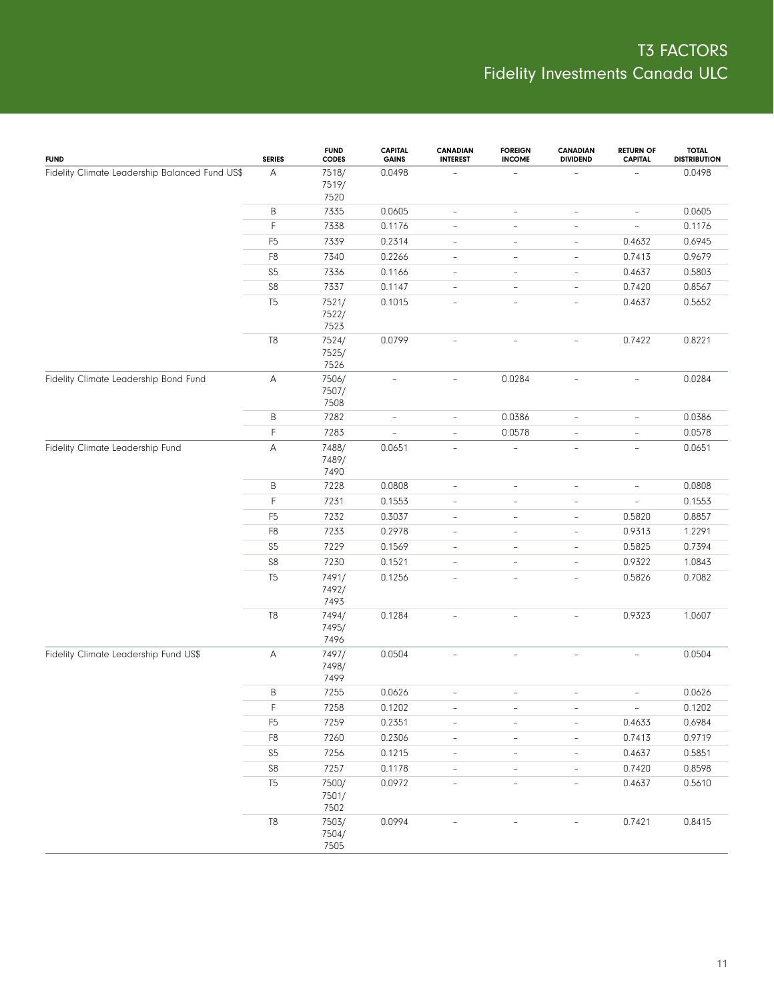| <b>FUND</b>                                    | <b>SERIES</b>  | <b>FUND</b><br><b>CODES</b> | <b>CAPITAL</b><br><b>GAINS</b> | <b>CANADIAN</b><br><b>INTEREST</b> | <b>FOREIGN</b><br><b>INCOME</b> | CANADIAN<br><b>DIVIDEND</b> | <b>RETURN OF</b><br><b>CAPITAL</b> | <b>TOTAL</b><br><b>DISTRIBUTION</b> |
|------------------------------------------------|----------------|-----------------------------|--------------------------------|------------------------------------|---------------------------------|-----------------------------|------------------------------------|-------------------------------------|
| Fidelity Climate Leadership Balanced Fund US\$ | A              | 7518/<br>7519/<br>7520      | 0.0498                         |                                    | $\overline{\phantom{a}}$        |                             |                                    | 0.0498                              |
|                                                | B              | 7335                        | 0.0605                         | $\qquad \qquad -$                  | $\qquad \qquad -$               | $\overline{\phantom{0}}$    | $\overline{\phantom{a}}$           | 0.0605                              |
|                                                | F              | 7338                        | 0.1176                         | $\overline{a}$                     | $\qquad \qquad -$               | $\overline{\phantom{0}}$    | $\overline{\phantom{a}}$           | 0.1176                              |
|                                                | F <sub>5</sub> | 7339                        | 0.2314                         | $\qquad \qquad -$                  | $\qquad \qquad -$               | $\qquad \qquad -$           | 0.4632                             | 0.6945                              |
|                                                | F8             | 7340                        | 0.2266                         | $\overline{a}$                     | $\qquad \qquad -$               | $\overline{\phantom{0}}$    | 0.7413                             | 0.9679                              |
|                                                | $S5\,$         | 7336                        | 0.1166                         | $\qquad \qquad -$                  | $\qquad \qquad -$               | $\qquad \qquad -$           | 0.4637                             | 0.5803                              |
|                                                | ${\sf S8}$     | 7337                        | 0.1147                         | $\overline{a}$                     | $\overline{\phantom{a}}$        | $\overline{\phantom{0}}$    | 0.7420                             | 0.8567                              |
|                                                | T <sub>5</sub> | 7521/<br>7522/<br>7523      | 0.1015                         | $\overline{\phantom{0}}$           | $\qquad \qquad -$               | $\overline{\phantom{0}}$    | 0.4637                             | 0.5652                              |
|                                                | T <sub>8</sub> | 7524/<br>7525/<br>7526      | 0.0799                         | $\overline{\phantom{a}}$           | $\qquad \qquad -$               | $\overline{\phantom{0}}$    | 0.7422                             | 0.8221                              |
| Fidelity Climate Leadership Bond Fund          | А              | 7506/<br>7507/<br>7508      | $\overline{\phantom{a}}$       | $\overline{\phantom{a}}$           | 0.0284                          | $\overline{\phantom{0}}$    | $\overline{\phantom{a}}$           | 0.0284                              |
|                                                | B              | 7282                        | $\overline{\phantom{0}}$       | $\overline{\phantom{0}}$           | 0.0386                          | $\overline{\phantom{0}}$    | $\overline{\phantom{a}}$           | 0.0386                              |
|                                                | F              | 7283                        | L,                             | $\overline{\phantom{0}}$           | 0.0578                          | $\overline{\phantom{0}}$    | $\overline{\phantom{a}}$           | 0.0578                              |
| Fidelity Climate Leadership Fund               | А              | 7488/<br>7489/<br>7490      | 0.0651                         | $\overline{a}$                     | ÷,                              | $\overline{\phantom{a}}$    | $\overline{\phantom{a}}$           | 0.0651                              |
|                                                | B              | 7228                        | 0.0808                         | $\qquad \qquad -$                  | $\qquad \qquad -$               | $\overline{\phantom{0}}$    | $\overline{\phantom{a}}$           | 0.0808                              |
|                                                | F              | 7231                        | 0.1553                         | $\overline{a}$                     | $\qquad \qquad -$               | $\overline{\phantom{0}}$    | $\overline{\phantom{a}}$           | 0.1553                              |
|                                                | F <sub>5</sub> | 7232                        | 0.3037                         | $\overline{a}$                     | $\qquad \qquad -$               | $\overline{\phantom{0}}$    | 0.5820                             | 0.8857                              |
|                                                | F8             | 7233                        | 0.2978                         | $\overline{a}$                     | $\qquad \qquad -$               | $\overline{\phantom{0}}$    | 0.9313                             | 1.2291                              |
|                                                | S <sub>5</sub> | 7229                        | 0.1569                         | $\qquad \qquad -$                  | $\qquad \qquad -$               | $\overline{\phantom{0}}$    | 0.5825                             | 0.7394                              |
|                                                | S8             | 7230                        | 0.1521                         | $\overline{a}$                     | $\qquad \qquad -$               | $\overline{\phantom{0}}$    | 0.9322                             | 1.0843                              |
|                                                | T <sub>5</sub> | 7491/<br>7492/<br>7493      | 0.1256                         | L,                                 | $\qquad \qquad -$               | $\overline{\phantom{0}}$    | 0.5826                             | 0.7082                              |
|                                                | $\mathbb{T}8$  | 7494/<br>7495/<br>7496      | 0.1284                         | $\bar{ }$                          | $\bar{ }$                       | $\bar{ }$                   | 0.9323                             | 1.0607                              |
| Fidelity Climate Leadership Fund US\$          | А              | 7497/<br>7498/<br>7499      | 0.0504                         | $\overline{\phantom{0}}$           | ÷,                              | $\overline{\phantom{0}}$    | $\overline{\phantom{a}}$           | 0.0504                              |
|                                                | B              | 7255                        | 0.0626                         | $\frac{1}{2}$                      | $\overline{\phantom{a}}$        | $\overline{\phantom{0}}$    | $\overline{\phantom{a}}$           | 0.0626                              |
|                                                | $\mathsf F$    | 7258                        | 0.1202                         |                                    |                                 |                             |                                    | 0.1202                              |
|                                                | F <sub>5</sub> | 7259                        | 0.2351                         | $\overline{\phantom{0}}$           | $\overline{\phantom{a}}$        | $\overline{\phantom{0}}$    | 0.4633                             | 0.6984                              |
|                                                | ${\sf F8}$     | 7260                        | 0.2306                         | $\qquad \qquad -$                  | $\overline{\phantom{a}}$        | $\overline{\phantom{0}}$    | 0.7413                             | 0.9719                              |
|                                                | $S5\,$         | 7256                        | 0.1215                         | $\overline{\phantom{0}}$           | $\qquad \qquad -$               | $\overline{\phantom{a}}$    | 0.4637                             | 0.5851                              |
|                                                | $\mathbb{S}8$  | 7257                        | 0.1178                         | $\overline{\phantom{a}}$           | $\bar{ }$                       | $\overline{\phantom{0}}$    | 0.7420                             | 0.8598                              |
|                                                | T <sub>5</sub> | 7500/<br>7501/<br>7502      | 0.0972                         | $\bar{ }$                          | $\bar{ }$                       | $\overline{\phantom{a}}$    | 0.4637                             | 0.5610                              |
|                                                | T8             | 7503/<br>7504/<br>7505      | 0.0994                         |                                    |                                 |                             | 0.7421                             | 0.8415                              |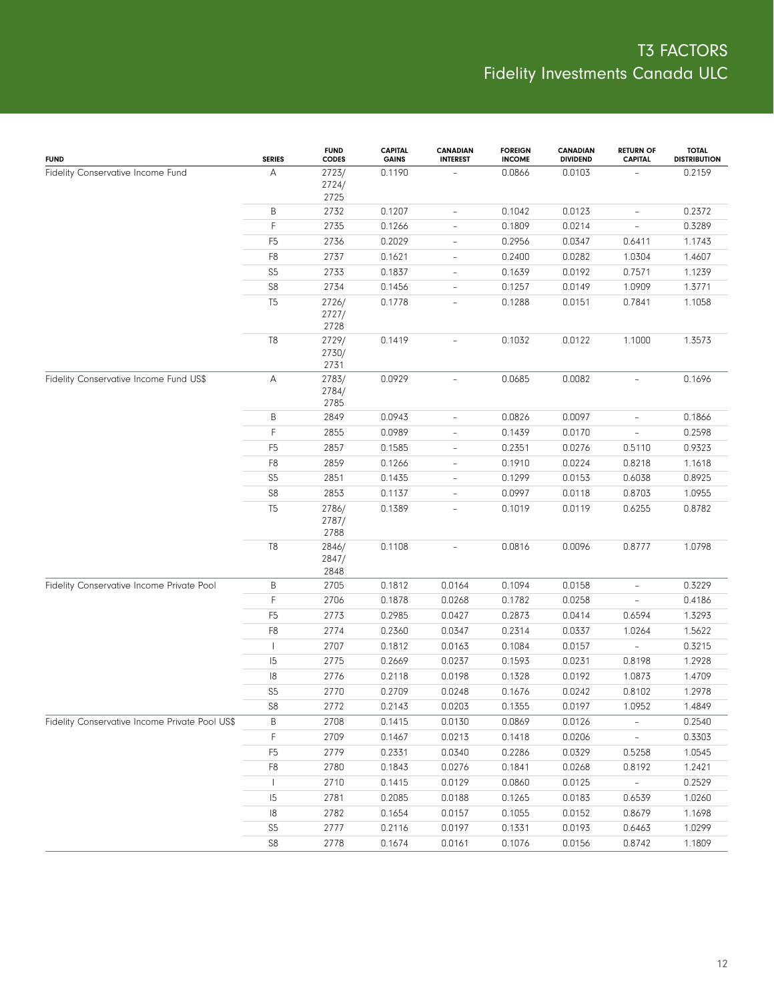| <b>FUND</b>                                    | <b>SERIES</b>  | <b>FUND</b><br><b>CODES</b> | <b>CAPITAL</b><br><b>GAINS</b> | <b>CANADIAN</b><br><b>INTEREST</b> | <b>FOREIGN</b><br><b>INCOME</b> | CANADIAN<br><b>DIVIDEND</b> | <b>RETURN OF</b><br><b>CAPITAL</b> | <b>TOTAL</b><br><b>DISTRIBUTION</b> |
|------------------------------------------------|----------------|-----------------------------|--------------------------------|------------------------------------|---------------------------------|-----------------------------|------------------------------------|-------------------------------------|
| Fidelity Conservative Income Fund              | А              | 2723/<br>2724/<br>2725      | 0.1190                         |                                    | 0.0866                          | 0.0103                      |                                    | 0.2159                              |
|                                                | B              | 2732                        | 0.1207                         | $\overline{\phantom{0}}$           | 0.1042                          | 0.0123                      | $\overline{\phantom{a}}$           | 0.2372                              |
|                                                | F              | 2735                        | 0.1266                         | $\overline{\phantom{0}}$           | 0.1809                          | 0.0214                      | $\overline{\phantom{a}}$           | 0.3289                              |
|                                                | F <sub>5</sub> | 2736                        | 0.2029                         | $\overline{\phantom{0}}$           | 0.2956                          | 0.0347                      | 0.6411                             | 1.1743                              |
|                                                | F <sub>8</sub> | 2737                        | 0.1621                         | $\overline{\phantom{0}}$           | 0.2400                          | 0.0282                      | 1.0304                             | 1.4607                              |
|                                                | S <sub>5</sub> | 2733                        | 0.1837                         | $\overline{\phantom{0}}$           | 0.1639                          | 0.0192                      | 0.7571                             | 1.1239                              |
|                                                | ${\sf S8}$     | 2734                        | 0.1456                         | $\overline{a}$                     | 0.1257                          | 0.0149                      | 1.0909                             | 1.3771                              |
|                                                | T <sub>5</sub> | 2726/<br>2727/<br>2728      | 0.1778                         |                                    | 0.1288                          | 0.0151                      | 0.7841                             | 1.1058                              |
|                                                | $\mathsf{T}8$  | 2729/<br>2730/<br>2731      | 0.1419                         |                                    | 0.1032                          | 0.0122                      | 1.1000                             | 1.3573                              |
| Fidelity Conservative Income Fund US\$         | Α              | 2783/<br>2784/<br>2785      | 0.0929                         | $\overline{a}$                     | 0.0685                          | 0.0082                      | $\overline{\phantom{a}}$           | 0.1696                              |
|                                                | B              | 2849                        | 0.0943                         | $\overline{\phantom{0}}$           | 0.0826                          | 0.0097                      | $\overline{\phantom{a}}$           | 0.1866                              |
|                                                | F              | 2855                        | 0.0989                         | $\overline{a}$                     | 0.1439                          | 0.0170                      | $\overline{\phantom{a}}$           | 0.2598                              |
|                                                | F <sub>5</sub> | 2857                        | 0.1585                         | $\overline{\phantom{0}}$           | 0.2351                          | 0.0276                      | 0.5110                             | 0.9323                              |
|                                                | F <sub>8</sub> | 2859                        | 0.1266                         | $\overline{\phantom{0}}$           | 0.1910                          | 0.0224                      | 0.8218                             | 1.1618                              |
|                                                | S <sub>5</sub> | 2851                        | 0.1435                         | $\overline{\phantom{0}}$           | 0.1299                          | 0.0153                      | 0.6038                             | 0.8925                              |
|                                                | S8             | 2853                        | 0.1137                         | $\overline{a}$                     | 0.0997                          | 0.0118                      | 0.8703                             | 1.0955                              |
|                                                | T <sub>5</sub> | 2786/<br>2787/<br>2788      | 0.1389                         | L,                                 | 0.1019                          | 0.0119                      | 0.6255                             | 0.8782                              |
|                                                | T8             | 2846/<br>2847/<br>2848      | 0.1108                         | $\overline{a}$                     | 0.0816                          | 0.0096                      | 0.8777                             | 1.0798                              |
| Fidelity Conservative Income Private Pool      | B              | 2705                        | 0.1812                         | 0.0164                             | 0.1094                          | 0.0158                      | $\qquad \qquad -$                  | 0.3229                              |
|                                                | F              | 2706                        | 0.1878                         | 0.0268                             | 0.1782                          | 0.0258                      | $\overline{\phantom{0}}$           | 0.4186                              |
|                                                | F <sub>5</sub> | 2773                        | 0.2985                         | 0.0427                             | 0.2873                          | 0.0414                      | 0.6594                             | 1.3293                              |
|                                                | F <sub>8</sub> | 2774                        | 0.2360                         | 0.0347                             | 0.2314                          | 0.0337                      | 1.0264                             | 1.5622                              |
|                                                |                | 2707                        | 0.1812                         | 0.0163                             | 0.1084                          | 0.0157                      | $\overline{\phantom{a}}$           | 0.3215                              |
|                                                | 15             | 2775                        | 0.2669                         | 0.0237                             | 0.1593                          | 0.0231                      | 0.8198                             | 1.2928                              |
|                                                | 8              | 2776                        | 0.2118                         | 0.0198                             | 0.1328                          | 0.0192                      | 1.0873                             | 1.4709                              |
|                                                | S <sub>5</sub> | 2770                        | 0.2709                         | 0.0248                             | 0.1676                          | 0.0242                      | 0.8102                             | 1.2978                              |
|                                                | S8             | 2772                        | 0.2143                         | 0.0203                             | 0.1355                          | 0.0197                      | 1.0952                             | 1.4849                              |
| Fidelity Conservative Income Private Pool US\$ | B              | 2708                        | 0.1415                         | 0.0130                             | 0.0869                          | 0.0126                      | $\overline{\phantom{a}}$           | 0.2540                              |
|                                                | F              | 2709                        | 0.1467                         | 0.0213                             | 0.1418                          | 0.0206                      | $\sim$                             | 0.3303                              |
|                                                | F <sub>5</sub> | 2779                        | 0.2331                         | 0.0340                             | 0.2286                          | 0.0329                      | 0.5258                             | 1.0545                              |
|                                                | F <sub>8</sub> | 2780                        | 0.1843                         | 0.0276                             | 0.1841                          | 0.0268                      | 0.8192                             | 1.2421                              |
|                                                | $\mathsf{L}$   | 2710                        | 0.1415                         | 0.0129                             | 0.0860                          | 0.0125                      | $\sim$                             | 0.2529                              |
|                                                | 5              | 2781                        | 0.2085                         | 0.0188                             | 0.1265                          | 0.0183                      | 0.6539                             | 1.0260                              |
|                                                | 8              | 2782                        | 0.1654                         | 0.0157                             | 0.1055                          | 0.0152                      | 0.8679                             | 1.1698                              |
|                                                | $S5\,$         | 2777                        | 0.2116                         | 0.0197                             | 0.1331                          | 0.0193                      | 0.6463                             | 1.0299                              |
|                                                | ${\sf S8}$     | 2778                        | 0.1674                         | 0.0161                             | 0.1076                          | 0.0156                      | 0.8742                             | 1.1809                              |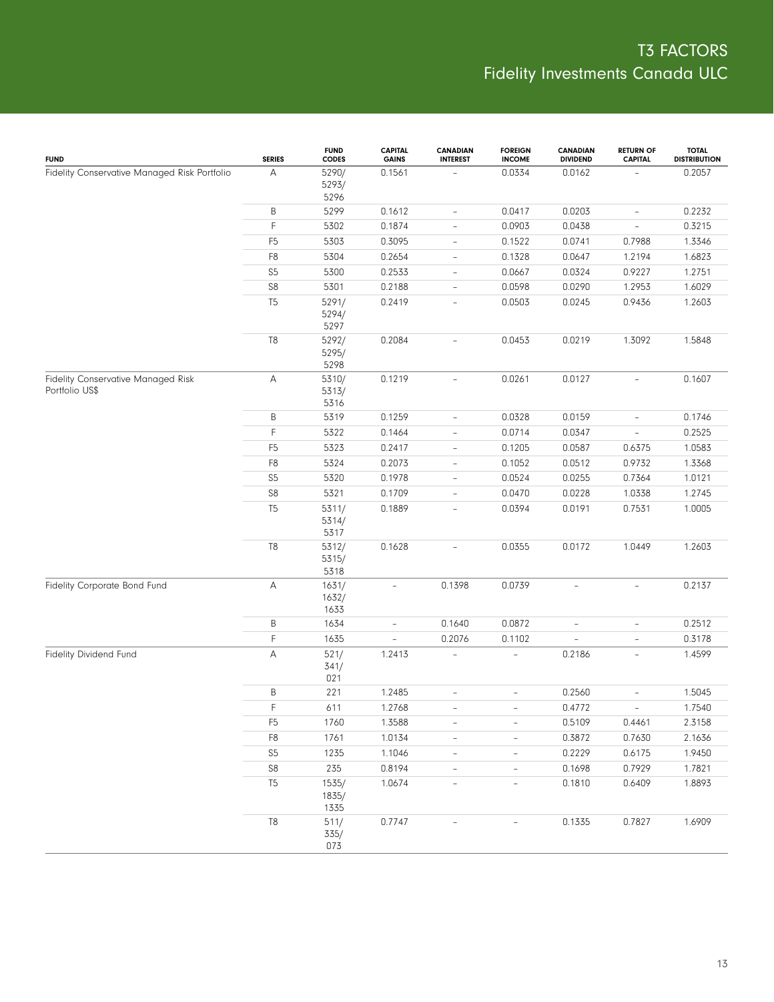| <b>FUND</b>                                                 | <b>SERIES</b>  | <b>FUND</b><br>CODES   | <b>CAPITAL</b><br><b>GAINS</b> | <b>CANADIAN</b><br><b>INTEREST</b> | <b>FOREIGN</b><br><b>INCOME</b> | <b>CANADIAN</b><br><b>DIVIDEND</b> | <b>RETURN OF</b><br><b>CAPITAL</b> | <b>TOTAL</b><br><b>DISTRIBUTION</b> |
|-------------------------------------------------------------|----------------|------------------------|--------------------------------|------------------------------------|---------------------------------|------------------------------------|------------------------------------|-------------------------------------|
| Fidelity Conservative Managed Risk Portfolio                | Α              | 5290/<br>5293/<br>5296 | 0.1561                         |                                    | 0.0334                          | 0.0162                             |                                    | 0.2057                              |
|                                                             | B              | 5299                   | 0.1612                         | $\overline{\phantom{a}}$           | 0.0417                          | 0.0203                             | $\qquad \qquad -$                  | 0.2232                              |
|                                                             | F              | 5302                   | 0.1874                         | $\overline{\phantom{a}}$           | 0.0903                          | 0.0438                             | $\overline{\phantom{a}}$           | 0.3215                              |
|                                                             | F <sub>5</sub> | 5303                   | 0.3095                         | $\overline{\phantom{a}}$           | 0.1522                          | 0.0741                             | 0.7988                             | 1.3346                              |
|                                                             | F8             | 5304                   | 0.2654                         | $\overline{\phantom{a}}$           | 0.1328                          | 0.0647                             | 1.2194                             | 1.6823                              |
|                                                             | S <sub>5</sub> | 5300                   | 0.2533                         | $\overline{\phantom{a}}$           | 0.0667                          | 0.0324                             | 0.9227                             | 1.2751                              |
|                                                             | ${\sf S8}$     | 5301                   | 0.2188                         | $\overline{\phantom{a}}$           | 0.0598                          | 0.0290                             | 1.2953                             | 1.6029                              |
|                                                             | T <sub>5</sub> | 5291/<br>5294/<br>5297 | 0.2419                         | $\overline{\phantom{a}}$           | 0.0503                          | 0.0245                             | 0.9436                             | 1.2603                              |
|                                                             | T <sub>8</sub> | 5292/<br>5295/<br>5298 | 0.2084                         | ÷,                                 | 0.0453                          | 0.0219                             | 1.3092                             | 1.5848                              |
| <b>Fidelity Conservative Managed Risk</b><br>Portfolio US\$ | A              | 5310/<br>5313/<br>5316 | 0.1219                         | $\overline{\phantom{a}}$           | 0.0261                          | 0.0127                             | $\overline{\phantom{a}}$           | 0.1607                              |
|                                                             | Β              | 5319                   | 0.1259                         | $\overline{\phantom{a}}$           | 0.0328                          | 0.0159                             | $\overline{\phantom{a}}$           | 0.1746                              |
|                                                             | F              | 5322                   | 0.1464                         | $\overline{\phantom{a}}$           | 0.0714                          | 0.0347                             | $\overline{\phantom{a}}$           | 0.2525                              |
|                                                             | F <sub>5</sub> | 5323                   | 0.2417                         | $\overline{\phantom{a}}$           | 0.1205                          | 0.0587                             | 0.6375                             | 1.0583                              |
|                                                             | F <sub>8</sub> | 5324                   | 0.2073                         | $\overline{\phantom{a}}$           | 0.1052                          | 0.0512                             | 0.9732                             | 1.3368                              |
|                                                             | S <sub>5</sub> | 5320                   | 0.1978                         | $\overline{\phantom{a}}$           | 0.0524                          | 0.0255                             | 0.7364                             | 1.0121                              |
|                                                             | S <sub>8</sub> | 5321                   | 0.1709                         | $\overline{\phantom{0}}$           | 0.0470                          | 0.0228                             | 1.0338                             | 1.2745                              |
|                                                             | T <sub>5</sub> | 5311/<br>5314/<br>5317 | 0.1889                         | $\overline{\phantom{0}}$           | 0.0394                          | 0.0191                             | 0.7531                             | 1.0005                              |
|                                                             | T <sub>8</sub> | 5312/<br>5315/<br>5318 | 0.1628                         | $\overline{\phantom{0}}$           | 0.0355                          | 0.0172                             | 1.0449                             | 1.2603                              |
| Fidelity Corporate Bond Fund                                | А              | 1631/<br>1632/<br>1633 | $\overline{\phantom{a}}$       | 0.1398                             | 0.0739                          | $\overline{\phantom{a}}$           | $\overline{\phantom{a}}$           | 0.2137                              |
|                                                             | B              | 1634                   | $\qquad \qquad -$              | 0.1640                             | 0.0872                          | $\overline{\phantom{a}}$           | $\overline{\phantom{a}}$           | 0.2512                              |
|                                                             | $\mathsf F$    | 1635                   | $\frac{1}{2}$                  | 0.2076                             | 0.1102                          | $\frac{1}{2}$                      | $\overline{\phantom{a}}$           | 0.3178                              |
| Fidelity Dividend Fund                                      | А              | 521/<br>341/<br>021    | 1.2413                         | $\qquad \qquad -$                  | $\frac{1}{2}$                   | 0.2186                             | $\overline{\phantom{a}}$           | 1.4599                              |
|                                                             | B              | 221                    | 1.2485                         | $\qquad \qquad -$                  | $\overline{\phantom{0}}$        | 0.2560                             | $\overline{\phantom{a}}$           | 1.5045                              |
|                                                             | $\mathsf F$    | 611                    | 1.2768                         |                                    |                                 | 0.4772                             |                                    | 1.7540                              |
|                                                             | F <sub>5</sub> | 1760                   | 1.3588                         | $\overline{\phantom{a}}$           | $\qquad \qquad -$               | 0.5109                             | 0.4461                             | 2.3158                              |
|                                                             | ${\sf F8}$     | 1761                   | 1.0134                         | $\overline{\phantom{0}}$           | $\qquad \qquad -$               | 0.3872                             | 0.7630                             | 2.1636                              |
|                                                             | S <sub>5</sub> | 1235                   | 1.1046                         | $\overline{\phantom{a}}$           | $\overline{\phantom{0}}$        | 0.2229                             | 0.6175                             | 1.9450                              |
|                                                             | $\mathbb{S}8$  | 235                    | 0.8194                         | $\frac{1}{2}$                      | $\bar{ }$                       | 0.1698                             | 0.7929                             | 1.7821                              |
|                                                             | T <sub>5</sub> | 1535/<br>1835/<br>1335 | 1.0674                         | $\overline{\phantom{a}}$           | $\overline{\phantom{a}}$        | 0.1810                             | 0.6409                             | 1.8893                              |
|                                                             | T8             | 511/<br>335/<br>073    | 0.7747                         |                                    |                                 | 0.1335                             | 0.7827                             | 1.6909                              |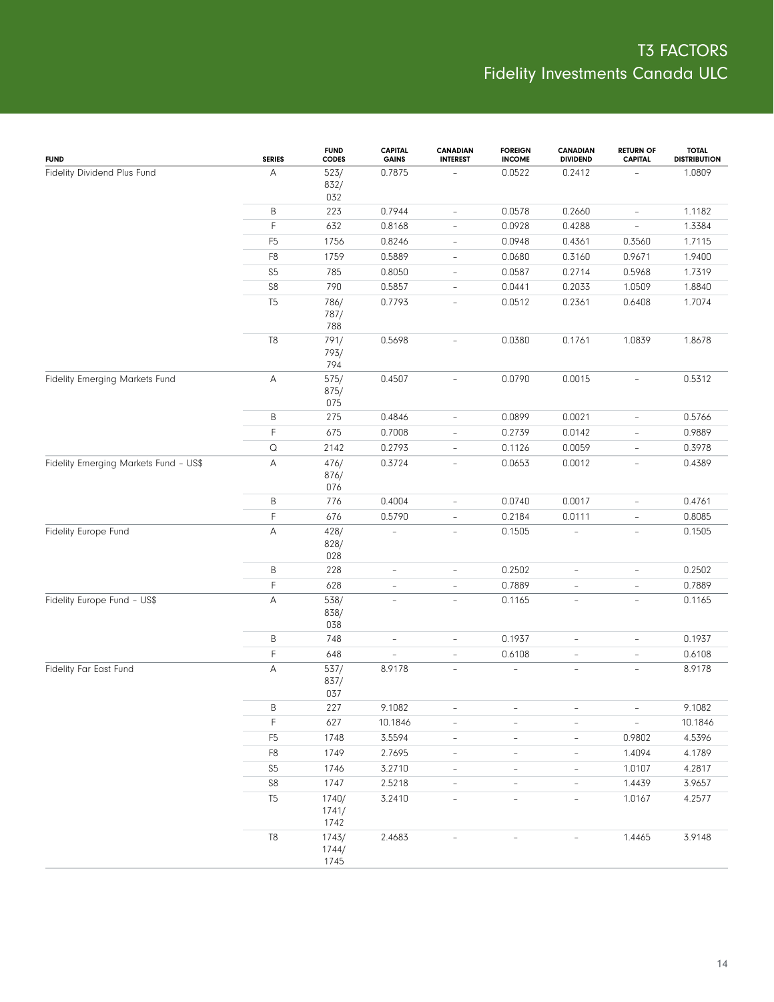| <b>FUND</b>                           | <b>SERIES</b>         | <b>FUND</b><br><b>CODES</b> | <b>CAPITAL</b><br><b>GAINS</b> | <b>CANADIAN</b><br><b>INTEREST</b> | <b>FOREIGN</b><br><b>INCOME</b> | <b>CANADIAN</b><br><b>DIVIDEND</b> | <b>RETURN OF</b><br><b>CAPITAL</b> | <b>TOTAL</b><br><b>DISTRIBUTION</b> |
|---------------------------------------|-----------------------|-----------------------------|--------------------------------|------------------------------------|---------------------------------|------------------------------------|------------------------------------|-------------------------------------|
| Fidelity Dividend Plus Fund           | А                     | 523/<br>832/<br>032         | 0.7875                         |                                    | 0.0522                          | 0.2412                             |                                    | 1.0809                              |
|                                       | Β                     | 223                         | 0.7944                         | $\overline{\phantom{a}}$           | 0.0578                          | 0.2660                             | $\overline{\phantom{a}}$           | 1.1182                              |
|                                       | F                     | 632                         | 0.8168                         | $\overline{\phantom{a}}$           | 0.0928                          | 0.4288                             | $\overline{\phantom{a}}$           | 1.3384                              |
|                                       | F <sub>5</sub>        | 1756                        | 0.8246                         | $\overline{\phantom{a}}$           | 0.0948                          | 0.4361                             | 0.3560                             | 1.7115                              |
|                                       | F <sub>8</sub>        | 1759                        | 0.5889                         | $\overline{\phantom{a}}$           | 0.0680                          | 0.3160                             | 0.9671                             | 1.9400                              |
|                                       | S <sub>5</sub>        | 785                         | 0.8050                         | $\overline{\phantom{a}}$           | 0.0587                          | 0.2714                             | 0.5968                             | 1.7319                              |
|                                       | ${\sf S8}$            | 790                         | 0.5857                         | $\overline{\phantom{a}}$           | 0.0441                          | 0.2033                             | 1.0509                             | 1.8840                              |
|                                       | T <sub>5</sub>        | 786/<br>787/<br>788         | 0.7793                         | $\overline{\phantom{a}}$           | 0.0512                          | 0.2361                             | 0.6408                             | 1.7074                              |
|                                       | T <sub>8</sub>        | 791/<br>793/<br>794         | 0.5698                         | $\overline{\phantom{0}}$           | 0.0380                          | 0.1761                             | 1.0839                             | 1.8678                              |
| Fidelity Emerging Markets Fund        | А                     | 575/<br>875/<br>075         | 0.4507                         | $\overline{\phantom{a}}$           | 0.0790                          | 0.0015                             | $\overline{\phantom{a}}$           | 0.5312                              |
|                                       | B                     | 275                         | 0.4846                         | $\overline{\phantom{0}}$           | 0.0899                          | 0.0021                             | $\overline{\phantom{a}}$           | 0.5766                              |
|                                       | F                     | 675                         | 0.7008                         | $\overline{\phantom{a}}$           | 0.2739                          | 0.0142                             | $\overline{\phantom{a}}$           | 0.9889                              |
|                                       | $\hbox{\large \it Q}$ | 2142                        | 0.2793                         | $\frac{1}{2}$                      | 0.1126                          | 0.0059                             | $\overline{\phantom{a}}$           | 0.3978                              |
| Fidelity Emerging Markets Fund - US\$ | А                     | 476/<br>876/<br>076         | 0.3724                         | $\overline{\phantom{a}}$           | 0.0653                          | 0.0012                             | $\overline{\phantom{0}}$           | 0.4389                              |
|                                       | B                     | 776                         | 0.4004                         | $\overline{\phantom{a}}$           | 0.0740                          | 0.0017                             | $\overline{\phantom{a}}$           | 0.4761                              |
|                                       | F                     | 676                         | 0.5790                         | $\frac{1}{2}$                      | 0.2184                          | 0.0111                             | $\overline{\phantom{a}}$           | 0.8085                              |
| Fidelity Europe Fund                  | А                     | 428/<br>828/<br>028         | $\qquad \qquad -$              | $\overline{\phantom{a}}$           | 0.1505                          | $\overline{\phantom{a}}$           | $\overline{\phantom{a}}$           | 0.1505                              |
|                                       | B                     | 228                         | $\qquad \qquad -$              | $\overline{\phantom{a}}$           | 0.2502                          | $\overline{\phantom{a}}$           | $\overline{\phantom{a}}$           | 0.2502                              |
|                                       | F                     | 628                         | $\bar{ }$                      | $\overline{\phantom{a}}$           | 0.7889                          | $\overline{\phantom{a}}$           | $\overline{\phantom{a}}$           | 0.7889                              |
| Fidelity Europe Fund - US\$           | А                     | 538/<br>838/<br>038         | $\overline{\phantom{0}}$       | $\omega$                           | 0.1165                          | $\overline{\phantom{a}}$           | $\bar{a}$                          | 0.1165                              |
|                                       | B                     | 748                         | $\overline{\phantom{0}}$       | $\overline{\phantom{a}}$           | 0.1937                          | $\overline{\phantom{a}}$           | $\overline{\phantom{a}}$           | 0.1937                              |
|                                       | F                     | 648                         | $\bar{ }$                      | $\overline{\phantom{a}}$           | 0.6108                          | $\overline{\phantom{a}}$           | $\overline{\phantom{a}}$           | 0.6108                              |
| Fidelity Far East Fund                | А                     | 537/<br>837/<br>037         | 8.9178                         | $\overline{\phantom{a}}$           | $\overline{a}$                  | $\overline{\phantom{a}}$           | $\overline{\phantom{a}}$           | 8.9178                              |
|                                       | B                     | 227                         | 9.1082                         |                                    |                                 |                                    |                                    | 9.1082                              |
|                                       | F                     | 627                         | 10.1846                        | $\overline{\phantom{a}}$           | $\overline{\phantom{0}}$        | $\overline{\phantom{a}}$           | $\equiv$                           | 10.1846                             |
|                                       | F <sub>5</sub>        | 1748                        | 3.5594                         | $\overline{\phantom{a}}$           | $\overline{\phantom{a}}$        | $\overline{\phantom{a}}$           | 0.9802                             | 4.5396                              |
|                                       | F8                    | 1749                        | 2.7695                         | $\overline{\phantom{a}}$           | $\overline{\phantom{0}}$        | $\overline{\phantom{a}}$           | 1.4094                             | 4.1789                              |
|                                       | S <sub>5</sub>        | 1746                        | 3.2710                         | $\overline{\phantom{a}}$           | $\overline{\phantom{0}}$        | $\overline{\phantom{a}}$           | 1.0107                             | 4.2817                              |
|                                       | S8                    | 1747                        | 2.5218                         | $\overline{\phantom{a}}$           | $\overline{\phantom{a}}$        | $\overline{\phantom{a}}$           | 1.4439                             | 3.9657                              |
|                                       | T <sub>5</sub>        | 1740/<br>1741/<br>1742      | 3.2410                         | $\overline{\phantom{a}}$           | $\overline{\phantom{a}}$        | $\overline{\phantom{a}}$           | 1.0167                             | 4.2577                              |
|                                       | T8                    | 1743/<br>1744/<br>1745      | 2.4683                         |                                    |                                 |                                    | 1.4465                             | 3.9148                              |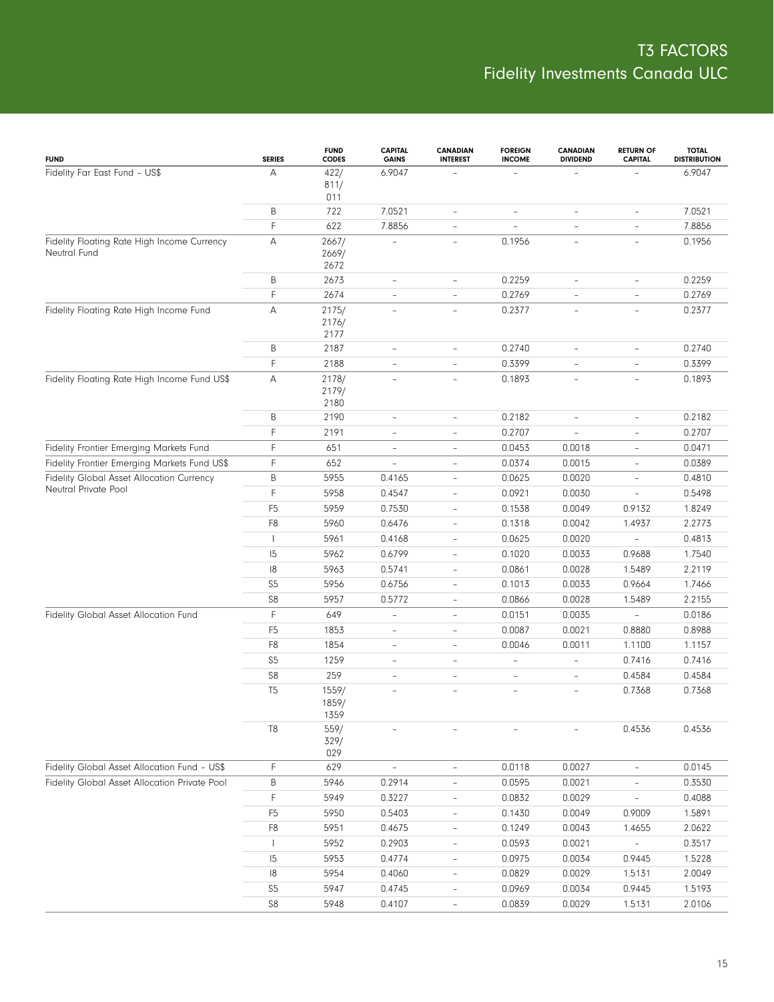| <b>FUND</b>                                                 | <b>SERIES</b>  | <b>FUND</b><br><b>CODES</b> | <b>CAPITAL</b><br><b>GAINS</b> | CANADIAN<br><b>INTEREST</b> | <b>FOREIGN</b><br><b>INCOME</b> | <b>CANADIAN</b><br><b>DIVIDEND</b> | <b>RETURN OF</b><br><b>CAPITAL</b> | <b>TOTAL</b><br><b>DISTRIBUTION</b> |
|-------------------------------------------------------------|----------------|-----------------------------|--------------------------------|-----------------------------|---------------------------------|------------------------------------|------------------------------------|-------------------------------------|
| Fidelity Far East Fund - US\$                               | А              | 422/<br>811/<br>011         | 6.9047                         |                             |                                 |                                    |                                    | 6.9047                              |
|                                                             | В              | 722                         | 7.0521                         | $\qquad \qquad -$           | $\qquad \qquad -$               | $\overline{\phantom{a}}$           | $\qquad \qquad -$                  | 7.0521                              |
|                                                             | F              | 622                         | 7.8856                         | $\overline{\phantom{a}}$    | $\overline{\phantom{a}}$        | $\qquad \qquad -$                  | $\overline{\phantom{a}}$           | 7.8856                              |
| Fidelity Floating Rate High Income Currency<br>Neutral Fund | Α              | 2667/<br>2669/<br>2672      |                                | $\qquad \qquad -$           | 0.1956                          | $\overline{\phantom{a}}$           | $\qquad \qquad -$                  | 0.1956                              |
|                                                             | Β              | 2673                        | $\overline{\phantom{a}}$       | $\overline{\phantom{a}}$    | 0.2259                          | $\overline{\phantom{0}}$           | $\overline{\phantom{a}}$           | 0.2259                              |
|                                                             | F              | 2674                        | $\overline{\phantom{a}}$       | $\overline{\phantom{a}}$    | 0.2769                          | $\overline{\phantom{a}}$           | $\overline{\phantom{a}}$           | 0.2769                              |
| Fidelity Floating Rate High Income Fund                     | А              | 2175/<br>2176/<br>2177      | $\overline{\phantom{a}}$       | $\overline{\phantom{a}}$    | 0.2377                          | $\overline{\phantom{a}}$           | $\overline{\phantom{a}}$           | 0.2377                              |
|                                                             | Β              | 2187                        | $\overline{\phantom{a}}$       | $\overline{\phantom{a}}$    | 0.2740                          | $\overline{\phantom{0}}$           | $\overline{\phantom{a}}$           | 0.2740                              |
|                                                             | F              | 2188                        | $\overline{\phantom{a}}$       | $\overline{\phantom{a}}$    | 0.3399                          | $\qquad \qquad -$                  | $\overline{\phantom{a}}$           | 0.3399                              |
| Fidelity Floating Rate High Income Fund US\$                | А              | 2178/<br>2179/<br>2180      | $\bar{a}$                      | $\overline{\phantom{a}}$    | 0.1893                          | $\overline{\phantom{a}}$           | $\bar{a}$                          | 0.1893                              |
|                                                             | В              | 2190                        | $\overline{\phantom{a}}$       | $\overline{\phantom{a}}$    | 0.2182                          | $\overline{\phantom{a}}$           | $\qquad \qquad -$                  | 0.2182                              |
|                                                             | F              | 2191                        | $\overline{\phantom{a}}$       | $\overline{\phantom{a}}$    | 0.2707                          | L,                                 | $\overline{\phantom{a}}$           | 0.2707                              |
| Fidelity Frontier Emerging Markets Fund                     | F              | 651                         | $\overline{\phantom{a}}$       | $\overline{\phantom{0}}$    | 0.0453                          | 0.0018                             | $\overline{\phantom{a}}$           | 0.0471                              |
| Fidelity Frontier Emerging Markets Fund US\$                | F              | 652                         | $\overline{\phantom{a}}$       | $\overline{\phantom{0}}$    | 0.0374                          | 0.0015                             | $\overline{\phantom{a}}$           | 0.0389                              |
| Fidelity Global Asset Allocation Currency                   | B              | 5955                        | 0.4165                         | $\overline{\phantom{a}}$    | 0.0625                          | 0.0020                             | $\overline{\phantom{a}}$           | 0.4810                              |
| Neutral Private Pool                                        | F              | 5958                        | 0.4547                         | $\overline{\phantom{a}}$    | 0.0921                          | 0.0030                             | $\overline{\phantom{0}}$           | 0.5498                              |
|                                                             | F <sub>5</sub> | 5959                        | 0.7530                         | $\overline{\phantom{a}}$    | 0.1538                          | 0.0049                             | 0.9132                             | 1.8249                              |
|                                                             | F8             | 5960                        | 0.6476                         | $\overline{\phantom{a}}$    | 0.1318                          | 0.0042                             | 1.4937                             | 2.2773                              |
|                                                             |                | 5961                        | 0.4168                         | $\overline{\phantom{a}}$    | 0.0625                          | 0.0020                             | $\overline{\phantom{a}}$           | 0.4813                              |
|                                                             | 15             | 5962                        | 0.6799                         | $\overline{\phantom{a}}$    | 0.1020                          | 0.0033                             | 0.9688                             | 1.7540                              |
|                                                             | 18             | 5963                        | 0.5741                         | $\overline{\phantom{a}}$    | 0.0861                          | 0.0028                             | 1.5489                             | 2.2119                              |
|                                                             | S <sub>5</sub> | 5956                        | 0.6756                         | $\overline{\phantom{a}}$    | 0.1013                          | 0.0033                             | 0.9664                             | 1.7466                              |
|                                                             | S <sub>8</sub> | 5957                        | 0.5772                         | $\overline{\phantom{0}}$    | 0.0866                          | 0.0028                             | 1.5489                             | 2.2155                              |
| Fidelity Global Asset Allocation Fund                       | F              | 649                         | ÷,                             | $\overline{\phantom{0}}$    | 0.0151                          | 0.0035                             | $\overline{\phantom{a}}$           | 0.0186                              |
|                                                             | F <sub>5</sub> | 1853                        | $\overline{\phantom{a}}$       | $\overline{\phantom{a}}$    | 0.0087                          | 0.0021                             | 0.8880                             | 0.8988                              |
|                                                             | F8             | 1854                        | $\overline{\phantom{a}}$       | $\overline{\phantom{a}}$    | 0.0046                          | 0.0011                             | 1.1100                             | 1.1157                              |
|                                                             | S <sub>5</sub> | 1259                        | $\overline{\phantom{a}}$       | $\overline{\phantom{a}}$    | $\bar{ }$                       | $\overline{\phantom{0}}$           | 0.7416                             | 0.7416                              |
|                                                             | S <sub>8</sub> | 259                         | $\overline{\phantom{a}}$       | $\overline{\phantom{a}}$    | $\overline{\phantom{a}}$        | $\overline{\phantom{0}}$           | 0.4584                             | 0.4584                              |
|                                                             | T <sub>5</sub> | 1559/<br>1859/<br>1359      | $\overline{\phantom{a}}$       | ۳                           | $\sim$                          | $\equiv$                           | 0.7368                             | 0.7368                              |
|                                                             | T <sub>8</sub> | 559/<br>329/<br>029         |                                |                             |                                 |                                    | 0.4536                             | 0.4536                              |
| Fidelity Global Asset Allocation Fund - US\$                | F              | 629                         | $\overline{\phantom{a}}$       | $\overline{\phantom{a}}$    | 0.0118                          | 0.0027                             | $\overline{\phantom{a}}$           | 0.0145                              |
| Fidelity Global Asset Allocation Private Pool               | B              | 5946                        | 0.2914                         | $\overline{\phantom{0}}$    | 0.0595                          | 0.0021                             | $\overline{\phantom{0}}$           | 0.3530                              |
|                                                             | F              | 5949                        | 0.3227                         | $\overline{\phantom{0}}$    | 0.0832                          | 0.0029                             | $\overline{\phantom{0}}$           | 0.4088                              |
|                                                             | F <sub>5</sub> | 5950                        | 0.5403                         | $\overline{\phantom{0}}$    | 0.1430                          | 0.0049                             | 0.9009                             | 1.5891                              |
|                                                             | F8             | 5951                        | 0.4675                         | $\overline{\phantom{0}}$    | 0.1249                          | 0.0043                             | 1.4655                             | 2.0622                              |
|                                                             |                | 5952                        | 0.2903                         | $\overline{\phantom{0}}$    | 0.0593                          | 0.0021                             | $\overline{\phantom{0}}$           | 0.3517                              |
|                                                             | 15             | 5953                        | 0.4774                         | $\overline{\phantom{0}}$    | 0.0975                          | 0.0034                             | 0.9445                             | 1.5228                              |
|                                                             | $\vert 8$      | 5954                        | 0.4060                         | $\overline{\phantom{0}}$    | 0.0829                          | 0.0029                             | 1.5131                             | 2.0049                              |
|                                                             | S <sub>5</sub> | 5947                        | 0.4745                         | $\overline{\phantom{0}}$    | 0.0969                          | 0.0034                             | 0.9445                             | 1.5193                              |
|                                                             | ${\sf S8}$     | 5948                        | 0.4107                         | $\overline{\phantom{a}}$    | 0.0839                          | 0.0029                             | 1.5131                             | 2.0106                              |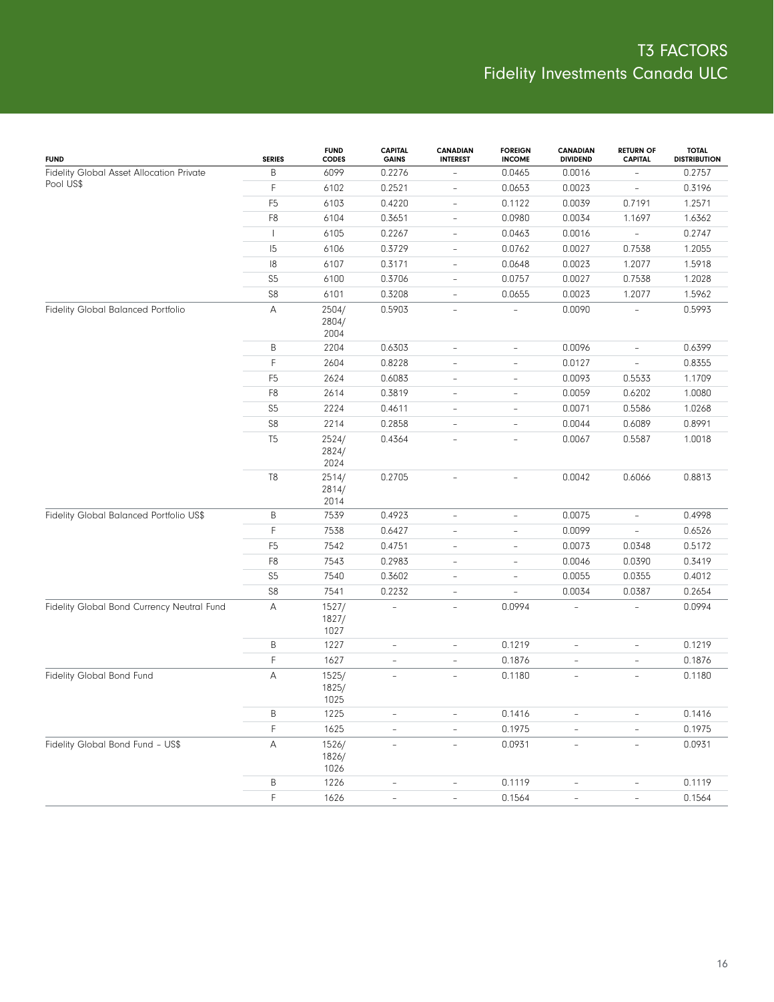| <b>FUND</b>                                | <b>SERIES</b>  | <b>FUND</b><br><b>CODES</b> | <b>CAPITAL</b><br><b>GAINS</b> | <b>CANADIAN</b><br><b>INTEREST</b> | <b>FOREIGN</b><br><b>INCOME</b> | <b>CANADIAN</b><br><b>DIVIDEND</b> | <b>RETURN OF</b><br><b>CAPITAL</b> | <b>TOTAL</b><br><b>DISTRIBUTION</b> |
|--------------------------------------------|----------------|-----------------------------|--------------------------------|------------------------------------|---------------------------------|------------------------------------|------------------------------------|-------------------------------------|
| Fidelity Global Asset Allocation Private   | B              | 6099                        | 0.2276                         | $\overline{\phantom{0}}$           | 0.0465                          | 0.0016                             |                                    | 0.2757                              |
| Pool US\$                                  | F              | 6102                        | 0.2521                         | $\overline{a}$                     | 0.0653                          | 0.0023                             | $\overline{\phantom{a}}$           | 0.3196                              |
|                                            | F <sub>5</sub> | 6103                        | 0.4220                         | $\overline{a}$                     | 0.1122                          | 0.0039                             | 0.7191                             | 1.2571                              |
|                                            | F8             | 6104                        | 0.3651                         | $\overline{\phantom{0}}$           | 0.0980                          | 0.0034                             | 1.1697                             | 1.6362                              |
|                                            | $\mathbf{I}$   | 6105                        | 0.2267                         | $\overline{\phantom{0}}$           | 0.0463                          | 0.0016                             | $\overline{\phantom{a}}$           | 0.2747                              |
|                                            | 15             | 6106                        | 0.3729                         | $\overline{\phantom{0}}$           | 0.0762                          | 0.0027                             | 0.7538                             | 1.2055                              |
|                                            | 18             | 6107                        | 0.3171                         | $\overline{a}$                     | 0.0648                          | 0.0023                             | 1.2077                             | 1.5918                              |
|                                            | S <sub>5</sub> | 6100                        | 0.3706                         | $\qquad \qquad -$                  | 0.0757                          | 0.0027                             | 0.7538                             | 1.2028                              |
|                                            | ${\sf S8}$     | 6101                        | 0.3208                         | $\overline{\phantom{0}}$           | 0.0655                          | 0.0023                             | 1.2077                             | 1.5962                              |
| Fidelity Global Balanced Portfolio         | А              | 2504/<br>2804/<br>2004      | 0.5903                         | $\overline{\phantom{0}}$           |                                 | 0.0090                             |                                    | 0.5993                              |
|                                            | Β              | 2204                        | 0.6303                         | $\qquad \qquad -$                  | $\overline{\phantom{a}}$        | 0.0096                             | $\overline{\phantom{a}}$           | 0.6399                              |
|                                            | F              | 2604                        | 0.8228                         | $\overline{\phantom{0}}$           | $\overline{\phantom{0}}$        | 0.0127                             | $\overline{\phantom{a}}$           | 0.8355                              |
|                                            | F <sub>5</sub> | 2624                        | 0.6083                         | $\overline{\phantom{a}}$           | $\overline{\phantom{a}}$        | 0.0093                             | 0.5533                             | 1.1709                              |
|                                            | F8             | 2614                        | 0.3819                         | $\overline{\phantom{a}}$           | $\overline{\phantom{a}}$        | 0.0059                             | 0.6202                             | 1.0080                              |
|                                            | S5             | 2224                        | 0.4611                         | $\overline{\phantom{a}}$           | $\bar{ }$                       | 0.0071                             | 0.5586                             | 1.0268                              |
|                                            | ${\sf S8}$     | 2214                        | 0.2858                         | $\overline{\phantom{a}}$           | $\overline{\phantom{a}}$        | 0.0044                             | 0.6089                             | 0.8991                              |
|                                            | T <sub>5</sub> | 2524/<br>2824/<br>2024      | 0.4364                         | L,                                 | L,                              | 0.0067                             | 0.5587                             | 1.0018                              |
|                                            | T <sub>8</sub> | 2514/<br>2814/<br>2014      | 0.2705                         | $\overline{\phantom{a}}$           | $\overline{a}$                  | 0.0042                             | 0.6066                             | 0.8813                              |
| Fidelity Global Balanced Portfolio US\$    | Β              | 7539                        | 0.4923                         | $\frac{1}{2}$                      | $\overline{\phantom{a}}$        | 0.0075                             | $\overline{\phantom{a}}$           | 0.4998                              |
|                                            | F              | 7538                        | 0.6427                         | $\overline{a}$                     | $\overline{\phantom{a}}$        | 0.0099                             | $\overline{\phantom{0}}$           | 0.6526                              |
|                                            | F <sub>5</sub> | 7542                        | 0.4751                         | $\bar{ }$                          | $\overline{\phantom{a}}$        | 0.0073                             | 0.0348                             | 0.5172                              |
|                                            | F8             | 7543                        | 0.2983                         | $\qquad \qquad -$                  | $\overline{\phantom{a}}$        | 0.0046                             | 0.0390                             | 0.3419                              |
|                                            | S <sub>5</sub> | 7540                        | 0.3602                         | $\qquad \qquad -$                  | $\overline{\phantom{a}}$        | 0.0055                             | 0.0355                             | 0.4012                              |
|                                            | S <sub>8</sub> | 7541                        | 0.2232                         | $\qquad \qquad -$                  |                                 | 0.0034                             | 0.0387                             | 0.2654                              |
| Fidelity Global Bond Currency Neutral Fund | A              | 1527/<br>1827/<br>1027      | $\frac{1}{2}$                  | $\frac{1}{2}$                      | 0.0994                          | $\overline{\phantom{a}}$           | $\overline{\phantom{a}}$           | 0.0994                              |
|                                            | Β              | 1227                        | $\qquad \qquad -$              | $\overline{a}$                     | 0.1219                          | $\overline{\phantom{0}}$           | $\overline{\phantom{a}}$           | 0.1219                              |
|                                            | F              | 1627                        | $\overline{\phantom{a}}$       | L,                                 | 0.1876                          | $\overline{\phantom{0}}$           | $\overline{\phantom{a}}$           | 0.1876                              |
| Fidelity Global Bond Fund                  | А              | 1525/<br>1825/<br>1025      | $\bar{ }$                      | $\overline{\phantom{a}}$           | 0.1180                          | $\overline{\phantom{0}}$           | $\overline{\phantom{a}}$           | 0.1180                              |
|                                            | Β              | 1225                        |                                | $\overline{\phantom{0}}$           | 0.1416                          |                                    |                                    | 0.1416                              |
|                                            | F              | 1625                        |                                |                                    | 0.1975                          |                                    |                                    | 0.1975                              |
| Fidelity Global Bond Fund - US\$           | А              | 1526/<br>1826/<br>1026      | $\overline{a}$                 | $\frac{1}{2}$                      | 0.0931                          | $\overline{\phantom{a}}$           | $\overline{\phantom{a}}$           | 0.0931                              |
|                                            | B              | 1226                        | $\overline{a}$                 | $\overline{\phantom{0}}$           | 0.1119                          | $\overline{\phantom{0}}$           | $\overline{\phantom{0}}$           | 0.1119                              |
|                                            | $\mathsf F$    | 1626                        | $\blacksquare$                 | $\qquad \qquad -$                  | 0.1564                          | $\frac{1}{2}$                      | $\overline{\phantom{a}}$           | 0.1564                              |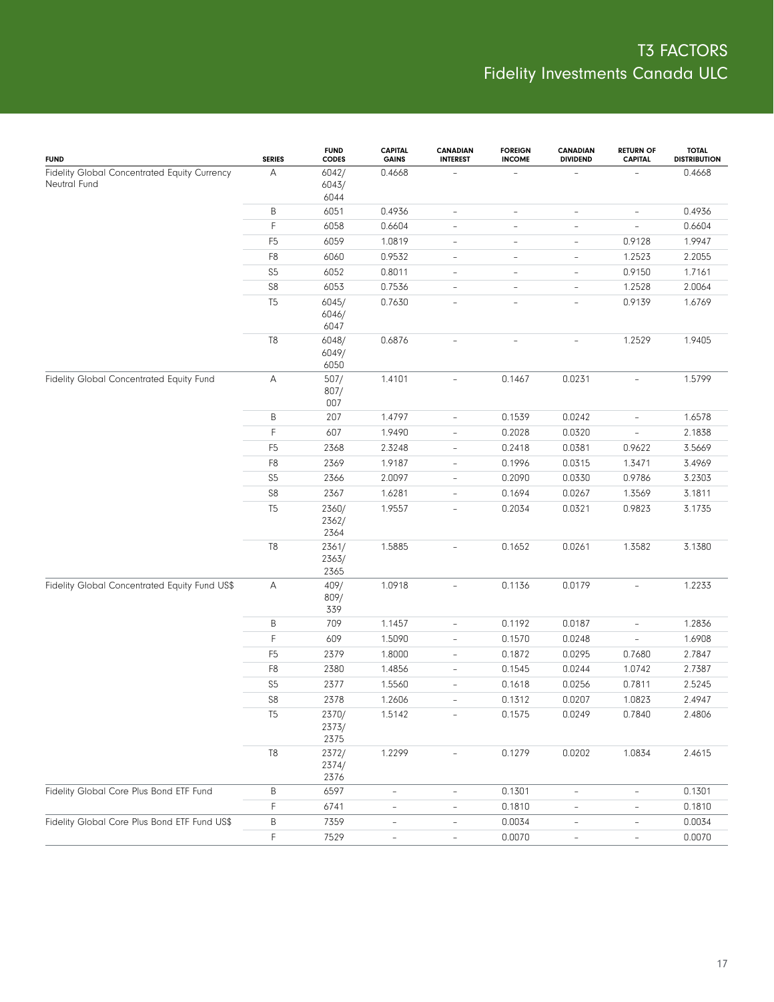| <b>FUND</b>                                                  | <b>SERIES</b>  | <b>FUND</b><br><b>CODES</b> | <b>CAPITAL</b><br><b>GAINS</b> | <b>CANADIAN</b><br><b>INTEREST</b> | <b>FOREIGN</b><br><b>INCOME</b> | <b>CANADIAN</b><br><b>DIVIDEND</b> | <b>RETURN OF</b><br><b>CAPITAL</b> | <b>TOTAL</b><br><b>DISTRIBUTION</b> |
|--------------------------------------------------------------|----------------|-----------------------------|--------------------------------|------------------------------------|---------------------------------|------------------------------------|------------------------------------|-------------------------------------|
| Fidelity Global Concentrated Equity Currency<br>Neutral Fund | А              | 6042/<br>6043/<br>6044      | 0.4668                         |                                    | ÷,                              |                                    |                                    | 0.4668                              |
|                                                              | $\sf B$        | 6051                        | 0.4936                         | $\overline{\phantom{a}}$           | $\overline{\phantom{a}}$        | $\overline{\phantom{a}}$           | $\overline{\phantom{a}}$           | 0.4936                              |
|                                                              | $\mathsf F$    | 6058                        | 0.6604                         | $\overline{a}$                     | $\overline{\phantom{a}}$        | $\overline{\phantom{a}}$           | $\overline{\phantom{a}}$           | 0.6604                              |
|                                                              | F <sub>5</sub> | 6059                        | 1.0819                         | $\overline{\phantom{0}}$           | $\overline{\phantom{a}}$        | $\overline{\phantom{a}}$           | 0.9128                             | 1.9947                              |
|                                                              | F <sub>8</sub> | 6060                        | 0.9532                         | $\overline{\phantom{0}}$           | $\overline{\phantom{a}}$        | $\overline{\phantom{a}}$           | 1.2523                             | 2.2055                              |
|                                                              | S <sub>5</sub> | 6052                        | 0.8011                         | $\overline{\phantom{0}}$           | $\overline{\phantom{a}}$        | $\overline{\phantom{a}}$           | 0.9150                             | 1.7161                              |
|                                                              | ${\sf S8}$     | 6053                        | 0.7536                         | $\overline{\phantom{0}}$           | $\overline{\phantom{a}}$        | $\overline{\phantom{a}}$           | 1.2528                             | 2.0064                              |
|                                                              | T <sub>5</sub> | 6045/<br>6046/<br>6047      | 0.7630                         | $\overline{\phantom{0}}$           | $\overline{\phantom{a}}$        | $\overline{\phantom{a}}$           | 0.9139                             | 1.6769                              |
|                                                              | T <sub>8</sub> | 6048/<br>6049/<br>6050      | 0.6876                         |                                    | $\overline{\phantom{a}}$        | $\overline{\phantom{0}}$           | 1.2529                             | 1.9405                              |
| Fidelity Global Concentrated Equity Fund                     | Α              | 507/<br>807/<br>007         | 1.4101                         | $\overline{\phantom{a}}$           | 0.1467                          | 0.0231                             | $\overline{\phantom{a}}$           | 1.5799                              |
|                                                              | B              | 207                         | 1.4797                         | $\overline{\phantom{0}}$           | 0.1539                          | 0.0242                             | $\overline{\phantom{a}}$           | 1.6578                              |
|                                                              | $\mathsf F$    | 607                         | 1.9490                         | $\overline{\phantom{0}}$           | 0.2028                          | 0.0320                             | $\overline{\phantom{a}}$           | 2.1838                              |
|                                                              | F <sub>5</sub> | 2368                        | 2.3248                         | $\overline{\phantom{0}}$           | 0.2418                          | 0.0381                             | 0.9622                             | 3.5669                              |
|                                                              | F <sub>8</sub> | 2369                        | 1.9187                         | $\overline{\phantom{0}}$           | 0.1996                          | 0.0315                             | 1.3471                             | 3.4969                              |
|                                                              | S <sub>5</sub> | 2366                        | 2.0097                         | $\overline{\phantom{0}}$           | 0.2090                          | 0.0330                             | 0.9786                             | 3.2303                              |
|                                                              | $\mathbb{S}8$  | 2367                        | 1.6281                         | $\overline{\phantom{0}}$           | 0.1694                          | 0.0267                             | 1.3569                             | 3.1811                              |
|                                                              | T <sub>5</sub> | 2360/<br>2362/<br>2364      | 1.9557                         | $\overline{a}$                     | 0.2034                          | 0.0321                             | 0.9823                             | 3.1735                              |
|                                                              | $\mathsf{T}8$  | 2361/<br>2363/<br>2365      | 1.5885                         | $\overline{a}$                     | 0.1652                          | 0.0261                             | 1.3582                             | 3.1380                              |
| Fidelity Global Concentrated Equity Fund US\$                | А              | 409/<br>809/<br>339         | 1.0918                         | $\overline{\phantom{0}}$           | 0.1136                          | 0.0179                             | $\overline{\phantom{a}}$           | 1.2233                              |
|                                                              | B              | 709                         | 1.1457                         | $\overline{\phantom{0}}$           | 0.1192                          | 0.0187                             | $\qquad \qquad -$                  | 1.2836                              |
|                                                              | $\mathsf F$    | 609                         | 1.5090                         | $\qquad \qquad -$                  | 0.1570                          | 0.0248                             | $\overline{\phantom{a}}$           | 1.6908                              |
|                                                              | F <sub>5</sub> | 2379                        | 1.8000                         | $\qquad \qquad -$                  | 0.1872                          | 0.0295                             | 0.7680                             | 2.7847                              |
|                                                              | F <sub>8</sub> | 2380                        | 1.4856                         | $\qquad \qquad -$                  | 0.1545                          | 0.0244                             | 1.0742                             | 2.7387                              |
|                                                              | S <sub>5</sub> | 2377                        | 1.5560                         | $\overline{\phantom{0}}$           | 0.1618                          | 0.0256                             | 0.7811                             | 2.5245                              |
|                                                              | $\mathbb{S}8$  | 2378                        | 1.2606                         | $\overline{\phantom{a}}$           | 0.1312                          | 0.0207                             | 1.0823                             | 2.4947                              |
|                                                              | T <sub>5</sub> | 2370/<br>2373/<br>2375      | 1.5142                         | $\overline{\phantom{a}}$           | 0.1575                          | 0.0249                             | 0.7840                             | 2.4806                              |
|                                                              | $\mathbb{T}8$  | 2372/<br>2374/<br>2376      | 1.2299                         |                                    | 0.1279                          | 0.0202                             | 1.0834                             | 2.4615                              |
| Fidelity Global Core Plus Bond ETF Fund                      | B              | 6597                        | $\overline{\phantom{a}}$       | $\overline{\phantom{0}}$           | 0.1301                          | $\overline{\phantom{a}}$           | $\overline{\phantom{a}}$           | 0.1301                              |
|                                                              | F              | 6741                        | $\overline{\phantom{a}}$       | $\overline{\phantom{0}}$           | 0.1810                          | $\overline{\phantom{a}}$           | $\overline{\phantom{a}}$           | 0.1810                              |
| Fidelity Global Core Plus Bond ETF Fund US\$                 | B              | 7359                        | $\overline{\phantom{a}}$       | $\overline{\phantom{0}}$           | 0.0034                          | $\qquad \qquad -$                  | $\overline{\phantom{0}}$           | 0.0034                              |
|                                                              | $\mathsf F$    | 7529                        | $\overline{\phantom{a}}$       | $\overline{\phantom{0}}$           | 0.0070                          | $\overline{\phantom{0}}$           | $\overline{\phantom{a}}$           | 0.0070                              |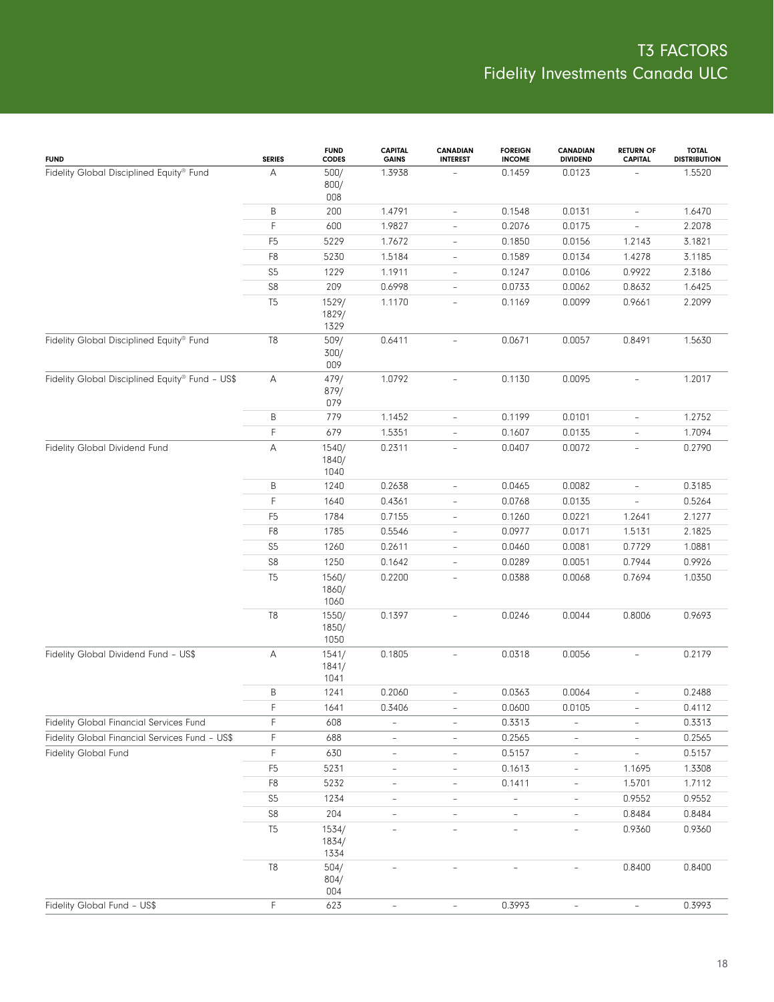| <b>FUND</b>                                     | <b>SERIES</b>  | <b>FUND</b><br><b>CODES</b> | <b>CAPITAL</b><br><b>GAINS</b> | <b>CANADIAN</b><br><b>INTEREST</b> | <b>FOREIGN</b><br><b>INCOME</b> | <b>CANADIAN</b><br><b>DIVIDEND</b> | <b>RETURN OF</b><br><b>CAPITAL</b> | <b>TOTAL</b><br><b>DISTRIBUTION</b> |
|-------------------------------------------------|----------------|-----------------------------|--------------------------------|------------------------------------|---------------------------------|------------------------------------|------------------------------------|-------------------------------------|
| Fidelity Global Disciplined Equity® Fund        | Α              | 500/<br>800/<br>008         | 1.3938                         |                                    | 0.1459                          | 0.0123                             |                                    | 1.5520                              |
|                                                 | В              | 200                         | 1.4791                         | $\overline{\phantom{a}}$           | 0.1548                          | 0.0131                             | $\overline{\phantom{a}}$           | 1.6470                              |
|                                                 | F              | 600                         | 1.9827                         | $\overline{\phantom{a}}$           | 0.2076                          | 0.0175                             | $\overline{\phantom{a}}$           | 2.2078                              |
|                                                 | F <sub>5</sub> | 5229                        | 1.7672                         | $\qquad \qquad -$                  | 0.1850                          | 0.0156                             | 1.2143                             | 3.1821                              |
|                                                 | F8             | 5230                        | 1.5184                         | $\qquad \qquad -$                  | 0.1589                          | 0.0134                             | 1.4278                             | 3.1185                              |
|                                                 | S <sub>5</sub> | 1229                        | 1.1911                         | $\qquad \qquad -$                  | 0.1247                          | 0.0106                             | 0.9922                             | 2.3186                              |
|                                                 | ${\sf S8}$     | 209                         | 0.6998                         | $\overline{\phantom{a}}$           | 0.0733                          | 0.0062                             | 0.8632                             | 1.6425                              |
|                                                 | T <sub>5</sub> | 1529/<br>1829/<br>1329      | 1.1170                         | $\overline{\phantom{a}}$           | 0.1169                          | 0.0099                             | 0.9661                             | 2.2099                              |
| Fidelity Global Disciplined Equity® Fund        | $\mathsf{T}8$  | 509/<br>300/<br>009         | 0.6411                         | $\overline{\phantom{a}}$           | 0.0671                          | 0.0057                             | 0.8491                             | 1.5630                              |
| Fidelity Global Disciplined Equity® Fund - US\$ | Α              | 479/<br>879/<br>079         | 1.0792                         | $\overline{\phantom{a}}$           | 0.1130                          | 0.0095                             | $\overline{\phantom{a}}$           | 1.2017                              |
|                                                 | Β              | 779                         | 1.1452                         | $\frac{1}{2}$                      | 0.1199                          | 0.0101                             | $\overline{\phantom{a}}$           | 1.2752                              |
|                                                 | F              | 679                         | 1.5351                         | $\frac{1}{2}$                      | 0.1607                          | 0.0135                             | $\overline{\phantom{a}}$           | 1.7094                              |
| Fidelity Global Dividend Fund                   | A              | 1540/<br>1840/<br>1040      | 0.2311                         | $\overline{\phantom{a}}$           | 0.0407                          | 0.0072                             | $\overline{\phantom{a}}$           | 0.2790                              |
|                                                 | В              | 1240                        | 0.2638                         | $\overline{\phantom{a}}$           | 0.0465                          | 0.0082                             | $\overline{\phantom{a}}$           | 0.3185                              |
|                                                 | F              | 1640                        | 0.4361                         | $\overline{\phantom{a}}$           | 0.0768                          | 0.0135                             | $\overline{\phantom{a}}$           | 0.5264                              |
|                                                 | F <sub>5</sub> | 1784                        | 0.7155                         | $\overline{\phantom{0}}$           | 0.1260                          | 0.0221                             | 1.2641                             | 2.1277                              |
|                                                 | F8             | 1785                        | 0.5546                         | $\overline{\phantom{a}}$           | 0.0977                          | 0.0171                             | 1.5131                             | 2.1825                              |
|                                                 | S <sub>5</sub> | 1260                        | 0.2611                         | $\overline{\phantom{0}}$           | 0.0460                          | 0.0081                             | 0.7729                             | 1.0881                              |
|                                                 | $\mathbb{S}8$  | 1250                        | 0.1642                         | $\overline{\phantom{a}}$           | 0.0289                          | 0.0051                             | 0.7944                             | 0.9926                              |
|                                                 | T <sub>5</sub> | 1560/<br>1860/<br>1060      | 0.2200                         | $\frac{1}{2}$                      | 0.0388                          | 0.0068                             | 0.7694                             | 1.0350                              |
|                                                 | T8             | 1550/<br>1850/<br>1050      | 0.1397                         | $\overline{\phantom{a}}$           | 0.0246                          | 0.0044                             | 0.8006                             | 0.9693                              |
| Fidelity Global Dividend Fund - US\$            | А              | 1541/<br>1841/<br>1041      | 0.1805                         | $\overline{\phantom{0}}$           | 0.0318                          | 0.0056                             | $\overline{\phantom{a}}$           | 0.2179                              |
|                                                 | B              | 1241                        | 0.2060                         | $\overline{\phantom{a}}$           | 0.0363                          | 0.0064                             | $\overline{\phantom{0}}$           | 0.2488                              |
|                                                 | F              | 1641                        | 0.3406                         |                                    | 0.0600                          | 0.0105                             |                                    | 0.4112                              |
| Fidelity Global Financial Services Fund         | F              | 608                         | $\overline{\phantom{a}}$       | $\overline{\phantom{a}}$           | 0.3313                          | $\overline{\phantom{a}}$           | $\overline{\phantom{0}}$           | 0.3313                              |
| Fidelity Global Financial Services Fund - US\$  | F              | 688                         | ÷,                             | $\overline{\phantom{0}}$           | 0.2565                          | $\overline{\phantom{0}}$           | ÷,                                 | 0.2565                              |
| <b>Fidelity Global Fund</b>                     | F              | 630                         | $\overline{\phantom{0}}$       | $\overline{\phantom{0}}$           | 0.5157                          | $\overline{\phantom{0}}$           | $\frac{1}{2}$                      | 0.5157                              |
|                                                 | F <sub>5</sub> | 5231                        | $\qquad \qquad -$              | $\overline{\phantom{0}}$           | 0.1613                          | $\qquad \qquad -$                  | 1.1695                             | 1.3308                              |
|                                                 | F8             | 5232                        | $\overline{\phantom{a}}$       | $\qquad \qquad -$                  | 0.1411                          | $\overline{\phantom{0}}$           | 1.5701                             | 1.7112                              |
|                                                 | S <sub>5</sub> | 1234                        | $\overline{\phantom{a}}$       | $\overline{\phantom{a}}$           | ÷,                              | $\overline{\phantom{a}}$           | 0.9552                             | 0.9552                              |
|                                                 | $\mathbb{S}8$  | 204                         |                                |                                    |                                 | $\overline{\phantom{0}}$           | 0.8484                             | 0.8484                              |
|                                                 | T <sub>5</sub> | 1534/<br>1834/<br>1334      | L,                             |                                    | $\bar{ }$                       | $\bar{ }$                          | 0.9360                             | 0.9360                              |
|                                                 | T8             | 504/<br>804/<br>004         |                                |                                    |                                 |                                    | 0.8400                             | 0.8400                              |
| Fidelity Global Fund - US\$                     | F              | 623                         |                                |                                    | 0.3993                          |                                    |                                    | 0.3993                              |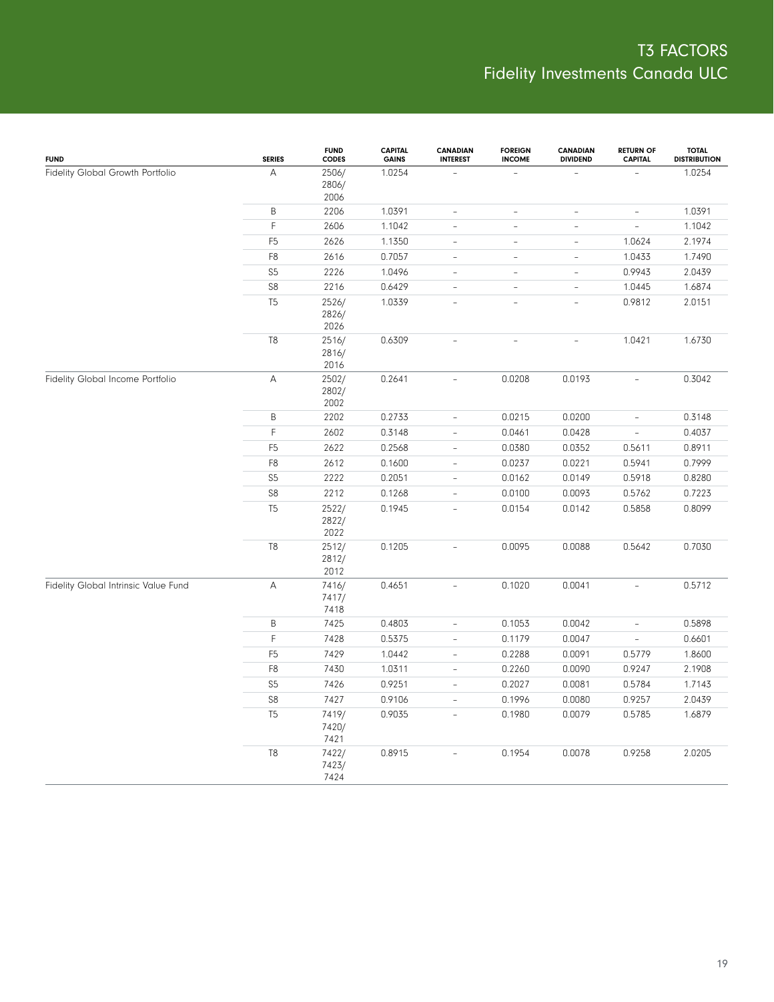| <b>FUND</b>                          | <b>SERIES</b>  | <b>FUND</b><br><b>CODES</b> | <b>CAPITAL</b><br><b>GAINS</b> | <b>CANADIAN</b><br><b>INTEREST</b> | <b>FOREIGN</b><br><b>INCOME</b> | <b>CANADIAN</b><br><b>DIVIDEND</b> | <b>RETURN OF</b><br><b>CAPITAL</b> | <b>TOTAL</b><br><b>DISTRIBUTION</b> |
|--------------------------------------|----------------|-----------------------------|--------------------------------|------------------------------------|---------------------------------|------------------------------------|------------------------------------|-------------------------------------|
| Fidelity Global Growth Portfolio     | А              | 2506/<br>2806/<br>2006      | 1.0254                         |                                    |                                 |                                    |                                    | 1.0254                              |
|                                      | $\sf B$        | 2206                        | 1.0391                         | $\overline{\phantom{a}}$           | $\overline{\phantom{a}}$        | $\overline{\phantom{a}}$           | $\overline{\phantom{a}}$           | 1.0391                              |
|                                      | F              | 2606                        | 1.1042                         | $\overline{\phantom{a}}$           | $\overline{\phantom{a}}$        | $\overline{\phantom{a}}$           | $\overline{\phantom{a}}$           | 1.1042                              |
|                                      | F <sub>5</sub> | 2626                        | 1.1350                         | $\frac{1}{2}$                      | ÷,                              | $\overline{\phantom{a}}$           | 1.0624                             | 2.1974                              |
|                                      | F8             | 2616                        | 0.7057                         | $\overline{\phantom{a}}$           | $\overline{\phantom{a}}$        | $\overline{\phantom{0}}$           | 1.0433                             | 1.7490                              |
|                                      | S <sub>5</sub> | 2226                        | 1.0496                         | $\overline{\phantom{a}}$           | $\bar{ }$                       | $\overline{\phantom{a}}$           | 0.9943                             | 2.0439                              |
|                                      | ${\sf S8}$     | 2216                        | 0.6429                         | $\overline{\phantom{0}}$           | $\equiv$                        | $\sim$                             | 1.0445                             | 1.6874                              |
|                                      | T <sub>5</sub> | 2526/<br>2826/<br>2026      | 1.0339                         | $\overline{a}$                     | $\overline{a}$                  | $\overline{\phantom{0}}$           | 0.9812                             | 2.0151                              |
|                                      | T8             | 2516/<br>2816/<br>2016      | 0.6309                         | $\overline{a}$                     | $\sim$                          | $\overline{a}$                     | 1.0421                             | 1.6730                              |
| Fidelity Global Income Portfolio     | А              | 2502/<br>2802/<br>2002      | 0.2641                         | $\bar{ }$                          | 0.0208                          | 0.0193                             | $\overline{\phantom{0}}$           | 0.3042                              |
|                                      | B              | 2202                        | 0.2733                         | $\blacksquare$                     | 0.0215                          | 0.0200                             | $\overline{\phantom{a}}$           | 0.3148                              |
|                                      | F              | 2602                        | 0.3148                         | $\overline{\phantom{a}}$           | 0.0461                          | 0.0428                             | $\overline{\phantom{a}}$           | 0.4037                              |
|                                      | F <sub>5</sub> | 2622                        | 0.2568                         | $\qquad \qquad -$                  | 0.0380                          | 0.0352                             | 0.5611                             | 0.8911                              |
|                                      | F8             | 2612                        | 0.1600                         | $\frac{1}{2}$                      | 0.0237                          | 0.0221                             | 0.5941                             | 0.7999                              |
|                                      | S <sub>5</sub> | 2222                        | 0.2051                         | $\overline{\phantom{0}}$           | 0.0162                          | 0.0149                             | 0.5918                             | 0.8280                              |
|                                      | ${\sf S8}$     | 2212                        | 0.1268                         | $\frac{1}{2}$                      | 0.0100                          | 0.0093                             | 0.5762                             | 0.7223                              |
|                                      | T <sub>5</sub> | 2522/<br>2822/<br>2022      | 0.1945                         | $\overline{a}$                     | 0.0154                          | 0.0142                             | 0.5858                             | 0.8099                              |
|                                      | T8             | 2512/<br>2812/<br>2012      | 0.1205                         | $\overline{\phantom{a}}$           | 0.0095                          | 0.0088                             | 0.5642                             | 0.7030                              |
| Fidelity Global Intrinsic Value Fund | A              | 7416/<br>7417/<br>7418      | 0.4651                         | $\overline{\phantom{0}}$           | 0.1020                          | 0.0041                             | $\overline{\phantom{0}}$           | 0.5712                              |
|                                      | B              | 7425                        | 0.4803                         | $\qquad \qquad -$                  | 0.1053                          | 0.0042                             | $\overline{\phantom{a}}$           | 0.5898                              |
|                                      | F              | 7428                        | 0.5375                         | $\frac{1}{2}$                      | 0.1179                          | 0.0047                             | $\overline{\phantom{a}}$           | 0.6601                              |
|                                      | F <sub>5</sub> | 7429                        | 1.0442                         | $\qquad \qquad -$                  | 0.2288                          | 0.0091                             | 0.5779                             | 1.8600                              |
|                                      | F8             | 7430                        | 1.0311                         | $\frac{1}{2}$                      | 0.2260                          | 0.0090                             | 0.9247                             | 2.1908                              |
|                                      | S <sub>5</sub> | 7426                        | 0.9251                         | $\overline{\phantom{a}}$           | 0.2027                          | 0.0081                             | 0.5784                             | 1.7143                              |
|                                      | S8             | 7427                        | 0.9106                         | $\overline{\phantom{0}}$           | 0.1996                          | 0.0080                             | 0.9257                             | 2.0439                              |
|                                      | T <sub>5</sub> | 7419/<br>7420/<br>7421      | 0.9035                         | $\overline{a}$                     | 0.1980                          | 0.0079                             | 0.5785                             | 1.6879                              |
|                                      | T <sub>8</sub> | 7422/<br>7423/<br>7424      | 0.8915                         | L.                                 | 0.1954                          | 0.0078                             | 0.9258                             | 2.0205                              |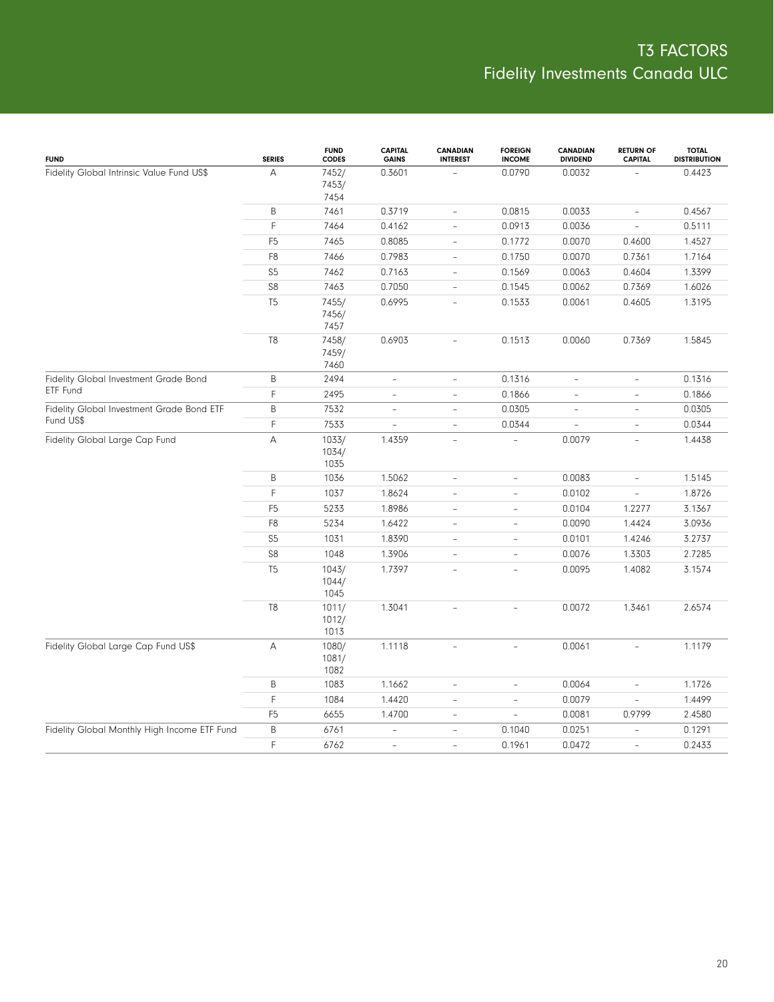| <b>FUND</b>                                            | <b>SERIES</b>  | <b>FUND</b><br><b>CODES</b> | <b>CAPITAL</b><br><b>GAINS</b> | <b>CANADIAN</b><br><b>INTEREST</b> | <b>FOREIGN</b><br><b>INCOME</b> | CANADIAN<br><b>DIVIDEND</b> | <b>RETURN OF</b><br><b>CAPITAL</b> | <b>TOTAL</b><br><b>DISTRIBUTION</b> |
|--------------------------------------------------------|----------------|-----------------------------|--------------------------------|------------------------------------|---------------------------------|-----------------------------|------------------------------------|-------------------------------------|
| Fidelity Global Intrinsic Value Fund US\$              | A              | 7452/<br>7453/              | 0.3601                         |                                    | 0.0790                          | 0.0032                      |                                    | 0.4423                              |
|                                                        |                | 7454                        |                                |                                    |                                 |                             |                                    |                                     |
|                                                        | B              | 7461                        | 0.3719                         | $\overline{\phantom{a}}$           | 0.0815                          | 0.0033                      | $\overline{\phantom{a}}$           | 0.4567                              |
|                                                        | F.             | 7464                        | 0.4162                         | $\overline{\phantom{a}}$           | 0.0913                          | 0.0036                      | $\overline{\phantom{a}}$           | 0.5111                              |
|                                                        | F <sub>5</sub> | 7465                        | 0.8085                         | $\overline{\phantom{a}}$           | 0.1772                          | 0.0070                      | 0.4600                             | 1.4527                              |
|                                                        | F <sub>8</sub> | 7466                        | 0.7983                         | $\overline{\phantom{a}}$           | 0.1750                          | 0.0070                      | 0.7361                             | 1.7164                              |
|                                                        | S <sub>5</sub> | 7462                        | 0.7163                         | $\overline{\phantom{a}}$           | 0.1569                          | 0.0063                      | 0.4604                             | 1.3399                              |
|                                                        | S <sub>8</sub> | 7463                        | 0.7050                         | $\overline{\phantom{a}}$           | 0.1545                          | 0.0062                      | 0.7369                             | 1.6026                              |
|                                                        | T <sub>5</sub> | 7455/<br>7456/<br>7457      | 0.6995                         | $\frac{1}{2}$                      | 0.1533                          | 0.0061                      | 0.4605                             | 1.3195                              |
|                                                        | T <sub>8</sub> | 7458/<br>7459/<br>7460      | 0.6903                         | $\equiv$                           | 0.1513                          | 0.0060                      | 0.7369                             | 1.5845                              |
| Fidelity Global Investment Grade Bond                  | B              | 2494                        | $\overline{\phantom{a}}$       | $\overline{\phantom{a}}$           | 0.1316                          | $\overline{\phantom{a}}$    | $\overline{\phantom{a}}$           | 0.1316                              |
| ETF Fund                                               | F              | 2495                        | $\overline{\phantom{a}}$       | $\overline{\phantom{a}}$           | 0.1866                          | $\overline{\phantom{a}}$    | $\overline{\phantom{a}}$           | 0.1866                              |
| Fidelity Global Investment Grade Bond ETF<br>Fund US\$ | B              | 7532                        | $\overline{\phantom{a}}$       | $\overline{\phantom{a}}$           | 0.0305                          | $\overline{\phantom{a}}$    | $\overline{\phantom{a}}$           | 0.0305                              |
|                                                        | F.             | 7533                        | $\overline{\phantom{a}}$       | $\overline{\phantom{a}}$           | 0.0344                          | $\frac{1}{2}$               | $\overline{\phantom{a}}$           | 0.0344                              |
| Fidelity Global Large Cap Fund                         | A              | 1033/<br>1034/<br>1035      | 1.4359                         | $\overline{\phantom{a}}$           |                                 | 0.0079                      | $\overline{a}$                     | 1.4438                              |
|                                                        | B              | 1036                        | 1.5062                         | $\overline{\phantom{a}}$           | $\bar{ }$                       | 0.0083                      | $\qquad \qquad -$                  | 1.5145                              |
|                                                        | $\mathsf F$    | 1037                        | 1.8624                         | $\overline{\phantom{a}}$           | $\overline{a}$                  | 0.0102                      | $\overline{\phantom{a}}$           | 1.8726                              |
|                                                        | F <sub>5</sub> | 5233                        | 1.8986                         | $\overline{\phantom{a}}$           | $\overline{\phantom{a}}$        | 0.0104                      | 1.2277                             | 3.1367                              |
|                                                        | F8             | 5234                        | 1.6422                         | $\overline{\phantom{a}}$           | $\bar{ }$                       | 0.0090                      | 1.4424                             | 3.0936                              |
|                                                        | S <sub>5</sub> | 1031                        | 1.8390                         | $\overline{\phantom{0}}$           | $\bar{ }$                       | 0.0101                      | 1.4246                             | 3.2737                              |
|                                                        | S <sub>8</sub> | 1048                        | 1.3906                         | $\overline{\phantom{a}}$           | $\bar{ }$                       | 0.0076                      | 1.3303                             | 2.7285                              |
|                                                        | T <sub>5</sub> | 1043/<br>1044/<br>1045      | 1.7397                         | $\equiv$                           | $\overline{a}$                  | 0.0095                      | 1.4082                             | 3.1574                              |
|                                                        | T <sub>8</sub> | 1011/<br>1012/<br>1013      | 1.3041                         | L,                                 | $\overline{a}$                  | 0.0072                      | 1.3461                             | 2.6574                              |
| Fidelity Global Large Cap Fund US\$                    | Α              | 1080/<br>1081/<br>1082      | 1.1118                         | $\overline{a}$                     | $\bar{ }$                       | 0.0061                      | $\overline{\phantom{0}}$           | 1.1179                              |
|                                                        | B              | 1083                        | 1.1662                         | $\overline{\phantom{a}}$           | $\bar{ }$                       | 0.0064                      | $\overline{\phantom{a}}$           | 1.1726                              |
|                                                        | F.             | 1084                        | 1.4420                         | $\overline{\phantom{a}}$           | $\overline{a}$                  | 0.0079                      | $\qquad \qquad -$                  | 1.4499                              |
|                                                        | F <sub>5</sub> | 6655                        | 1.4700                         | $\overline{\phantom{a}}$           | $\overline{\phantom{a}}$        | 0.0081                      | 0.9799                             | 2.4580                              |
| Fidelity Global Monthly High Income ETF Fund           | B              | 6761                        | $\overline{\phantom{a}}$       | $\overline{\phantom{a}}$           | 0.1040                          | 0.0251                      | $\overline{\phantom{a}}$           | 0.1291                              |
|                                                        | F              | 6762                        | $\overline{\phantom{a}}$       | $\overline{\phantom{a}}$           | 0.1961                          | 0.0472                      | $\overline{\phantom{a}}$           | 0.2433                              |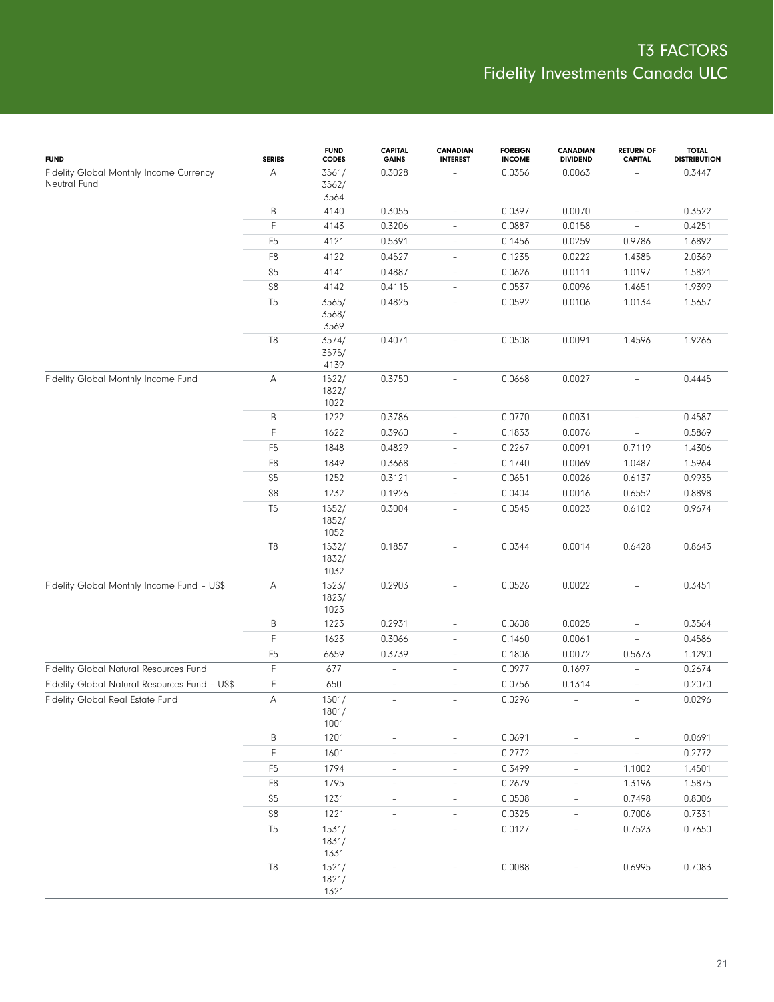| <b>FUND</b>                                             | <b>SERIES</b>  | <b>FUND</b><br>CODES   | <b>CAPITAL</b><br><b>GAINS</b> | <b>CANADIAN</b><br><b>INTEREST</b> | <b>FOREIGN</b><br><b>INCOME</b> | <b>CANADIAN</b><br><b>DIVIDEND</b> | <b>RETURN OF</b><br><b>CAPITAL</b> | <b>TOTAL</b><br><b>DISTRIBUTION</b> |
|---------------------------------------------------------|----------------|------------------------|--------------------------------|------------------------------------|---------------------------------|------------------------------------|------------------------------------|-------------------------------------|
| Fidelity Global Monthly Income Currency<br>Neutral Fund | А              | 3561/<br>3562/<br>3564 | 0.3028                         |                                    | 0.0356                          | 0.0063                             |                                    | 0.3447                              |
|                                                         | B              | 4140                   | 0.3055                         | $\overline{\phantom{0}}$           | 0.0397                          | 0.0070                             | $\overline{\phantom{a}}$           | 0.3522                              |
|                                                         | F              | 4143                   | 0.3206                         | $\overline{\phantom{0}}$           | 0.0887                          | 0.0158                             | $\overline{\phantom{a}}$           | 0.4251                              |
|                                                         | F <sub>5</sub> | 4121                   | 0.5391                         | $\overline{\phantom{0}}$           | 0.1456                          | 0.0259                             | 0.9786                             | 1.6892                              |
|                                                         | F8             | 4122                   | 0.4527                         | $\overline{\phantom{0}}$           | 0.1235                          | 0.0222                             | 1.4385                             | 2.0369                              |
|                                                         | S5             | 4141                   | 0.4887                         | $\overline{\phantom{0}}$           | 0.0626                          | 0.0111                             | 1.0197                             | 1.5821                              |
|                                                         | ${\sf S8}$     | 4142                   | 0.4115                         | $\qquad \qquad -$                  | 0.0537                          | 0.0096                             | 1.4651                             | 1.9399                              |
|                                                         | T <sub>5</sub> | 3565/<br>3568/<br>3569 | 0.4825                         | $\overline{a}$                     | 0.0592                          | 0.0106                             | 1.0134                             | 1.5657                              |
|                                                         | T8             | 3574/<br>3575/<br>4139 | 0.4071                         |                                    | 0.0508                          | 0.0091                             | 1.4596                             | 1.9266                              |
| Fidelity Global Monthly Income Fund                     | А              | 1522/<br>1822/<br>1022 | 0.3750                         | $\frac{1}{2}$                      | 0.0668                          | 0.0027                             | $\overline{\phantom{0}}$           | 0.4445                              |
|                                                         | Β              | 1222                   | 0.3786                         | $\overline{\phantom{a}}$           | 0.0770                          | 0.0031                             | $\overline{\phantom{0}}$           | 0.4587                              |
|                                                         | F              | 1622                   | 0.3960                         | $\overline{a}$                     | 0.1833                          | 0.0076                             | $\overline{\phantom{0}}$           | 0.5869                              |
|                                                         | F <sub>5</sub> | 1848                   | 0.4829                         | $\overline{\phantom{a}}$           | 0.2267                          | 0.0091                             | 0.7119                             | 1.4306                              |
|                                                         | F8             | 1849                   | 0.3668                         | $\overline{\phantom{a}}$           | 0.1740                          | 0.0069                             | 1.0487                             | 1.5964                              |
|                                                         | S <sub>5</sub> | 1252                   | 0.3121                         | $\overline{\phantom{a}}$           | 0.0651                          | 0.0026                             | 0.6137                             | 0.9935                              |
|                                                         | ${\sf S8}$     | 1232                   | 0.1926                         | $\overline{a}$                     | 0.0404                          | 0.0016                             | 0.6552                             | 0.8898                              |
|                                                         | T <sub>5</sub> | 1552/<br>1852/<br>1052 | 0.3004                         | $\overline{a}$                     | 0.0545                          | 0.0023                             | 0.6102                             | 0.9674                              |
|                                                         | T8             | 1532/<br>1832/<br>1032 | 0.1857                         | $\overline{a}$                     | 0.0344                          | 0.0014                             | 0.6428                             | 0.8643                              |
| Fidelity Global Monthly Income Fund - US\$              | А              | 1523/<br>1823/<br>1023 | 0.2903                         | $\overline{\phantom{a}}$           | 0.0526                          | 0.0022                             | $\overline{\phantom{a}}$           | 0.3451                              |
|                                                         | Β              | 1223                   | 0.2931                         | $\overline{\phantom{0}}$           | 0.0608                          | 0.0025                             | $\overline{\phantom{0}}$           | 0.3564                              |
|                                                         | F              | 1623                   | 0.3066                         | $\overline{\phantom{0}}$           | 0.1460                          | 0.0061                             | $\overline{\phantom{0}}$           | 0.4586                              |
|                                                         | F <sub>5</sub> | 6659                   | 0.3739                         | $\overline{\phantom{a}}$           | 0.1806                          | 0.0072                             | 0.5673                             | 1.1290                              |
| Fidelity Global Natural Resources Fund                  | F              | 677                    | $\qquad \qquad -$              | $\overline{\phantom{a}}$           | 0.0977                          | 0.1697                             | $\overline{\phantom{a}}$           | 0.2674                              |
| Fidelity Global Natural Resources Fund - US\$           | F              | 650                    | $\overline{\phantom{a}}$       | $\overline{\phantom{a}}$           | 0.0756                          | 0.1314                             | $\overline{\phantom{0}}$           | 0.2070                              |
| Fidelity Global Real Estate Fund                        | А              | 1501/<br>1801/<br>1001 | $\overline{\phantom{a}}$       | $\overline{\phantom{a}}$           | 0.0296                          | $\overline{\phantom{a}}$           | $\overline{\phantom{a}}$           | 0.0296                              |
|                                                         | Β              | 1201                   | $\overline{\phantom{a}}$       | $\overline{\phantom{a}}$           | 0.0691                          | $\bar{ }$                          | $\overline{\phantom{a}}$           | 0.0691                              |
|                                                         | $\mathsf F$    | 1601                   | $\qquad \qquad -$              | $\overline{\phantom{0}}$           | 0.2772                          | $\overline{\phantom{0}}$           | $\overline{\phantom{a}}$           | 0.2772                              |
|                                                         | F <sub>5</sub> | 1794                   | $\qquad \qquad -$              | $\qquad \qquad -$                  | 0.3499                          | $\overline{\phantom{a}}$           | 1.1002                             | 1.4501                              |
|                                                         | F8             | 1795                   | $\overline{\phantom{m}}$       | $\overline{\phantom{0}}$           | 0.2679                          | $\overline{\phantom{0}}$           | 1.3196                             | 1.5875                              |
|                                                         | S <sub>5</sub> | 1231                   | $\qquad \qquad -$              | $\qquad \qquad -$                  | 0.0508                          | $\overline{\phantom{a}}$           | 0.7498                             | 0.8006                              |
|                                                         | ${\sf S8}$     | 1221                   | $\qquad \qquad -$              | $\overline{\phantom{0}}$           | 0.0325                          | $\overline{\phantom{0}}$           | 0.7006                             | 0.7331                              |
|                                                         | T <sub>5</sub> | 1531/<br>1831/<br>1331 | $\overline{\phantom{a}}$       | $\overline{\phantom{a}}$           | 0.0127                          | $\overline{\phantom{a}}$           | 0.7523                             | 0.7650                              |
|                                                         | $\mathbb{T}8$  | 1521/<br>1821/<br>1321 |                                | $\overline{a}$                     | 0.0088                          |                                    | 0.6995                             | 0.7083                              |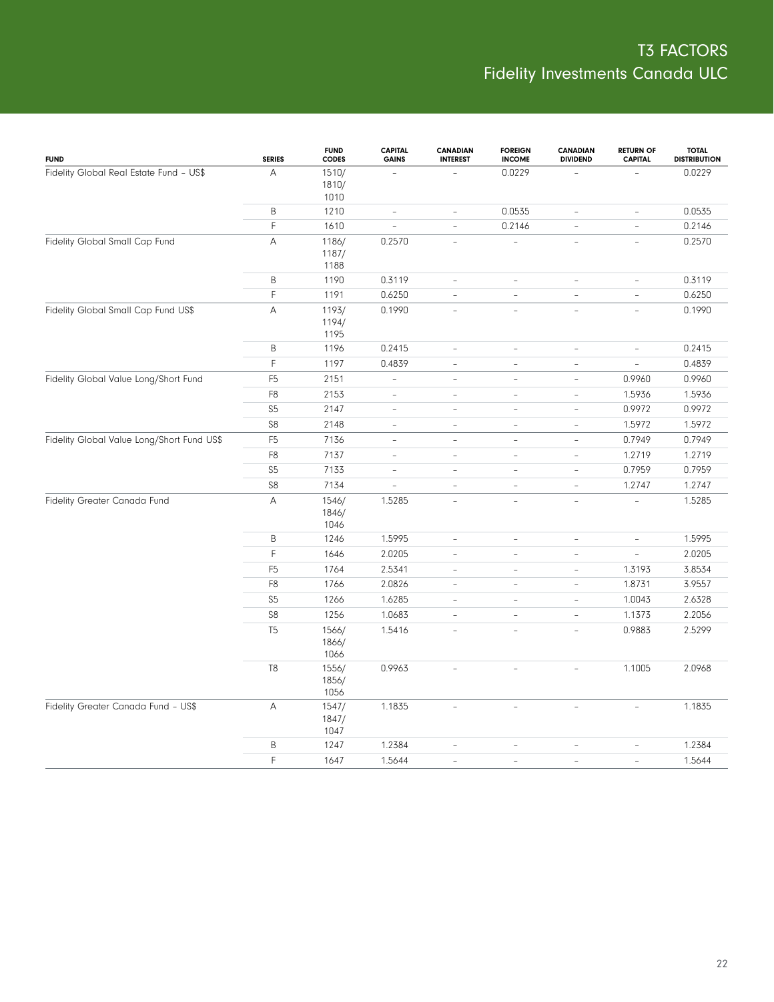| <b>FUND</b>                                | <b>SERIES</b>  | <b>FUND</b><br><b>CODES</b> | <b>CAPITAL</b><br><b>GAINS</b> | <b>CANADIAN</b><br><b>INTEREST</b> | <b>FOREIGN</b><br><b>INCOME</b> | <b>CANADIAN</b><br><b>DIVIDEND</b> | <b>RETURN OF</b><br><b>CAPITAL</b> | <b>TOTAL</b><br><b>DISTRIBUTION</b> |
|--------------------------------------------|----------------|-----------------------------|--------------------------------|------------------------------------|---------------------------------|------------------------------------|------------------------------------|-------------------------------------|
| Fidelity Global Real Estate Fund - US\$    | А              | 1510/<br>1810/<br>1010      |                                |                                    | 0.0229                          |                                    |                                    | 0.0229                              |
|                                            | B              | 1210                        | $\overline{\phantom{a}}$       | $\overline{\phantom{a}}$           | 0.0535                          | $\overline{\phantom{a}}$           | $\qquad \qquad -$                  | 0.0535                              |
|                                            | $\mathsf F$    | 1610                        | $\overline{\phantom{a}}$       | $\frac{1}{2}$                      | 0.2146                          | $\overline{\phantom{a}}$           | ÷,                                 | 0.2146                              |
| Fidelity Global Small Cap Fund             | A              | 1186/<br>1187/<br>1188      | 0.2570                         | $\overline{a}$                     | $\overline{\phantom{a}}$        | $\qquad \qquad -$                  | $\overline{\phantom{a}}$           | 0.2570                              |
|                                            | B              | 1190                        | 0.3119                         | $\overline{\phantom{a}}$           | $\overline{\phantom{a}}$        | $\overline{\phantom{a}}$           | $\frac{1}{2}$                      | 0.3119                              |
|                                            | F              | 1191                        | 0.6250                         | $\frac{1}{2}$                      | $\qquad \qquad -$               | $\overline{\phantom{a}}$           | $\overline{\phantom{a}}$           | 0.6250                              |
| Fidelity Global Small Cap Fund US\$        | $\mathsf A$    | 1193/<br>1194/<br>1195      | 0.1990                         | $\equiv$                           | $\frac{1}{2}$                   | $\equiv$                           | $\frac{1}{2}$                      | 0.1990                              |
|                                            | B              | 1196                        | 0.2415                         | $\overline{\phantom{a}}$           | ÷,                              | $\overline{\phantom{a}}$           | $\qquad \qquad -$                  | 0.2415                              |
|                                            | F              | 1197                        | 0.4839                         | $\frac{1}{2}$                      | $\qquad \qquad -$               | $\overline{\phantom{a}}$           | $\equiv$                           | 0.4839                              |
| Fidelity Global Value Long/Short Fund      | F <sub>5</sub> | 2151                        | $\overline{\phantom{a}}$       | $\overline{\phantom{a}}$           | $\overline{\phantom{a}}$        | $\overline{\phantom{a}}$           | 0.9960                             | 0.9960                              |
|                                            | F <sub>8</sub> | 2153                        | $\overline{\phantom{a}}$       | $\overline{\phantom{a}}$           | $\bar{ }$                       | $\overline{\phantom{a}}$           | 1.5936                             | 1.5936                              |
|                                            | S <sub>5</sub> | 2147                        | $\overline{\phantom{a}}$       | $\overline{a}$                     | $\bar{ }$                       | $\overline{\phantom{a}}$           | 0.9972                             | 0.9972                              |
|                                            | S8             | 2148                        | $\overline{\phantom{a}}$       | $\overline{\phantom{a}}$           | $\overline{\phantom{a}}$        | $\overline{\phantom{a}}$           | 1.5972                             | 1.5972                              |
| Fidelity Global Value Long/Short Fund US\$ | F <sub>5</sub> | 7136                        | $\overline{\phantom{a}}$       | $\overline{\phantom{a}}$           | $\bar{ }$                       | $\qquad \qquad -$                  | 0.7949                             | 0.7949                              |
|                                            | F <sub>8</sub> | 7137                        | $\overline{\phantom{a}}$       | $\overline{\phantom{a}}$           | $\bar{ }$                       | $\overline{\phantom{a}}$           | 1.2719                             | 1.2719                              |
|                                            | S <sub>5</sub> | 7133                        | $\overline{\phantom{a}}$       | $\overline{\phantom{a}}$           | $\bar{ }$                       | $\overline{\phantom{a}}$           | 0.7959                             | 0.7959                              |
|                                            | S <sub>8</sub> | 7134                        | $\equiv$                       | $\overline{\phantom{a}}$           | $\bar{ }$                       | $\overline{\phantom{a}}$           | 1.2747                             | 1.2747                              |
| Fidelity Greater Canada Fund               | A              | 1546/<br>1846/<br>1046      | 1.5285                         |                                    | $\overline{a}$                  | $\overline{a}$                     |                                    | 1.5285                              |
|                                            | B              | 1246                        | 1.5995                         | $\overline{\phantom{a}}$           | $\bar{ }$                       | $\overline{\phantom{a}}$           | $\overline{\phantom{a}}$           | 1.5995                              |
|                                            | $\mathsf F$    | 1646                        | 2.0205                         | $\overline{\phantom{a}}$           | $\overline{\phantom{a}}$        | $\overline{\phantom{a}}$           | $\overline{\phantom{a}}$           | 2.0205                              |
|                                            | F <sub>5</sub> | 1764                        | 2.5341                         | $\overline{\phantom{a}}$           | $\overline{a}$                  | $\sim$                             | 1.3193                             | 3.8534                              |
|                                            | F <sub>8</sub> | 1766                        | 2.0826                         | $\overline{\phantom{a}}$           | $\bar{ }$                       | $\overline{\phantom{a}}$           | 1.8731                             | 3.9557                              |
|                                            | S <sub>5</sub> | 1266                        | 1.6285                         | $\overline{\phantom{a}}$           | $\frac{1}{2}$                   | $\qquad \qquad -$                  | 1.0043                             | 2.6328                              |
|                                            | S8             | 1256                        | 1.0683                         | $\overline{\phantom{a}}$           | $\overline{\phantom{a}}$        | $\overline{\phantom{a}}$           | 1.1373                             | 2.2056                              |
|                                            | T <sub>5</sub> | 1566/<br>1866/<br>1066      | 1.5416                         | $\overline{a}$                     | ÷.                              | ÷                                  | 0.9883                             | 2.5299                              |
|                                            | T8             | 1556/<br>1856/<br>1056      | 0.9963                         |                                    | L.                              | $\overline{a}$                     | 1.1005                             | 2.0968                              |
| Fidelity Greater Canada Fund - US\$        | A              | 1547/<br>1847/<br>1047      | 1.1835                         | $\overline{\phantom{a}}$           | $\overline{\phantom{a}}$        | $\overline{\phantom{a}}$           | $\overline{\phantom{a}}$           | 1.1835                              |
|                                            | B              | 1247                        | 1.2384                         | L,                                 | $\overline{\phantom{a}}$        | $\overline{\phantom{a}}$           | $\overline{\phantom{a}}$           | 1.2384                              |
|                                            | F              | 1647                        | 1.5644                         | $\overline{\phantom{a}}$           | $\bar{ }$                       | $\sim$                             | $\overline{\phantom{a}}$           | 1.5644                              |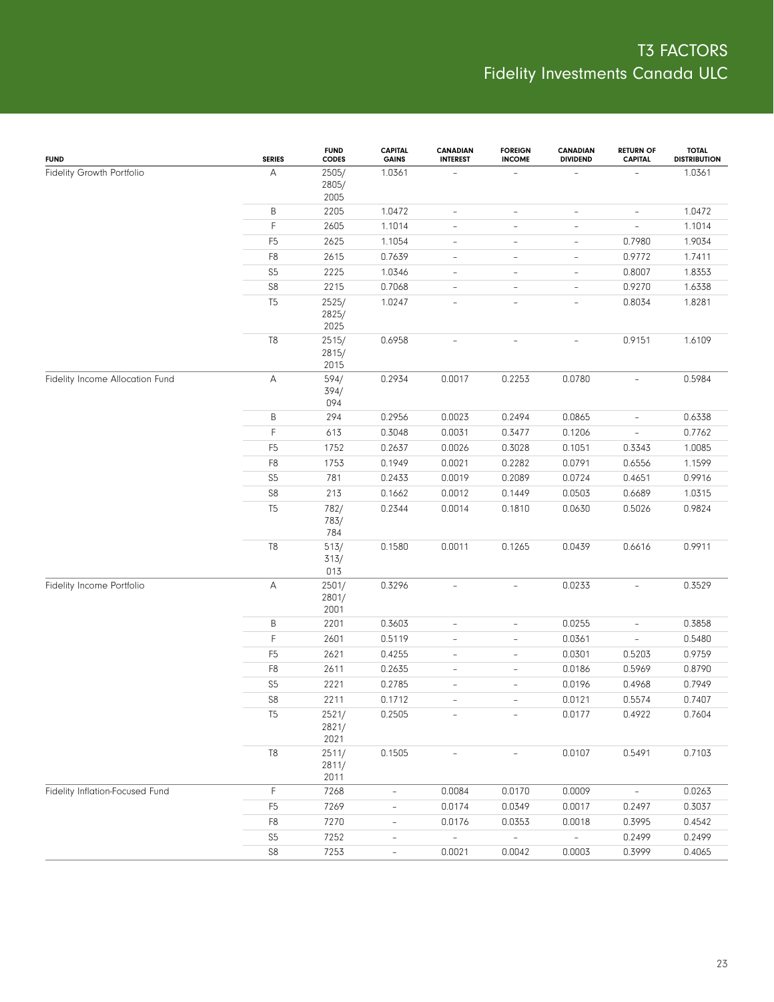| <b>FUND</b>                     | <b>SERIES</b>  | <b>FUND</b><br><b>CODES</b> | <b>CAPITAL</b><br><b>GAINS</b> | <b>CANADIAN</b><br><b>INTEREST</b> | <b>FOREIGN</b><br><b>INCOME</b> | <b>CANADIAN</b><br><b>DIVIDEND</b> | <b>RETURN OF</b><br><b>CAPITAL</b> | <b>TOTAL</b><br><b>DISTRIBUTION</b> |
|---------------------------------|----------------|-----------------------------|--------------------------------|------------------------------------|---------------------------------|------------------------------------|------------------------------------|-------------------------------------|
| Fidelity Growth Portfolio       | A              | 2505/<br>2805/<br>2005      | 1.0361                         |                                    |                                 |                                    |                                    | 1.0361                              |
|                                 | Β              | 2205                        | 1.0472                         | $\overline{\phantom{0}}$           | $\overline{\phantom{a}}$        | $\overline{\phantom{0}}$           | $\overline{\phantom{a}}$           | 1.0472                              |
|                                 | F              | 2605                        | 1.1014                         | $\qquad \qquad -$                  | $\overline{\phantom{a}}$        | $\overline{\phantom{0}}$           | $\overline{\phantom{0}}$           | 1.1014                              |
|                                 | F <sub>5</sub> | 2625                        | 1.1054                         | $\qquad \qquad -$                  | $\overline{\phantom{a}}$        | $\qquad \qquad -$                  | 0.7980                             | 1.9034                              |
|                                 | F <sub>8</sub> | 2615                        | 0.7639                         | $\qquad \qquad -$                  | $\overline{\phantom{a}}$        | $\overline{\phantom{0}}$           | 0.9772                             | 1.7411                              |
|                                 | S <sub>5</sub> | 2225                        | 1.0346                         | $\qquad \qquad -$                  | $\overline{\phantom{a}}$        | $\qquad \qquad -$                  | 0.8007                             | 1.8353                              |
|                                 | $\mathbb{S}8$  | 2215                        | 0.7068                         | $\qquad \qquad -$                  | $\overline{\phantom{a}}$        | $\overline{\phantom{0}}$           | 0.9270                             | 1.6338                              |
|                                 | T <sub>5</sub> | 2525/<br>2825/<br>2025      | 1.0247                         | $\qquad \qquad -$                  | $\overline{\phantom{a}}$        |                                    | 0.8034                             | 1.8281                              |
|                                 | T8             | 2515/<br>2815/<br>2015      | 0.6958                         | $\overline{a}$                     | $\overline{\phantom{a}}$        | $\overline{\phantom{0}}$           | 0.9151                             | 1.6109                              |
| Fidelity Income Allocation Fund | Α              | 594/<br>394/<br>094         | 0.2934                         | 0.0017                             | 0.2253                          | 0.0780                             | $\overline{\phantom{a}}$           | 0.5984                              |
|                                 | B              | 294                         | 0.2956                         | 0.0023                             | 0.2494                          | 0.0865                             | $\overline{\phantom{a}}$           | 0.6338                              |
|                                 | $\mathsf F$    | 613                         | 0.3048                         | 0.0031                             | 0.3477                          | 0.1206                             | $\overline{\phantom{a}}$           | 0.7762                              |
|                                 | F <sub>5</sub> | 1752                        | 0.2637                         | 0.0026                             | 0.3028                          | 0.1051                             | 0.3343                             | 1.0085                              |
|                                 | F <sub>8</sub> | 1753                        | 0.1949                         | 0.0021                             | 0.2282                          | 0.0791                             | 0.6556                             | 1.1599                              |
|                                 | S <sub>5</sub> | 781                         | 0.2433                         | 0.0019                             | 0.2089                          | 0.0724                             | 0.4651                             | 0.9916                              |
|                                 | S8             | 213                         | 0.1662                         | 0.0012                             | 0.1449                          | 0.0503                             | 0.6689                             | 1.0315                              |
|                                 | T <sub>5</sub> | 782/<br>783/<br>784         | 0.2344                         | 0.0014                             | 0.1810                          | 0.0630                             | 0.5026                             | 0.9824                              |
|                                 | T8             | 513/<br>313/<br>013         | 0.1580                         | 0.0011                             | 0.1265                          | 0.0439                             | 0.6616                             | 0.9911                              |
| Fidelity Income Portfolio       | Α              | 2501/<br>2801/<br>2001      | 0.3296                         | $\bar{ }$                          | $\overline{\phantom{a}}$        | 0.0233                             | $\overline{\phantom{a}}$           | 0.3529                              |
|                                 | B              | 2201                        | 0.3603                         | $\frac{1}{2}$                      | $\bar{ }$                       | 0.0255                             | $\overline{\phantom{0}}$           | 0.3858                              |
|                                 | F              | 2601                        | 0.5119                         | $\overline{\phantom{0}}$           | $\overline{\phantom{0}}$        | 0.0361                             | $\qquad \qquad -$                  | 0.5480                              |
|                                 | F <sub>5</sub> | 2621                        | 0.4255                         | $\qquad \qquad -$                  | $\overline{\phantom{a}}$        | 0.0301                             | 0.5203                             | 0.9759                              |
|                                 | F <sub>8</sub> | 2611                        | 0.2635                         | $\overline{\phantom{0}}$           | $\overline{\phantom{0}}$        | 0.0186                             | 0.5969                             | 0.8790                              |
|                                 | S <sub>5</sub> | 2221                        | 0.2785                         | $\qquad \qquad -$                  | $\qquad \qquad -$               | 0.0196                             | 0.4968                             | 0.7949                              |
|                                 | S8             | 2211                        | 0.1712                         | $\overline{a}$                     | $\qquad \qquad -$               | 0.0121                             | 0.5574                             | 0.7407                              |
|                                 | T <sub>5</sub> | 2521/<br>2821/<br>2021      | 0.2505                         |                                    |                                 | 0.0177                             | 0.4922                             | 0.7604                              |
|                                 | $\mathsf{T}8$  | 2511/<br>2811/<br>2011      | 0.1505                         |                                    |                                 | 0.0107                             | 0.5491                             | 0.7103                              |
| Fidelity Inflation-Focused Fund | F              | 7268                        | $\overline{\phantom{a}}$       | 0.0084                             | 0.0170                          | 0.0009                             | $\overline{\phantom{a}}$           | 0.0263                              |
|                                 | F <sub>5</sub> | 7269                        | $\overline{\phantom{a}}$       | 0.0174                             | 0.0349                          | 0.0017                             | 0.2497                             | 0.3037                              |
|                                 | F <sub>8</sub> | 7270                        | $\overline{\phantom{a}}$       | 0.0176                             | 0.0353                          | 0.0018                             | 0.3995                             | 0.4542                              |
|                                 | S <sub>5</sub> | 7252                        | $\overline{\phantom{a}}$       | $\equiv$                           | $\equiv$                        | $\overline{\phantom{a}}$           | 0.2499                             | 0.2499                              |
|                                 | ${\sf S8}$     | 7253                        | $\overline{\phantom{a}}$       | 0.0021                             | 0.0042                          | 0.0003                             | 0.3999                             | 0.4065                              |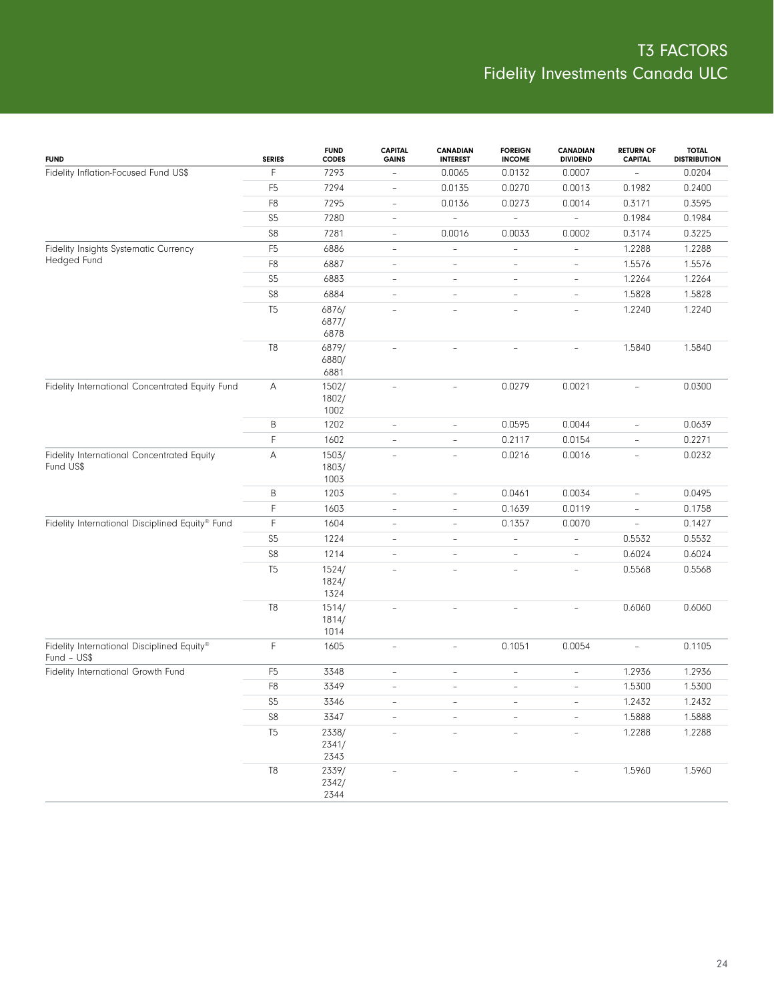| <b>FUND</b>                                               | <b>SERIES</b>  | <b>FUND</b><br><b>CODES</b> | <b>CAPITAL</b><br><b>GAINS</b> | <b>CANADIAN</b><br><b>INTEREST</b> | <b>FOREIGN</b><br><b>INCOME</b> | <b>CANADIAN</b><br><b>DIVIDEND</b> | <b>RETURN OF</b><br><b>CAPITAL</b> | <b>TOTAL</b><br><b>DISTRIBUTION</b> |
|-----------------------------------------------------------|----------------|-----------------------------|--------------------------------|------------------------------------|---------------------------------|------------------------------------|------------------------------------|-------------------------------------|
| Fidelity Inflation-Focused Fund US\$                      | F.             | 7293                        | $\overline{\phantom{a}}$       | 0.0065                             | 0.0132                          | 0.0007                             | $\overline{\phantom{a}}$           | 0.0204                              |
|                                                           | F <sub>5</sub> | 7294                        | $\overline{\phantom{a}}$       | 0.0135                             | 0.0270                          | 0.0013                             | 0.1982                             | 0.2400                              |
|                                                           | F8             | 7295                        | $\overline{\phantom{a}}$       | 0.0136                             | 0.0273                          | 0.0014                             | 0.3171                             | 0.3595                              |
|                                                           | S <sub>5</sub> | 7280                        | $\overline{\phantom{a}}$       | $\qquad \qquad -$                  | $\frac{1}{2}$                   | $\overline{\phantom{a}}$           | 0.1984                             | 0.1984                              |
|                                                           | S8             | 7281                        | $\overline{\phantom{a}}$       | 0.0016                             | 0.0033                          | 0.0002                             | 0.3174                             | 0.3225                              |
| Fidelity Insights Systematic Currency                     | F <sub>5</sub> | 6886                        | $\overline{\phantom{a}}$       | $\overline{\phantom{a}}$           | $\qquad \qquad -$               | $\overline{\phantom{0}}$           | 1.2288                             | 1.2288                              |
| Hedged Fund                                               | F <sub>8</sub> | 6887                        | $\overline{\phantom{a}}$       | $\overline{\phantom{a}}$           | $\qquad \qquad -$               | $\qquad \qquad -$                  | 1.5576                             | 1.5576                              |
|                                                           | S <sub>5</sub> | 6883                        | $\overline{\phantom{a}}$       | $\overline{\phantom{a}}$           | $\overline{\phantom{a}}$        | $\overline{\phantom{0}}$           | 1.2264                             | 1.2264                              |
|                                                           | ${\sf S8}$     | 6884                        | $\overline{\phantom{a}}$       | $\overline{\phantom{a}}$           | $\qquad \qquad -$               | $\qquad \qquad -$                  | 1.5828                             | 1.5828                              |
|                                                           | T <sub>5</sub> | 6876/<br>6877/<br>6878      | $\overline{\phantom{a}}$       | $\overline{\phantom{a}}$           | $\overline{\phantom{a}}$        | ÷                                  | 1.2240                             | 1.2240                              |
|                                                           | T <sub>8</sub> | 6879/<br>6880/<br>6881      | $\overline{\phantom{a}}$       | $\overline{\phantom{a}}$           | $\bar{ }$                       | ÷                                  | 1.5840                             | 1.5840                              |
| Fidelity International Concentrated Equity Fund           | Α              | 1502/<br>1802/<br>1002      | $\overline{\phantom{a}}$       | $\overline{\phantom{a}}$           | 0.0279                          | 0.0021                             | $\overline{\phantom{a}}$           | 0.0300                              |
|                                                           | B              | 1202                        | $\overline{\phantom{a}}$       | $\overline{\phantom{a}}$           | 0.0595                          | 0.0044                             | $\overline{\phantom{a}}$           | 0.0639                              |
|                                                           | F              | 1602                        | $\overline{\phantom{a}}$       | $\overline{\phantom{a}}$           | 0.2117                          | 0.0154                             | $\overline{\phantom{a}}$           | 0.2271                              |
| Fidelity International Concentrated Equity<br>Fund US\$   | A              | 1503/<br>1803/<br>1003      | $\overline{\phantom{a}}$       | $\overline{\phantom{a}}$           | 0.0216                          | 0.0016                             | $\overline{\phantom{a}}$           | 0.0232                              |
|                                                           | B              | 1203                        | $\overline{\phantom{a}}$       | $\overline{\phantom{a}}$           | 0.0461                          | 0.0034                             | $\overline{\phantom{a}}$           | 0.0495                              |
|                                                           | F.             | 1603                        | $\overline{\phantom{a}}$       | $\overline{\phantom{a}}$           | 0.1639                          | 0.0119                             | $\overline{\phantom{a}}$           | 0.1758                              |
| Fidelity International Disciplined Equity® Fund           | F.             | 1604                        | $\overline{\phantom{a}}$       | $\overline{\phantom{a}}$           | 0.1357                          | 0.0070                             | $\overline{\phantom{a}}$           | 0.1427                              |
|                                                           | S <sub>5</sub> | 1224                        | $\overline{\phantom{a}}$       | $\overline{\phantom{a}}$           | $\overline{\phantom{a}}$        | $\overline{\phantom{0}}$           | 0.5532                             | 0.5532                              |
|                                                           | ${\sf S8}$     | 1214                        | $\overline{\phantom{a}}$       | $\overline{\phantom{a}}$           | $\overline{\phantom{a}}$        | $\overline{\phantom{0}}$           | 0.6024                             | 0.6024                              |
|                                                           | T <sub>5</sub> | 1524/<br>1824/<br>1324      | $\overline{\phantom{a}}$       | $\overline{a}$                     | $\overline{\phantom{a}}$        | $\overline{\phantom{0}}$           | 0.5568                             | 0.5568                              |
|                                                           | $\mathsf{T}8$  | 1514/<br>1814/<br>1014      | L,                             | $\overline{\phantom{0}}$           | $\overline{\phantom{a}}$        | $\overline{\phantom{0}}$           | 0.6060                             | 0.6060                              |
| Fidelity International Disciplined Equity®<br>Fund - US\$ | F.             | 1605                        | $\overline{\phantom{a}}$       | $\overline{\phantom{a}}$           | 0.1051                          | 0.0054                             | $\overline{\phantom{a}}$           | 0.1105                              |
| Fidelity International Growth Fund                        | F <sub>5</sub> | 3348                        | $\overline{\phantom{a}}$       | $\overline{\phantom{a}}$           | $\overline{\phantom{a}}$        | $\overline{\phantom{a}}$           | 1.2936                             | 1.2936                              |
|                                                           | F <sub>8</sub> | 3349                        | $\overline{\phantom{a}}$       | $\overline{\phantom{a}}$           | $\qquad \qquad -$               | $\overline{\phantom{0}}$           | 1.5300                             | 1.5300                              |
|                                                           | S <sub>5</sub> | 3346                        | $\overline{\phantom{a}}$       | $\overline{\phantom{a}}$           | $\overline{\phantom{a}}$        | $\overline{\phantom{a}}$           | 1.2432                             | 1.2432                              |
|                                                           | ${\sf S8}$     | 3347                        | $\overline{\phantom{a}}$       | $\overline{\phantom{0}}$           | $\overline{\phantom{a}}$        |                                    | 1.5888                             | 1.5888                              |
|                                                           | T <sub>5</sub> | 2338/<br>2341/<br>2343      |                                |                                    |                                 |                                    | 1.2288                             | 1.2288                              |
|                                                           | $\mathsf{T}8$  | 2339/<br>2342/<br>2344      | $\overline{\phantom{a}}$       |                                    | $\overline{\phantom{a}}$        |                                    | 1.5960                             | 1.5960                              |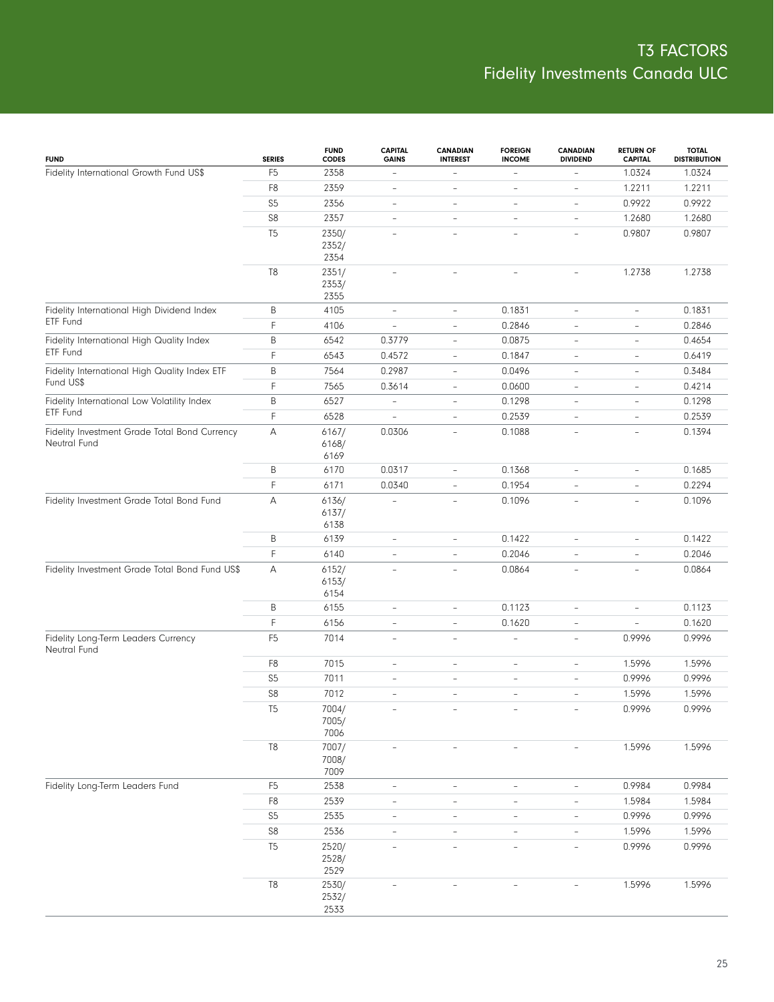| <b>FUND</b>                                         | <b>SERIES</b>  | <b>FUND</b><br><b>CODES</b> | <b>CAPITAL</b><br><b>GAINS</b> | <b>CANADIAN</b><br><b>INTEREST</b> | <b>FOREIGN</b><br><b>INCOME</b> | <b>CANADIAN</b><br><b>DIVIDEND</b> | <b>RETURN OF</b><br><b>CAPITAL</b> | <b>TOTAL</b><br><b>DISTRIBUTION</b> |
|-----------------------------------------------------|----------------|-----------------------------|--------------------------------|------------------------------------|---------------------------------|------------------------------------|------------------------------------|-------------------------------------|
| Fidelity International Growth Fund US\$             | F <sub>5</sub> | 2358                        | $\overline{\phantom{a}}$       | $\overline{\phantom{a}}$           | $\overline{a}$                  |                                    | 1.0324                             | 1.0324                              |
|                                                     | F <sub>8</sub> | 2359                        | $\overline{\phantom{a}}$       | $\overline{a}$                     | $\qquad \qquad -$               | $\overline{\phantom{0}}$           | 1.2211                             | 1.2211                              |
|                                                     | S <sub>5</sub> | 2356                        | $\qquad \qquad -$              | $\overline{\phantom{0}}$           | $\overline{\phantom{a}}$        | $\overline{\phantom{a}}$           | 0.9922                             | 0.9922                              |
|                                                     | S8             | 2357                        | $\overline{\phantom{a}}$       | $\overline{\phantom{a}}$           | $\overline{\phantom{a}}$        | $\overline{\phantom{a}}$           | 1.2680                             | 1.2680                              |
|                                                     | T <sub>5</sub> | 2350/                       | $\equiv$                       | ÷,                                 | $\overline{\phantom{a}}$        | ÷                                  | 0.9807                             | 0.9807                              |
|                                                     |                | 2352/                       |                                |                                    |                                 |                                    |                                    |                                     |
|                                                     |                | 2354                        |                                |                                    |                                 |                                    |                                    |                                     |
|                                                     | T <sub>8</sub> | 2351/<br>2353/              | $\overline{\phantom{a}}$       | ÷,                                 | $\overline{\phantom{a}}$        | ÷                                  | 1.2738                             | 1.2738                              |
|                                                     |                | 2355                        |                                |                                    |                                 |                                    |                                    |                                     |
| Fidelity International High Dividend Index          | B              | 4105                        | $\frac{1}{2}$                  | $\overline{\phantom{a}}$           | 0.1831                          | $\qquad \qquad -$                  | $\qquad \qquad -$                  | 0.1831                              |
| ETF Fund                                            | F              | 4106                        | $\overline{\phantom{a}}$       | $\overline{\phantom{a}}$           | 0.2846                          | $\overline{\phantom{a}}$           | $\overline{\phantom{a}}$           | 0.2846                              |
| Fidelity International High Quality Index           | B              | 6542                        | 0.3779                         | $\overline{\phantom{a}}$           | 0.0875                          | $\overline{\phantom{a}}$           | $\overline{\phantom{a}}$           | 0.4654                              |
| ETF Fund                                            | F              | 6543                        | 0.4572                         | $\overline{\phantom{a}}$           | 0.1847                          | $\overline{\phantom{a}}$           | $\overline{\phantom{a}}$           | 0.6419                              |
| Fidelity International High Quality Index ETF       | B              | 7564                        | 0.2987                         | $\overline{\phantom{a}}$           | 0.0496                          | $\overline{\phantom{a}}$           | $\overline{\phantom{a}}$           | 0.3484                              |
| Fund US\$                                           | F              | 7565                        | 0.3614                         | $\overline{\phantom{a}}$           | 0.0600                          | $\overline{\phantom{a}}$           | $\overline{\phantom{a}}$           | 0.4214                              |
| Fidelity International Low Volatility Index         | B              | 6527                        | $\qquad \qquad -$              | $\overline{\phantom{a}}$           | 0.1298                          | $\overline{\phantom{a}}$           | $\overline{\phantom{a}}$           | 0.1298                              |
| ETF Fund                                            | F              | 6528                        | $\bar{ }$                      | $\overline{\phantom{0}}$           | 0.2539                          | $\overline{\phantom{a}}$           | $\overline{\phantom{a}}$           | 0.2539                              |
| Fidelity Investment Grade Total Bond Currency       | Α              | 6167/                       | 0.0306                         | $\overline{\phantom{a}}$           | 0.1088                          | $\overline{\phantom{a}}$           | $\overline{\phantom{a}}$           | 0.1394                              |
| Neutral Fund                                        |                | 6168/                       |                                |                                    |                                 |                                    |                                    |                                     |
|                                                     |                | 6169                        |                                |                                    |                                 |                                    |                                    |                                     |
|                                                     | Β              | 6170                        | 0.0317                         | $\overline{\phantom{0}}$           | 0.1368                          | $\overline{\phantom{0}}$           | $\overline{\phantom{a}}$           | 0.1685                              |
|                                                     | F              | 6171                        | 0.0340                         | $\overline{\phantom{0}}$           | 0.1954                          | $\qquad \qquad -$                  | $\overline{\phantom{a}}$           | 0.2294                              |
| Fidelity Investment Grade Total Bond Fund           | А              | 6136/<br>6137/              |                                | $\bar{a}$                          | 0.1096                          | $\overline{\phantom{a}}$           | $\bar{a}$                          | 0.1096                              |
|                                                     |                | 6138                        |                                |                                    |                                 |                                    |                                    |                                     |
|                                                     | Β              | 6139                        | $\qquad \qquad -$              | $\overline{\phantom{a}}$           | 0.1422                          | $\overline{\phantom{a}}$           | $\overline{\phantom{a}}$           | 0.1422                              |
|                                                     | F              | 6140                        | $\bar{ }$                      | $\overline{\phantom{0}}$           | 0.2046                          | $\overline{\phantom{a}}$           | $\overline{\phantom{a}}$           | 0.2046                              |
| Fidelity Investment Grade Total Bond Fund US\$      | А              | 6152/                       | $\overline{\phantom{a}}$       | $\overline{\phantom{a}}$           | 0.0864                          | $\overline{\phantom{a}}$           | $\overline{\phantom{a}}$           | 0.0864                              |
|                                                     |                | 6153/                       |                                |                                    |                                 |                                    |                                    |                                     |
|                                                     |                | 6154                        |                                |                                    |                                 |                                    |                                    |                                     |
|                                                     | Β              | 6155                        | $\qquad \qquad -$              | $\overline{\phantom{0}}$           | 0.1123                          | ÷,                                 | $\overline{\phantom{0}}$           | 0.1123                              |
|                                                     | F              | 6156                        | $\overline{\phantom{a}}$       | $\overline{\phantom{0}}$           | 0.1620                          | $\overline{\phantom{0}}$           | $\bar{a}$                          | 0.1620                              |
| Fidelity Long-Term Leaders Currency<br>Neutral Fund | F <sub>5</sub> | 7014                        | $\qquad \qquad -$              | $\overline{\phantom{0}}$           | $\overline{\phantom{a}}$        | $\overline{\phantom{0}}$           | 0.9996                             | 0.9996                              |
|                                                     | F <sub>8</sub> | 7015                        | $\overline{\phantom{a}}$       | $\overline{\phantom{0}}$           | $\overline{\phantom{a}}$        | $\overline{\phantom{a}}$           | 1.5996                             | 1.5996                              |
|                                                     | S <sub>5</sub> | 7011                        | $\overline{\phantom{a}}$       | $\overline{\phantom{0}}$           | $\overline{\phantom{a}}$        | $\overline{\phantom{0}}$           | 0.9996                             | 0.9996                              |
|                                                     | S8             | 7012                        | $\overline{\phantom{a}}$       | $\overline{\phantom{0}}$           | $\overline{\phantom{a}}$        | $\overline{\phantom{a}}$           | 1.5996                             | 1.5996                              |
|                                                     | T <sub>5</sub> | 7004/<br>7005/              |                                |                                    |                                 |                                    | 0.9996                             | 0.9996                              |
|                                                     |                | 7006                        |                                |                                    |                                 |                                    |                                    |                                     |
|                                                     | T <sub>8</sub> | 7007/                       |                                |                                    |                                 |                                    | 1.5996                             | 1.5996                              |
|                                                     |                | 7008/                       |                                |                                    |                                 |                                    |                                    |                                     |
|                                                     |                | 7009                        |                                |                                    |                                 |                                    |                                    |                                     |
| Fidelity Long-Term Leaders Fund                     | F <sub>5</sub> | 2538                        | $\overline{\phantom{0}}$       | $\overline{\phantom{a}}$           | $\qquad \qquad -$               | $\qquad \qquad -$                  | 0.9984                             | 0.9984                              |
|                                                     | F8             | 2539                        | $\overline{\phantom{0}}$       | $\overline{\phantom{a}}$           | $\overline{\phantom{a}}$        | $\overline{\phantom{0}}$           | 1.5984                             | 1.5984                              |
|                                                     | S <sub>5</sub> | 2535                        | $\overline{\phantom{0}}$       | $\overline{\phantom{a}}$           | $\overline{\phantom{a}}$        | $\overline{\phantom{a}}$           | 0.9996                             | 0.9996                              |
|                                                     | ${\sf S8}$     | 2536                        | $\overline{\phantom{0}}$       | $\overline{\phantom{a}}$           | $\overline{\phantom{0}}$        | $\overline{\phantom{a}}$           | 1.5996                             | 1.5996                              |
|                                                     | T <sub>5</sub> | 2520/<br>2528/<br>2529      | $\qquad \qquad -$              | $\overline{\phantom{a}}$           | $\overline{\phantom{a}}$        | $\overline{\phantom{a}}$           | 0.9996                             | 0.9996                              |
|                                                     | $\mathsf{T}8$  | 2530/                       | $\overline{\phantom{a}}$       |                                    | $\overline{\phantom{a}}$        |                                    | 1.5996                             | 1.5996                              |
|                                                     |                | 2532/                       |                                |                                    |                                 |                                    |                                    |                                     |
|                                                     |                | 2533                        |                                |                                    |                                 |                                    |                                    |                                     |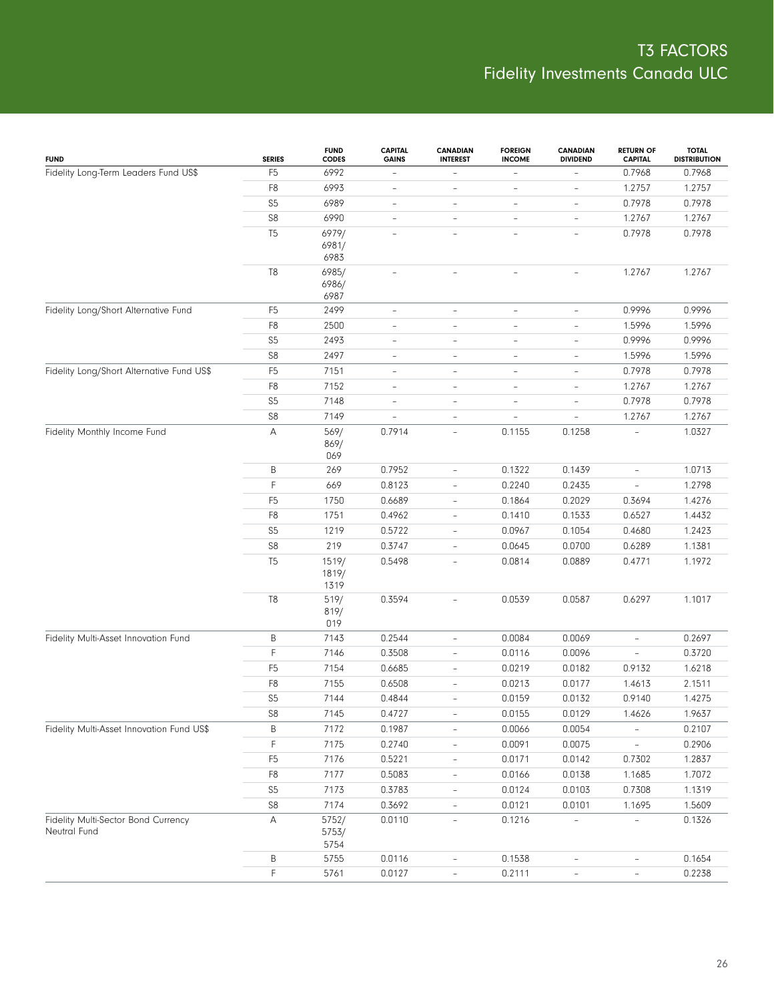| <b>FUND</b>                                         | <b>SERIES</b>  | <b>FUND</b><br><b>CODES</b>    | <b>CAPITAL</b><br><b>GAINS</b> | <b>CANADIAN</b><br><b>INTEREST</b> | <b>FOREIGN</b><br><b>INCOME</b> | <b>CANADIAN</b><br><b>DIVIDEND</b> | <b>RETURN OF</b><br><b>CAPITAL</b> | <b>TOTAL</b><br><b>DISTRIBUTION</b> |
|-----------------------------------------------------|----------------|--------------------------------|--------------------------------|------------------------------------|---------------------------------|------------------------------------|------------------------------------|-------------------------------------|
| Fidelity Long-Term Leaders Fund US\$                | F <sub>5</sub> | 6992                           | $\qquad \qquad -$              | $\overline{\phantom{0}}$           | $\qquad \qquad -$               | -                                  | 0.7968                             | 0.7968                              |
|                                                     | F8             | 6993                           | $\qquad \qquad -$              | $\overline{\phantom{0}}$           | $\qquad \qquad -$               | $\overline{\phantom{0}}$           | 1.2757                             | 1.2757                              |
|                                                     | S5             | 6989                           | $\overline{\phantom{a}}$       | $\overline{\phantom{0}}$           | $\qquad \qquad -$               | $\qquad \qquad -$                  | 0.7978                             | 0.7978                              |
|                                                     | ${\sf S8}$     | 6990                           | $\qquad \qquad -$              | $\qquad \qquad -$                  | $\qquad \qquad -$               | $\overline{\phantom{0}}$           | 1.2767                             | 1.2767                              |
|                                                     | T <sub>5</sub> | 6979/<br>6981/                 | $\overline{\phantom{a}}$       | $\overline{\phantom{0}}$           | $\overline{\phantom{a}}$        | $\overline{\phantom{0}}$           | 0.7978                             | 0.7978                              |
|                                                     | T <sub>8</sub> | 6983<br>6985/<br>6986/<br>6987 | $\overline{\phantom{a}}$       | $\overline{\phantom{0}}$           | $\overline{\phantom{a}}$        | $\overline{\phantom{0}}$           | 1.2767                             | 1.2767                              |
| Fidelity Long/Short Alternative Fund                | F <sub>5</sub> | 2499                           | $\qquad \qquad -$              | $\qquad \qquad -$                  | $\qquad \qquad -$               | $\overline{\phantom{0}}$           | 0.9996                             | 0.9996                              |
|                                                     | F8             | 2500                           | $\overline{\phantom{a}}$       | L,                                 | $\bar{ }$                       | $\overline{\phantom{0}}$           | 1.5996                             | 1.5996                              |
|                                                     | S5             | 2493                           | $\qquad \qquad -$              | $\qquad \qquad -$                  | $\qquad \qquad -$               | $\overline{\phantom{0}}$           | 0.9996                             | 0.9996                              |
|                                                     | ${\sf S8}$     | 2497                           | $\qquad \qquad -$              | $\qquad \qquad -$                  | $\overline{\phantom{a}}$        | $\overline{\phantom{a}}$           | 1.5996                             | 1.5996                              |
| Fidelity Long/Short Alternative Fund US\$           | F <sub>5</sub> | 7151                           | $\overline{\phantom{a}}$       | $\qquad \qquad -$                  | $\qquad \qquad -$               | $\overline{\phantom{0}}$           | 0.7978                             | 0.7978                              |
|                                                     | F8             | 7152                           | $\overline{\phantom{a}}$       | L,                                 | $\overline{\phantom{a}}$        | $\overline{\phantom{0}}$           | 1.2767                             | 1.2767                              |
|                                                     | S <sub>5</sub> | 7148                           | $\overline{\phantom{0}}$       | $\qquad \qquad -$                  | $\qquad \qquad -$               | $\overline{\phantom{0}}$           | 0.7978                             | 0.7978                              |
|                                                     | ${\sf S8}$     | 7149                           | $\overline{\phantom{0}}$       | $\frac{1}{2}$                      | Ē,                              | $\overline{\phantom{0}}$           | 1.2767                             | 1.2767                              |
| Fidelity Monthly Income Fund                        | Α              | 569/<br>869/<br>069            | 0.7914                         | $\overline{\phantom{a}}$           | 0.1155                          | 0.1258                             | L,                                 | 1.0327                              |
|                                                     | Β              | 269                            | 0.7952                         | $\frac{1}{2}$                      | 0.1322                          | 0.1439                             | $\overline{\phantom{0}}$           | 1.0713                              |
|                                                     | F              | 669                            | 0.8123                         | $\frac{1}{2}$                      | 0.2240                          | 0.2435                             | $\overline{\phantom{0}}$           | 1.2798                              |
|                                                     | F <sub>5</sub> | 1750                           | 0.6689                         | $\frac{1}{2}$                      | 0.1864                          | 0.2029                             | 0.3694                             | 1.4276                              |
|                                                     | F8             | 1751                           | 0.4962                         | $\bar{ }$                          | 0.1410                          | 0.1533                             | 0.6527                             | 1.4432                              |
|                                                     | S <sub>5</sub> | 1219                           | 0.5722                         | $\frac{1}{2}$                      | 0.0967                          | 0.1054                             | 0.4680                             | 1.2423                              |
|                                                     | S8             | 219                            | 0.3747                         | $\bar{ }$                          | 0.0645                          | 0.0700                             | 0.6289                             | 1.1381                              |
|                                                     | T <sub>5</sub> | 1519/<br>1819/<br>1319         | 0.5498                         | $\bar{ }$                          | 0.0814                          | 0.0889                             | 0.4771                             | 1.1972                              |
|                                                     | T8             | 519/<br>819/<br>019            | 0.3594                         | L,                                 | 0.0539                          | 0.0587                             | 0.6297                             | 1.1017                              |
| Fidelity Multi-Asset Innovation Fund                | Β              | 7143                           | 0.2544                         | $\overline{\phantom{a}}$           | 0.0084                          | 0.0069                             | $\overline{\phantom{a}}$           | 0.2697                              |
|                                                     | F              | 7146                           | 0.3508                         | $\overline{\phantom{0}}$           | 0.0116                          | 0.0096                             | $\overline{\phantom{0}}$           | 0.3720                              |
|                                                     | F <sub>5</sub> | 7154                           | 0.6685                         | $\frac{1}{2}$                      | 0.0219                          | 0.0182                             | 0.9132                             | 1.6218                              |
|                                                     | F <sub>8</sub> | 7155                           | 0.6508                         | $\overline{\phantom{0}}$           | 0.0213                          | 0.0177                             | 1.4613                             | 2.1511                              |
|                                                     | S <sub>5</sub> | 7144                           | 0.4844                         | $\bar{ }$                          | 0.0159                          | 0.0132                             | 0.9140                             | 1.4275                              |
|                                                     | S8             | 7145                           | 0.4727                         | $\overline{a}$                     | 0.0155                          | 0.0129                             | 1.4626                             | 1.9637                              |
| Fidelity Multi-Asset Innovation Fund US\$           | B              | 7172                           | 0.1987                         | $\overline{a}$                     | 0.0066                          | 0.0054                             | $\overline{\phantom{0}}$           | 0.2107                              |
|                                                     | F              | 7175                           | 0.2740                         | $\overline{\phantom{0}}$           | 0.0091                          | 0.0075                             | $\overline{\phantom{0}}$           | 0.2906                              |
|                                                     | F <sub>5</sub> | 7176                           | 0.5221                         | -                                  | 0.0171                          | 0.0142                             | 0.7302                             | 1.2837                              |
|                                                     | F8             | 7177                           | 0.5083                         | $\overline{\phantom{0}}$           | 0.0166                          | 0.0138                             | 1.1685                             | 1.7072                              |
|                                                     | S <sub>5</sub> | 7173                           | 0.3783                         | -                                  | 0.0124                          | 0.0103                             | 0.7308                             | 1.1319                              |
|                                                     | S8             | 7174                           | 0.3692                         | $\overline{\phantom{0}}$           | 0.0121                          | 0.0101                             | 1.1695                             | 1.5609                              |
| Fidelity Multi-Sector Bond Currency<br>Neutral Fund | А              | 5752/<br>5753/<br>5754         | 0.0110                         | $\overline{a}$                     | 0.1216                          |                                    |                                    | 0.1326                              |
|                                                     | B              | 5755                           | 0.0116                         | ÷                                  | 0.1538                          | $\overline{\phantom{0}}$           | $\overline{\phantom{0}}$           | 0.1654                              |
|                                                     | $\mathsf F$    | 5761                           | 0.0127                         | ÷,                                 | 0.2111                          | $\overline{\phantom{a}}$           | $\overline{\phantom{0}}$           | 0.2238                              |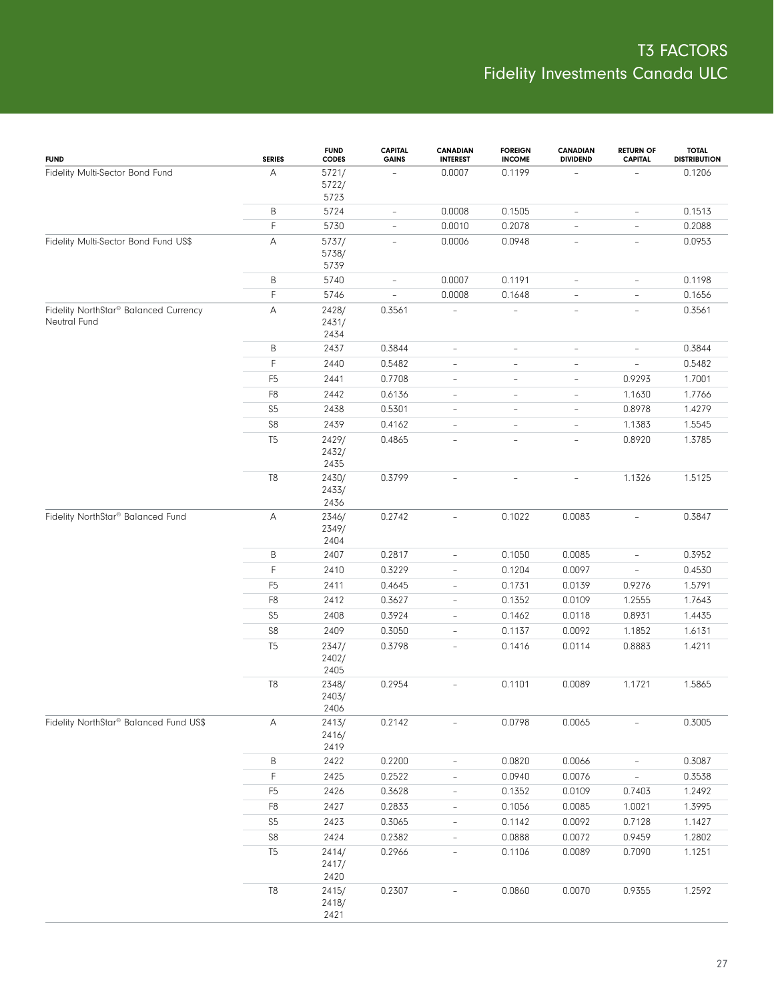| <b>FUND</b>                                           | <b>SERIES</b>  | <b>FUND</b><br><b>CODES</b> | <b>CAPITAL</b><br><b>GAINS</b> | <b>CANADIAN</b><br><b>INTEREST</b> | <b>FOREIGN</b><br><b>INCOME</b> | <b>CANADIAN</b><br><b>DIVIDEND</b> | <b>RETURN OF</b><br><b>CAPITAL</b> | <b>TOTAL</b><br><b>DISTRIBUTION</b> |
|-------------------------------------------------------|----------------|-----------------------------|--------------------------------|------------------------------------|---------------------------------|------------------------------------|------------------------------------|-------------------------------------|
| Fidelity Multi-Sector Bond Fund                       | А              | 5721/<br>5722/<br>5723      |                                | 0.0007                             | 0.1199                          |                                    |                                    | 0.1206                              |
|                                                       | B              | 5724                        | $\overline{\phantom{a}}$       | 0.0008                             | 0.1505                          | $\overline{\phantom{a}}$           | $\overline{\phantom{a}}$           | 0.1513                              |
|                                                       | $\mathsf F$    | 5730                        | $\overline{\phantom{a}}$       | 0.0010                             | 0.2078                          | $\overline{\phantom{a}}$           | $\overline{\phantom{a}}$           | 0.2088                              |
| Fidelity Multi-Sector Bond Fund US\$                  | А              | 5737/<br>5738/<br>5739      | $\overline{\phantom{a}}$       | 0.0006                             | 0.0948                          | $\overline{\phantom{a}}$           | $\overline{\phantom{a}}$           | 0.0953                              |
|                                                       | B              | 5740                        | $\overline{\phantom{a}}$       | 0.0007                             | 0.1191                          | $\overline{\phantom{a}}$           | $\overline{\phantom{a}}$           | 0.1198                              |
|                                                       | $\mathsf F$    | 5746                        | $\bar{a}$                      | 0.0008                             | 0.1648                          | $\overline{\phantom{a}}$           | $\overline{\phantom{a}}$           | 0.1656                              |
| Fidelity NorthStar® Balanced Currency<br>Neutral Fund | $\mathsf A$    | 2428/<br>2431/<br>2434      | 0.3561                         |                                    | $\overline{\phantom{a}}$        | $\overline{\phantom{a}}$           | $\overline{\phantom{a}}$           | 0.3561                              |
|                                                       | B              | 2437                        | 0.3844                         | $\overline{\phantom{a}}$           | $\overline{\phantom{a}}$        | $\overline{\phantom{a}}$           | $\overline{\phantom{a}}$           | 0.3844                              |
|                                                       | $\mathsf F$    | 2440                        | 0.5482                         | $\overline{\phantom{0}}$           | $\sim$                          | $\overline{\phantom{a}}$           | $\overline{\phantom{a}}$           | 0.5482                              |
|                                                       | F <sub>5</sub> | 2441                        | 0.7708                         | $\overline{\phantom{0}}$           | $\overline{\phantom{a}}$        | $\qquad \qquad -$                  | 0.9293                             | 1.7001                              |
|                                                       | F <sub>8</sub> | 2442                        | 0.6136                         | $\overline{\phantom{0}}$           | $\overline{\phantom{a}}$        | $\overline{\phantom{a}}$           | 1.1630                             | 1.7766                              |
|                                                       | S <sub>5</sub> | 2438                        | 0.5301                         | $\overline{\phantom{0}}$           | $\overline{\phantom{a}}$        | $\overline{\phantom{a}}$           | 0.8978                             | 1.4279                              |
|                                                       | S8             | 2439                        | 0.4162                         | $\overline{\phantom{0}}$           | $\overline{\phantom{a}}$        | $\overline{\phantom{a}}$           | 1.1383                             | 1.5545                              |
|                                                       | T <sub>5</sub> | 2429/<br>2432/<br>2435      | 0.4865                         | L,                                 | $\overline{\phantom{a}}$        | $\overline{\phantom{a}}$           | 0.8920                             | 1.3785                              |
|                                                       | $\mathsf{T}8$  | 2430/<br>2433/<br>2436      | 0.3799                         | $\overline{\phantom{0}}$           | $\overline{\phantom{a}}$        | $\overline{\phantom{0}}$           | 1.1326                             | 1.5125                              |
| Fidelity NorthStar <sup>®</sup> Balanced Fund         | Α              | 2346/<br>2349/<br>2404      | 0.2742                         | $\overline{\phantom{a}}$           | 0.1022                          | 0.0083                             | $\overline{\phantom{a}}$           | 0.3847                              |
|                                                       | $\sf B$        | 2407                        | 0.2817                         | $\overline{\phantom{0}}$           | 0.1050                          | 0.0085                             | $\overline{\phantom{a}}$           | 0.3952                              |
|                                                       | $\mathsf F$    | 2410                        | 0.3229                         | $\overline{\phantom{0}}$           | 0.1204                          | 0.0097                             | $\overline{\phantom{a}}$           | 0.4530                              |
|                                                       | F <sub>5</sub> | 2411                        | 0.4645                         | $\overline{\phantom{0}}$           | 0.1731                          | 0.0139                             | 0.9276                             | 1.5791                              |
|                                                       | F <sub>8</sub> | 2412                        | 0.3627                         | $\overline{\phantom{0}}$           | 0.1352                          | 0.0109                             | 1.2555                             | 1.7643                              |
|                                                       | S <sub>5</sub> | 2408                        | 0.3924                         | $\overline{\phantom{0}}$           | 0.1462                          | 0.0118                             | 0.8931                             | 1.4435                              |
|                                                       | ${\sf S8}$     | 2409                        | 0.3050                         | $\overline{a}$                     | 0.1137                          | 0.0092                             | 1.1852                             | 1.6131                              |
|                                                       | T <sub>5</sub> | 2347/<br>2402/<br>2405      | 0.3798                         | $\overline{\phantom{0}}$           | 0.1416                          | 0.0114                             | 0.8883                             | 1.4211                              |
|                                                       | T8             | 2348/<br>2403/<br>2406      | 0.2954                         |                                    | 0.1101                          | 0.0089                             | 1.1721                             | 1.5865                              |
| Fidelity NorthStar <sup>®</sup> Balanced Fund US\$    | Α              | 2413/<br>2416/<br>2419      | 0.2142                         |                                    | 0.0798                          | 0.0065                             |                                    | 0.3005                              |
|                                                       | B              | 2422                        | 0.2200                         | $\overline{\phantom{0}}$           | 0.0820                          | 0.0066                             | $\overline{\phantom{a}}$           | 0.3087                              |
|                                                       | F              | 2425                        | 0.2522                         | $\overline{\phantom{0}}$           | 0.0940                          | 0.0076                             | $\overline{\phantom{a}}$           | 0.3538                              |
|                                                       | F <sub>5</sub> | 2426                        | 0.3628                         | $\overline{\phantom{0}}$           | 0.1352                          | 0.0109                             | 0.7403                             | 1.2492                              |
|                                                       | F <sub>8</sub> | 2427                        | 0.2833                         | $\overline{\phantom{0}}$           | 0.1056                          | 0.0085                             | 1.0021                             | 1.3995                              |
|                                                       | S <sub>5</sub> | 2423                        | 0.3065                         | $\overline{\phantom{0}}$           | 0.1142                          | 0.0092                             | 0.7128                             | 1.1427                              |
|                                                       | ${\sf S8}$     | 2424                        | 0.2382                         | $\overline{\phantom{0}}$           | 0.0888                          | 0.0072                             | 0.9459                             | 1.2802                              |
|                                                       | T <sub>5</sub> | 2414/<br>2417/<br>2420      | 0.2966                         |                                    | 0.1106                          | 0.0089                             | 0.7090                             | 1.1251                              |
|                                                       | $\mathbb{T}8$  | 2415/<br>2418/<br>2421      | 0.2307                         |                                    | 0.0860                          | 0.0070                             | 0.9355                             | 1.2592                              |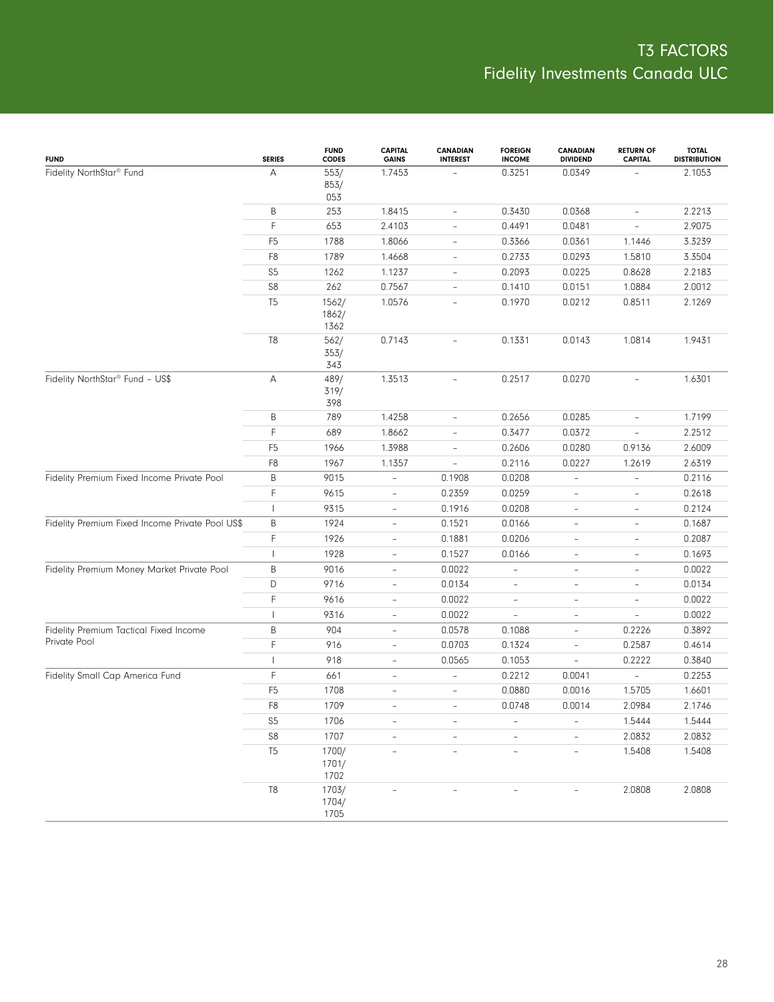| <b>FUND</b>                                     | <b>SERIES</b>  | <b>FUND</b><br><b>CODES</b> | <b>CAPITAL</b><br><b>GAINS</b> | <b>CANADIAN</b><br><b>INTEREST</b> | <b>FOREIGN</b><br><b>INCOME</b> | CANADIAN<br><b>DIVIDEND</b> | <b>RETURN OF</b><br><b>CAPITAL</b> | <b>TOTAL</b><br><b>DISTRIBUTION</b> |
|-------------------------------------------------|----------------|-----------------------------|--------------------------------|------------------------------------|---------------------------------|-----------------------------|------------------------------------|-------------------------------------|
| Fidelity NorthStar <sup>®</sup> Fund            | А              | 553/<br>853/<br>053         | 1.7453                         |                                    | 0.3251                          | 0.0349                      |                                    | 2.1053                              |
|                                                 | B              | 253                         | 1.8415                         | $\qquad \qquad -$                  | 0.3430                          | 0.0368                      | $\qquad \qquad -$                  | 2.2213                              |
|                                                 | F              | 653                         | 2.4103                         | $\overline{\phantom{a}}$           | 0.4491                          | 0.0481                      | $\qquad \qquad -$                  | 2.9075                              |
|                                                 | F <sub>5</sub> | 1788                        | 1.8066                         | $\overline{\phantom{a}}$           | 0.3366                          | 0.0361                      | 1.1446                             | 3.3239                              |
|                                                 | F <sub>8</sub> | 1789                        | 1.4668                         | $\overline{\phantom{a}}$           | 0.2733                          | 0.0293                      | 1.5810                             | 3.3504                              |
|                                                 | S <sub>5</sub> | 1262                        | 1.1237                         | $\overline{\phantom{a}}$           | 0.2093                          | 0.0225                      | 0.8628                             | 2.2183                              |
|                                                 | S8             | 262                         | 0.7567                         | $\overline{\phantom{a}}$           | 0.1410                          | 0.0151                      | 1.0884                             | 2.0012                              |
|                                                 | T <sub>5</sub> | 1562/<br>1862/<br>1362      | 1.0576                         | $\overline{\phantom{0}}$           | 0.1970                          | 0.0212                      | 0.8511                             | 2.1269                              |
|                                                 | T <sub>8</sub> | 562/<br>353/<br>343         | 0.7143                         |                                    | 0.1331                          | 0.0143                      | 1.0814                             | 1.9431                              |
| Fidelity NorthStar <sup>®</sup> Fund - US\$     | Α              | 489/<br>319/<br>398         | 1.3513                         | $\overline{\phantom{a}}$           | 0.2517                          | 0.0270                      | $\overline{\phantom{a}}$           | 1.6301                              |
|                                                 | B              | 789                         | 1.4258                         | $\overline{\phantom{0}}$           | 0.2656                          | 0.0285                      | $\bar{ }$                          | 1.7199                              |
|                                                 | F              | 689                         | 1.8662                         | $\overline{\phantom{0}}$           | 0.3477                          | 0.0372                      | $\overline{\phantom{a}}$           | 2.2512                              |
|                                                 | F <sub>5</sub> | 1966                        | 1.3988                         | $\overline{\phantom{0}}$           | 0.2606                          | 0.0280                      | 0.9136                             | 2.6009                              |
|                                                 | F <sub>8</sub> | 1967                        | 1.1357                         | $\overline{\phantom{a}}$           | 0.2116                          | 0.0227                      | 1.2619                             | 2.6319                              |
| Fidelity Premium Fixed Income Private Pool      | B              | 9015                        | $\qquad \qquad -$              | 0.1908                             | 0.0208                          | $\overline{\phantom{0}}$    | $\bar{ }$                          | 0.2116                              |
|                                                 | F              | 9615                        | $\qquad \qquad -$              | 0.2359                             | 0.0259                          | $\overline{\phantom{0}}$    | $\overline{\phantom{0}}$           | 0.2618                              |
|                                                 | $\mathbf{I}$   | 9315                        | $\overline{\phantom{a}}$       | 0.1916                             | 0.0208                          | $\overline{\phantom{a}}$    | $\qquad \qquad -$                  | 0.2124                              |
| Fidelity Premium Fixed Income Private Pool US\$ | B              | 1924                        | $\overline{\phantom{a}}$       | 0.1521                             | 0.0166                          | $\overline{\phantom{a}}$    | $\overline{\phantom{a}}$           | 0.1687                              |
|                                                 | F              | 1926                        | $\qquad \qquad -$              | 0.1881                             | 0.0206                          | $\qquad \qquad -$           | $\overline{\phantom{a}}$           | 0.2087                              |
|                                                 | $\mathbf{I}$   | 1928                        | $\overline{\phantom{a}}$       | 0.1527                             | 0.0166                          | $\overline{\phantom{a}}$    | $\overline{\phantom{a}}$           | 0.1693                              |
| Fidelity Premium Money Market Private Pool      | B              | 9016                        | $\overline{\phantom{a}}$       | 0.0022                             |                                 | $\overline{\phantom{0}}$    | $\qquad \qquad -$                  | 0.0022                              |
|                                                 | D              | 9716                        | $\overline{\phantom{a}}$       | 0.0134                             | $\overline{a}$                  | $\overline{\phantom{0}}$    | $\overline{\phantom{a}}$           | 0.0134                              |
|                                                 | F              | 9616                        | $\qquad \qquad -$              | 0.0022                             | $\overline{\phantom{a}}$        | $\qquad \qquad -$           | $\qquad \qquad -$                  | 0.0022                              |
|                                                 | $\mathbf{I}$   | 9316                        | $\overline{\phantom{a}}$       | 0.0022                             | $\overline{a}$                  | $\overline{\phantom{a}}$    | $\overline{\phantom{a}}$           | 0.0022                              |
| Fidelity Premium Tactical Fixed Income          | B              | 904                         | $\overline{\phantom{a}}$       | 0.0578                             | 0.1088                          | $\overline{\phantom{a}}$    | 0.2226                             | 0.3892                              |
| Private Pool                                    | F              | 916                         | $\overline{\phantom{a}}$       | 0.0703                             | 0.1324                          | $\overline{\phantom{0}}$    | 0.2587                             | 0.4614                              |
|                                                 | $\mathbf{I}$   | 918                         | $\overline{\phantom{a}}$       | 0.0565                             | 0.1053                          | $\bar{ }$                   | 0.2222                             | 0.3840                              |
| Fidelity Small Cap America Fund                 | F              | 661                         | $\overline{\phantom{a}}$       | L,                                 | 0.2212                          | 0.0041                      |                                    | 0.2253                              |
|                                                 | F <sub>5</sub> | 1708                        | $\overline{\phantom{a}}$       | $\overline{\phantom{0}}$           | 0.0880                          | 0.0016                      | 1.5705                             | 1.6601                              |
|                                                 | F8             | 1709                        |                                |                                    | 0.0748                          | 0.0014                      | 2.0984                             | 2.1746                              |
|                                                 | S <sub>5</sub> | 1706                        | $\overline{\phantom{a}}$       | $\overline{\phantom{0}}$           | $\overline{\phantom{a}}$        | ÷                           | 1.5444                             | 1.5444                              |
|                                                 | ${\sf S8}$     | 1707                        | $\overline{\phantom{a}}$       | $\overline{\phantom{0}}$           | $\overline{\phantom{a}}$        | $\overline{\phantom{0}}$    | 2.0832                             | 2.0832                              |
|                                                 | T <sub>5</sub> | 1700/<br>1701/<br>1702      | $\overline{\phantom{a}}$       | $\overline{a}$                     | $\bar{ }$                       | $\overline{\phantom{0}}$    | 1.5408                             | 1.5408                              |
|                                                 | T8             | 1703/<br>1704/<br>1705      |                                | $\overline{a}$                     | $\qquad \qquad -$               | $\overline{\phantom{0}}$    | 2.0808                             | 2.0808                              |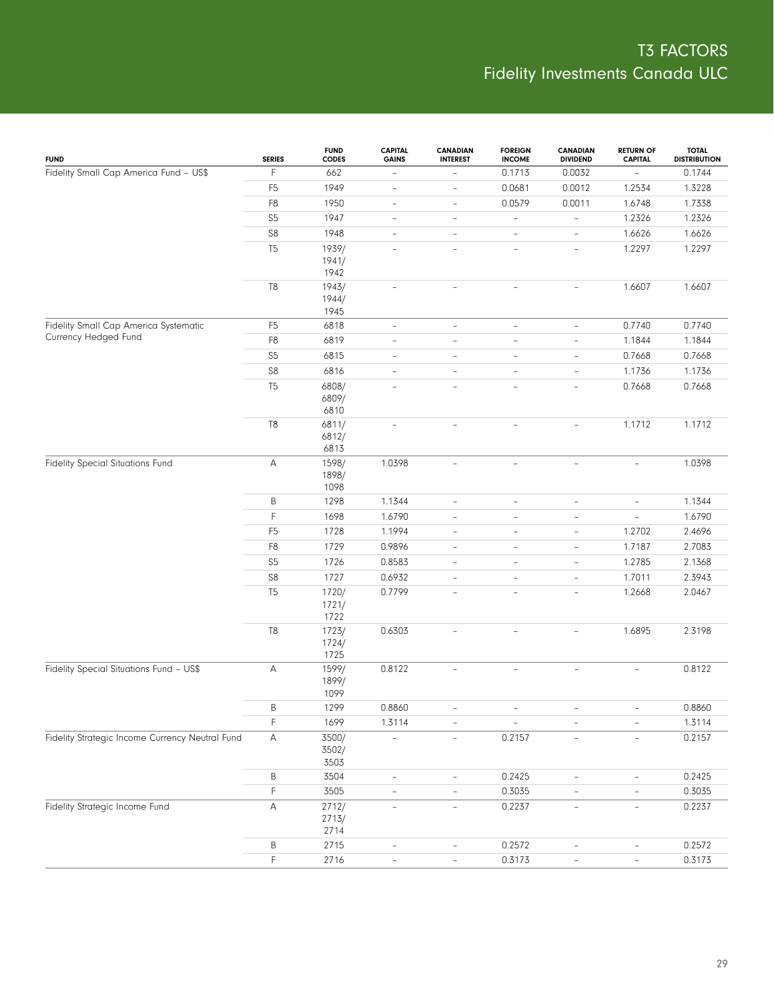| <b>FUND</b>                                     | <b>SERIES</b>  | <b>FUND</b><br><b>CODES</b> | <b>CAPITAL</b><br><b>GAINS</b> | <b>CANADIAN</b><br><b>INTEREST</b> | <b>FOREIGN</b><br><b>INCOME</b> | CANADIAN<br><b>DIVIDEND</b> | <b>RETURN OF</b><br><b>CAPITAL</b> | <b>TOTAL</b><br><b>DISTRIBUTION</b> |
|-------------------------------------------------|----------------|-----------------------------|--------------------------------|------------------------------------|---------------------------------|-----------------------------|------------------------------------|-------------------------------------|
| Fidelity Small Cap America Fund - US\$          | F              | 662                         | $\overline{\phantom{a}}$       | $\qquad \qquad -$                  | 0.1713                          | 0.0032                      | $\overline{\phantom{a}}$           | 0.1744                              |
|                                                 | F <sub>5</sub> | 1949                        | $\overline{\phantom{a}}$       | $\overline{\phantom{0}}$           | 0.0681                          | 0.0012                      | 1.2534                             | 1.3228                              |
|                                                 | F8             | 1950                        | $\overline{\phantom{a}}$       | $\overline{\phantom{0}}$           | 0.0579                          | 0.0011                      | 1.6748                             | 1.7338                              |
|                                                 | S <sub>5</sub> | 1947                        | $\qquad \qquad -$              | $\overline{\phantom{0}}$           | $\blacksquare$                  | $\qquad \qquad -$           | 1.2326                             | 1.2326                              |
|                                                 | ${\sf S8}$     | 1948                        | $\overline{\phantom{a}}$       | $\qquad \qquad -$                  | $\overline{\phantom{0}}$        | $\overline{\phantom{a}}$    | 1.6626                             | 1.6626                              |
|                                                 | T <sub>5</sub> | 1939/                       | $\overline{\phantom{a}}$       | $\overline{\phantom{a}}$           | $\overline{\phantom{a}}$        | $\overline{\phantom{a}}$    | 1.2297                             | 1.2297                              |
|                                                 |                | 1941/                       |                                |                                    |                                 |                             |                                    |                                     |
|                                                 |                | 1942                        |                                |                                    |                                 |                             |                                    |                                     |
|                                                 | T <sub>8</sub> | 1943/<br>1944/              | $\overline{\phantom{a}}$       | $\overline{\phantom{a}}$           | $\overline{\phantom{a}}$        | $\overline{\phantom{0}}$    | 1.6607                             | 1.6607                              |
|                                                 |                | 1945                        |                                |                                    |                                 |                             |                                    |                                     |
| Fidelity Small Cap America Systematic           | F <sub>5</sub> | 6818                        | $\qquad \qquad -$              | $\overline{\phantom{a}}$           | $\overline{\phantom{a}}$        | $\qquad \qquad -$           | 0.7740                             | 0.7740                              |
| Currency Hedged Fund                            | F8             | 6819                        | $\overline{\phantom{a}}$       | $\overline{\phantom{a}}$           | $\bar{ }$                       | $\overline{\phantom{0}}$    | 1.1844                             | 1.1844                              |
|                                                 | S <sub>5</sub> | 6815                        | $\overline{\phantom{a}}$       | $\overline{\phantom{a}}$           | $\qquad \qquad -$               | $\overline{\phantom{a}}$    | 0.7668                             | 0.7668                              |
|                                                 | ${\sf S8}$     | 6816                        | $\overline{\phantom{a}}$       | $\overline{\phantom{a}}$           | $\bar{ }$                       | $\bar{ }$                   | 1.1736                             | 1.1736                              |
|                                                 | T <sub>5</sub> | 6808/                       | $\overline{\phantom{a}}$       | $\overline{\phantom{a}}$           | $\overline{\phantom{a}}$        | $\overline{\phantom{0}}$    | 0.7668                             | 0.7668                              |
|                                                 |                | 6809/                       |                                |                                    |                                 |                             |                                    |                                     |
|                                                 |                | 6810                        |                                |                                    |                                 |                             |                                    |                                     |
|                                                 | T <sub>8</sub> | 6811/                       | $\overline{\phantom{a}}$       | $\overline{\phantom{a}}$           | $\qquad \qquad -$               | $\overline{\phantom{0}}$    | 1.1712                             | 1.1712                              |
|                                                 |                | 6812/<br>6813               |                                |                                    |                                 |                             |                                    |                                     |
| <b>Fidelity Special Situations Fund</b>         | A              | 1598/                       | 1.0398                         | $\overline{\phantom{a}}$           | $\overline{\phantom{a}}$        | $\qquad \qquad -$           | $\overline{\phantom{a}}$           | 1.0398                              |
|                                                 |                | 1898/                       |                                |                                    |                                 |                             |                                    |                                     |
|                                                 |                | 1098                        |                                |                                    |                                 |                             |                                    |                                     |
|                                                 | B              | 1298                        | 1.1344                         | $\overline{\phantom{a}}$           | $\overline{\phantom{a}}$        | $\overline{\phantom{0}}$    | $\overline{\phantom{a}}$           | 1.1344                              |
|                                                 | F.             | 1698                        | 1.6790                         | $\overline{\phantom{a}}$           | $\qquad \qquad -$               | $\overline{\phantom{0}}$    | $\overline{\phantom{a}}$           | 1.6790                              |
|                                                 | F <sub>5</sub> | 1728                        | 1.1994                         | $\overline{\phantom{a}}$           | $\qquad \qquad -$               | $\overline{\phantom{0}}$    | 1.2702                             | 2.4696                              |
|                                                 | F <sub>8</sub> | 1729                        | 0.9896                         | $\overline{\phantom{a}}$           | $\qquad \qquad -$               | $\qquad \qquad -$           | 1.7187                             | 2.7083                              |
|                                                 | S <sub>5</sub> | 1726                        | 0.8583                         | $\overline{\phantom{a}}$           | $\qquad \qquad -$               | $\overline{\phantom{a}}$    | 1.2785                             | 2.1368                              |
|                                                 | ${\sf S8}$     | 1727                        | 0.6932                         | $\overline{\phantom{a}}$           | $\qquad \qquad -$               | $\overline{\phantom{0}}$    | 1.7011                             | 2.3943                              |
|                                                 | T <sub>5</sub> | 1720/<br>1721/<br>1722      | 0.7799                         | $\overline{\phantom{a}}$           | $\qquad \qquad -$               | $\qquad \qquad -$           | 1.2668                             | 2.0467                              |
|                                                 | T8             | 1723/                       | 0.6303                         | L,                                 | $\overline{\phantom{a}}$        | $\overline{\phantom{0}}$    | 1.6895                             | 2.3198                              |
|                                                 |                | 1724/                       |                                |                                    |                                 |                             |                                    |                                     |
|                                                 |                | 1725                        |                                |                                    |                                 |                             |                                    |                                     |
| Fidelity Special Situations Fund - US\$         | A              | 1599/<br>1899/<br>1099      | 0.8122                         | $\frac{1}{2}$                      | $\overline{\phantom{a}}$        | $\overline{\phantom{0}}$    | $\overline{\phantom{a}}$           | 0.8122                              |
|                                                 | B              | 1299                        | 0.8860                         |                                    |                                 |                             |                                    | 0.8860                              |
|                                                 | F              | 1699                        | 1.3114                         |                                    |                                 |                             |                                    | 1.3114                              |
| Fidelity Strategic Income Currency Neutral Fund | А              | 3500/                       | $\overline{a}$                 | $\overline{\phantom{a}}$           | 0.2157                          | $\overline{\phantom{a}}$    | $\overline{\phantom{a}}$           | 0.2157                              |
|                                                 |                | 3502/                       |                                |                                    |                                 |                             |                                    |                                     |
|                                                 |                | 3503                        |                                |                                    |                                 |                             |                                    |                                     |
|                                                 | B              | 3504                        | $\overline{\phantom{a}}$       | $\overline{\phantom{a}}$           | 0.2425                          | $\qquad \qquad -$           | $\overline{\phantom{0}}$           | 0.2425                              |
|                                                 | F              | 3505                        | $\overline{a}$                 | $\qquad \qquad -$                  | 0.3035                          |                             | $\overline{\phantom{0}}$           | 0.3035                              |
| <b>Fidelity Strategic Income Fund</b>           | А              | 2712/<br>2713/<br>2714      | L,                             | $\overline{\phantom{0}}$           | 0.2237                          | $\frac{1}{2}$               | $\overline{\phantom{a}}$           | 0.2237                              |
|                                                 | Β              | 2715                        | $\qquad \qquad -$              | $\overline{\phantom{0}}$           | 0.2572                          | $\overline{\phantom{0}}$    | $\qquad \qquad -$                  | 0.2572                              |
|                                                 | F              | 2716                        | $\qquad \qquad -$              | $\qquad \qquad -$                  | 0.3173                          | $\qquad \qquad -$           | $\overline{\phantom{a}}$           | 0.3173                              |
|                                                 |                |                             |                                |                                    |                                 |                             |                                    |                                     |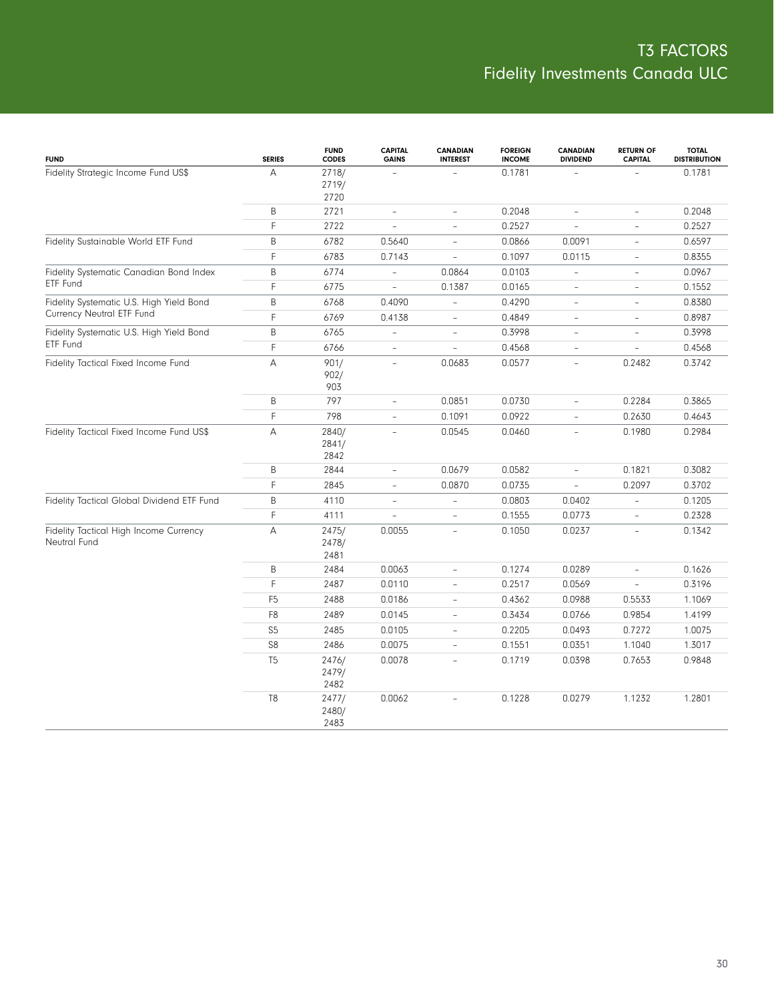| <b>FUND</b>                                            | <b>SERIES</b>  | <b>FUND</b><br><b>CODES</b> | <b>CAPITAL</b><br><b>GAINS</b> | <b>CANADIAN</b><br><b>INTEREST</b> | <b>FOREIGN</b><br><b>INCOME</b> | <b>CANADIAN</b><br><b>DIVIDEND</b> | <b>RETURN OF</b><br><b>CAPITAL</b> | <b>TOTAL</b><br><b>DISTRIBUTION</b> |
|--------------------------------------------------------|----------------|-----------------------------|--------------------------------|------------------------------------|---------------------------------|------------------------------------|------------------------------------|-------------------------------------|
| Fidelity Strategic Income Fund US\$                    | Α              | 2718/<br>2719/<br>2720      | $\equiv$                       |                                    | 0.1781                          | $\overline{\phantom{a}}$           |                                    | 0.1781                              |
|                                                        | B              | 2721                        | $\overline{\phantom{a}}$       | $\bar{a}$                          | 0.2048                          | $\overline{\phantom{a}}$           | $\overline{\phantom{a}}$           | 0.2048                              |
|                                                        | F              | 2722                        | $\overline{\phantom{a}}$       | $\bar{a}$                          | 0.2527                          | $\overline{\phantom{a}}$           | ÷                                  | 0.2527                              |
| Fidelity Sustainable World ETF Fund                    | B              | 6782                        | 0.5640                         | $\overline{\phantom{a}}$           | 0.0866                          | 0.0091                             | $\overline{\phantom{a}}$           | 0.6597                              |
|                                                        | F              | 6783                        | 0.7143                         | $\equiv$                           | 0.1097                          | 0.0115                             | $\overline{\phantom{a}}$           | 0.8355                              |
| Fidelity Systematic Canadian Bond Index                | B              | 6774                        | $\qquad \qquad -$              | 0.0864                             | 0.0103                          | $\overline{\phantom{a}}$           | $\overline{\phantom{a}}$           | 0.0967                              |
| ETF Fund                                               | F              | 6775                        | L,                             | 0.1387                             | 0.0165                          | $\overline{\phantom{a}}$           | $\overline{\phantom{0}}$           | 0.1552                              |
| Fidelity Systematic U.S. High Yield Bond               | B              | 6768                        | 0.4090                         | $\overline{\phantom{a}}$           | 0.4290                          | $\overline{\phantom{a}}$           | $\overline{\phantom{a}}$           | 0.8380                              |
| Currency Neutral ETF Fund                              | F              | 6769                        | 0.4138                         | $\overline{\phantom{a}}$           | 0.4849                          | $\overline{\phantom{a}}$           | $\overline{\phantom{0}}$           | 0.8987                              |
| Fidelity Systematic U.S. High Yield Bond               | B              | 6765                        | $\overline{\phantom{a}}$       | $\overline{\phantom{a}}$           | 0.3998                          | $\overline{\phantom{a}}$           | $\overline{\phantom{0}}$           | 0.3998                              |
| ETF Fund                                               | F              | 6766                        | $\overline{\phantom{a}}$       | $\overline{\phantom{a}}$           | 0.4568                          | $\overline{\phantom{a}}$           | $\overline{\phantom{0}}$           | 0.4568                              |
| Fidelity Tactical Fixed Income Fund                    | A              | 901/<br>902/<br>903         | $\overline{\phantom{a}}$       | 0.0683                             | 0.0577                          | $\overline{\phantom{a}}$           | 0.2482                             | 0.3742                              |
|                                                        | B              | 797                         | $\overline{\phantom{a}}$       | 0.0851                             | 0.0730                          | $\sim$                             | 0.2284                             | 0.3865                              |
|                                                        | F              | 798                         | $\overline{\phantom{a}}$       | 0.1091                             | 0.0922                          | ÷                                  | 0.2630                             | 0.4643                              |
| Fidelity Tactical Fixed Income Fund US\$               | Α              | 2840/<br>2841/<br>2842      | ۳                              | 0.0545                             | 0.0460                          | ÷                                  | 0.1980                             | 0.2984                              |
|                                                        | B              | 2844                        | $\overline{\phantom{a}}$       | 0.0679                             | 0.0582                          | $\bar{a}$                          | 0.1821                             | 0.3082                              |
|                                                        | F              | 2845                        | ÷,                             | 0.0870                             | 0.0735                          | $\overline{\phantom{a}}$           | 0.2097                             | 0.3702                              |
| Fidelity Tactical Global Dividend ETF Fund             | B              | 4110                        | $\overline{\phantom{0}}$       | $\overline{\phantom{a}}$           | 0.0803                          | 0.0402                             | $\overline{\phantom{a}}$           | 0.1205                              |
|                                                        | F              | 4111                        | $\overline{a}$                 | $\overline{\phantom{a}}$           | 0.1555                          | 0.0773                             | $\overline{\phantom{0}}$           | 0.2328                              |
| Fidelity Tactical High Income Currency<br>Neutral Fund | Α              | 2475/<br>2478/<br>2481      | 0.0055                         | $\overline{\phantom{a}}$           | 0.1050                          | 0.0237                             | $\overline{\phantom{0}}$           | 0.1342                              |
|                                                        | B              | 2484                        | 0.0063                         | $\overline{\phantom{a}}$           | 0.1274                          | 0.0289                             | $\overline{\phantom{0}}$           | 0.1626                              |
|                                                        | F              | 2487                        | 0.0110                         | $\overline{\phantom{a}}$           | 0.2517                          | 0.0569                             | $\overline{\phantom{a}}$           | 0.3196                              |
|                                                        | F <sub>5</sub> | 2488                        | 0.0186                         | $\overline{\phantom{a}}$           | 0.4362                          | 0.0988                             | 0.5533                             | 1.1069                              |
|                                                        | F <sub>8</sub> | 2489                        | 0.0145                         | $\overline{\phantom{a}}$           | 0.3434                          | 0.0766                             | 0.9854                             | 1.4199                              |
|                                                        | S <sub>5</sub> | 2485                        | 0.0105                         | $\bar{a}$                          | 0.2205                          | 0.0493                             | 0.7272                             | 1.0075                              |
|                                                        | S <sub>8</sub> | 2486                        | 0.0075                         | $\omega$                           | 0.1551                          | 0.0351                             | 1.1040                             | 1.3017                              |
|                                                        | T <sub>5</sub> | 2476/<br>2479/<br>2482      | 0.0078                         | L.                                 | 0.1719                          | 0.0398                             | 0.7653                             | 0.9848                              |
|                                                        | T <sub>8</sub> | 2477/<br>2480/<br>2483      | 0.0062                         |                                    | 0.1228                          | 0.0279                             | 1.1232                             | 1.2801                              |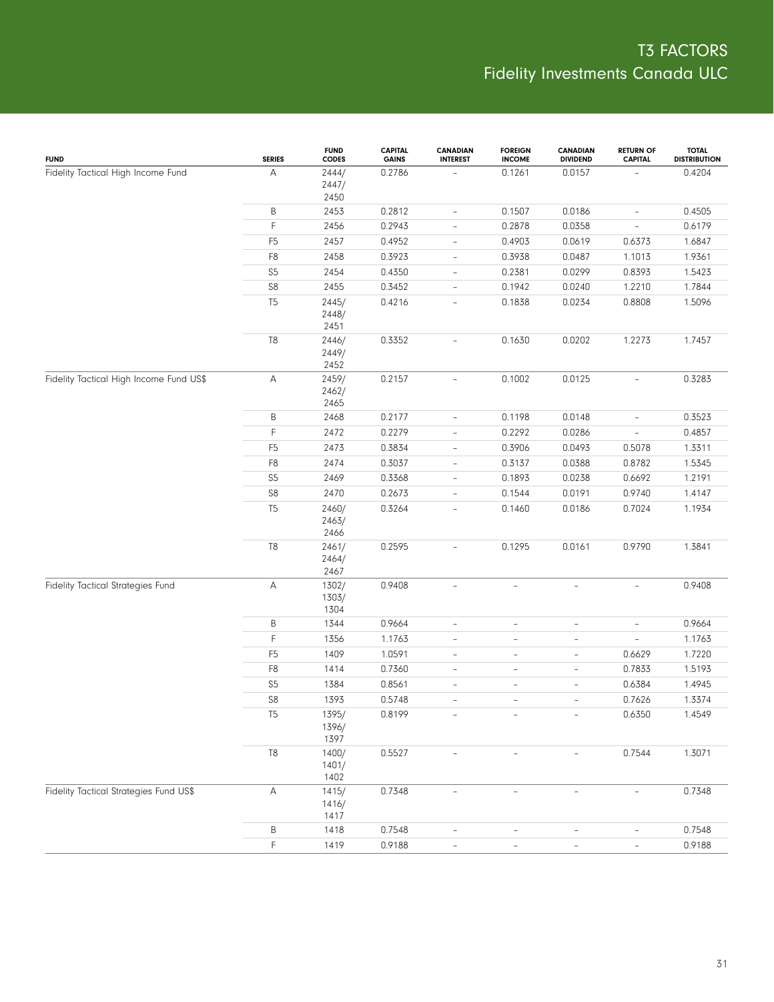| <b>FUND</b>                             | <b>SERIES</b>  | <b>FUND</b><br><b>CODES</b> | <b>CAPITAL</b><br><b>GAINS</b> | <b>CANADIAN</b><br><b>INTEREST</b> | <b>FOREIGN</b><br><b>INCOME</b> | <b>CANADIAN</b><br><b>DIVIDEND</b> | <b>RETURN OF</b><br><b>CAPITAL</b> | <b>TOTAL</b><br><b>DISTRIBUTION</b> |
|-----------------------------------------|----------------|-----------------------------|--------------------------------|------------------------------------|---------------------------------|------------------------------------|------------------------------------|-------------------------------------|
| Fidelity Tactical High Income Fund      | А              | 2444/<br>2447/              | 0.2786                         |                                    | 0.1261                          | 0.0157                             |                                    | 0.4204                              |
|                                         |                | 2450                        |                                |                                    |                                 |                                    |                                    |                                     |
|                                         | Β              | 2453                        | 0.2812                         | $\overline{\phantom{a}}$           | 0.1507                          | 0.0186                             | $\overline{\phantom{a}}$           | 0.4505                              |
|                                         | $\mathsf F$    | 2456                        | 0.2943                         | $\overline{\phantom{0}}$           | 0.2878                          | 0.0358                             | $\overline{\phantom{a}}$           | 0.6179                              |
|                                         | F <sub>5</sub> | 2457                        | 0.4952                         | $\overline{\phantom{0}}$           | 0.4903                          | 0.0619                             | 0.6373                             | 1.6847                              |
|                                         | F <sub>8</sub> | 2458                        | 0.3923                         | $\overline{\phantom{0}}$           | 0.3938                          | 0.0487                             | 1.1013                             | 1.9361                              |
|                                         | S <sub>5</sub> | 2454                        | 0.4350                         | $\overline{\phantom{0}}$           | 0.2381                          | 0.0299                             | 0.8393                             | 1.5423                              |
|                                         | ${\sf S8}$     | 2455                        | 0.3452                         | $\overline{\phantom{0}}$           | 0.1942                          | 0.0240                             | 1.2210                             | 1.7844                              |
|                                         | T <sub>5</sub> | 2445/<br>2448/<br>2451      | 0.4216                         | L,                                 | 0.1838                          | 0.0234                             | 0.8808                             | 1.5096                              |
|                                         | $\mathbb{T}8$  | 2446/<br>2449/<br>2452      | 0.3352                         |                                    | 0.1630                          | 0.0202                             | 1.2273                             | 1.7457                              |
| Fidelity Tactical High Income Fund US\$ | A              | 2459/<br>2462/<br>2465      | 0.2157                         | $\overline{\phantom{a}}$           | 0.1002                          | 0.0125                             | $\overline{\phantom{a}}$           | 0.3283                              |
|                                         | B              | 2468                        | 0.2177                         | $\overline{\phantom{0}}$           | 0.1198                          | 0.0148                             | $\overline{\phantom{a}}$           | 0.3523                              |
|                                         | F              | 2472                        | 0.2279                         | $\overline{\phantom{0}}$           | 0.2292                          | 0.0286                             | $\overline{\phantom{a}}$           | 0.4857                              |
|                                         | F <sub>5</sub> | 2473                        | 0.3834                         | $\overline{\phantom{0}}$           | 0.3906                          | 0.0493                             | 0.5078                             | 1.3311                              |
|                                         | F <sub>8</sub> | 2474                        | 0.3037                         | $\overline{\phantom{0}}$           | 0.3137                          | 0.0388                             | 0.8782                             | 1.5345                              |
|                                         | S <sub>5</sub> | 2469                        | 0.3368                         | $\overline{\phantom{0}}$           | 0.1893                          | 0.0238                             | 0.6692                             | 1.2191                              |
|                                         | ${\sf S8}$     | 2470                        | 0.2673                         | $\overline{\phantom{0}}$           | 0.1544                          | 0.0191                             | 0.9740                             | 1.4147                              |
|                                         | T <sub>5</sub> | 2460/<br>2463/<br>2466      | 0.3264                         | $\overline{\phantom{0}}$           | 0.1460                          | 0.0186                             | 0.7024                             | 1.1934                              |
|                                         | $\mathsf{T}8$  | 2461/<br>2464/<br>2467      | 0.2595                         | $\overline{\phantom{0}}$           | 0.1295                          | 0.0161                             | 0.9790                             | 1.3841                              |
| Fidelity Tactical Strategies Fund       | $\mathsf A$    | 1302/<br>1303/<br>1304      | 0.9408                         | $\overline{a}$                     | $\overline{\phantom{a}}$        | $\overline{\phantom{a}}$           | $\overline{\phantom{a}}$           | 0.9408                              |
|                                         | B              | 1344                        | 0.9664                         | $\overline{a}$                     | $\overline{\phantom{a}}$        | $\overline{\phantom{a}}$           | $\qquad \qquad -$                  | 0.9664                              |
|                                         | $\mathsf F$    | 1356                        | 1.1763                         | $\overline{\phantom{0}}$           | $\overline{\phantom{a}}$        | $\overline{\phantom{a}}$           | $\overline{\phantom{a}}$           | 1.1763                              |
|                                         | F <sub>5</sub> | 1409                        | 1.0591                         | $\overline{\phantom{0}}$           | $\overline{\phantom{a}}$        | $\overline{\phantom{a}}$           | 0.6629                             | 1.7220                              |
|                                         | F <sub>8</sub> | 1414                        | 0.7360                         | $\overline{\phantom{0}}$           | $\overline{\phantom{a}}$        | $\overline{\phantom{a}}$           | 0.7833                             | 1.5193                              |
|                                         | S <sub>5</sub> | 1384                        | 0.8561                         | $\overline{a}$                     | $\overline{\phantom{a}}$        | $\qquad \qquad -$                  | 0.6384                             | 1.4945                              |
|                                         | S8             | 1393                        | 0.5748                         | $\overline{a}$                     | $\overline{\phantom{a}}$        | $\overline{\phantom{a}}$           | 0.7626                             | 1.3374                              |
|                                         | T <sub>5</sub> | 1395/<br>1396/<br>1397      | 0.8199                         |                                    |                                 |                                    | 0.6350                             | 1.4549                              |
|                                         | T8             | 1400/<br>1401/<br>1402      | 0.5527                         |                                    | $\overline{\phantom{a}}$        |                                    | 0.7544                             | 1.3071                              |
| Fidelity Tactical Strategies Fund US\$  | Α              | 1415/<br>1416/<br>1417      | 0.7348                         |                                    |                                 |                                    |                                    | 0.7348                              |
|                                         | Β              | 1418                        | 0.7548                         | $\overline{\phantom{0}}$           |                                 | $\overline{\phantom{a}}$           |                                    | 0.7548                              |
|                                         | $\mathsf F$    | 1419                        | 0.9188                         | $\overline{\phantom{a}}$           | $\overline{\phantom{a}}$        | $\overline{\phantom{a}}$           | $\overline{\phantom{a}}$           | 0.9188                              |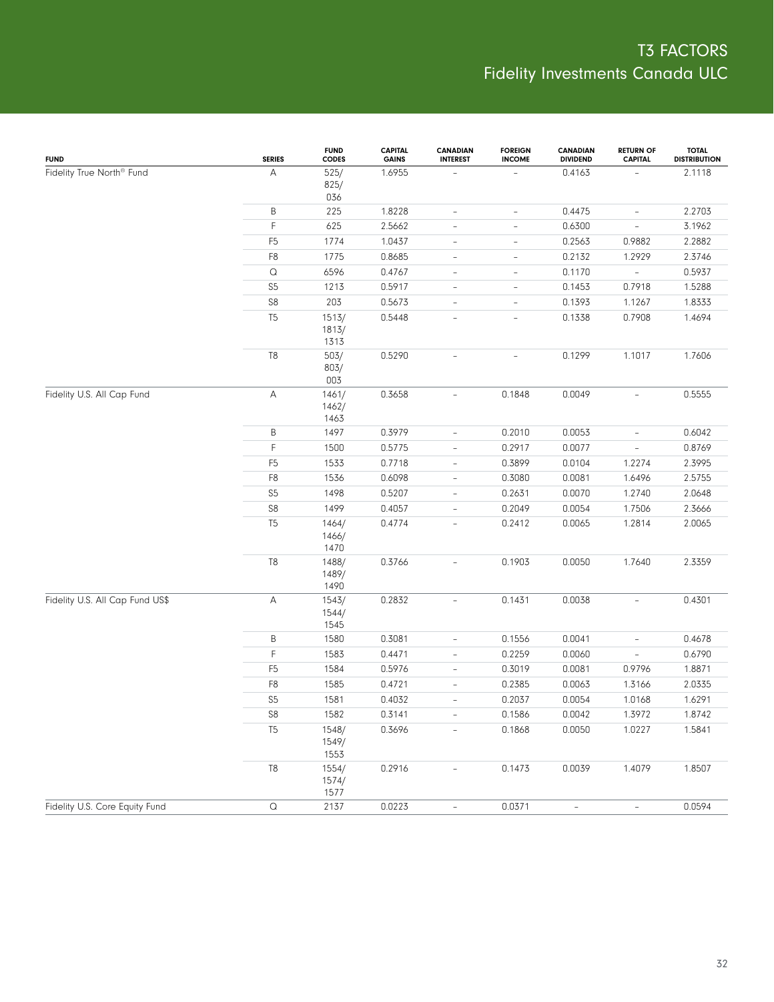| <b>FUND</b>                           | <b>SERIES</b>         | <b>FUND</b><br><b>CODES</b> | <b>CAPITAL</b><br><b>GAINS</b> | <b>CANADIAN</b><br><b>INTEREST</b> | <b>FOREIGN</b><br><b>INCOME</b> | CANADIAN<br><b>DIVIDEND</b> | <b>RETURN OF</b><br><b>CAPITAL</b> | <b>TOTAL</b><br><b>DISTRIBUTION</b> |
|---------------------------------------|-----------------------|-----------------------------|--------------------------------|------------------------------------|---------------------------------|-----------------------------|------------------------------------|-------------------------------------|
| Fidelity True North <sup>®</sup> Fund | $\mathsf A$           | 525/<br>825/<br>036         | 1.6955                         |                                    |                                 | 0.4163                      |                                    | 2.1118                              |
|                                       | Β                     | 225                         | 1.8228                         | $\qquad \qquad -$                  | $\overline{\phantom{a}}$        | 0.4475                      | $\overline{\phantom{a}}$           | 2.2703                              |
|                                       | $\mathsf F$           | 625                         | 2.5662                         | $\qquad \qquad -$                  | $\overline{\phantom{0}}$        | 0.6300                      | $\overline{\phantom{a}}$           | 3.1962                              |
|                                       | F <sub>5</sub>        | 1774                        | 1.0437                         | $\overline{\phantom{a}}$           | $\qquad \qquad -$               | 0.2563                      | 0.9882                             | 2.2882                              |
|                                       | F <sub>8</sub>        | 1775                        | 0.8685                         | $\overline{\phantom{a}}$           | $\overline{\phantom{a}}$        | 0.2132                      | 1.2929                             | 2.3746                              |
|                                       | $\hbox{\large \it Q}$ | 6596                        | 0.4767                         | $\overline{\phantom{a}}$           | $\qquad \qquad -$               | 0.1170                      | $\overline{\phantom{a}}$           | 0.5937                              |
|                                       | S <sub>5</sub>        | 1213                        | 0.5917                         | $\overline{\phantom{a}}$           | $\overline{\phantom{a}}$        | 0.1453                      | 0.7918                             | 1.5288                              |
|                                       | S <sub>8</sub>        | 203                         | 0.5673                         | $\overline{\phantom{a}}$           | $\qquad \qquad -$               | 0.1393                      | 1.1267                             | 1.8333                              |
|                                       | T <sub>5</sub>        | 1513/<br>1813/<br>1313      | 0.5448                         | $\overline{\phantom{a}}$           | $\qquad \qquad -$               | 0.1338                      | 0.7908                             | 1.4694                              |
|                                       | T <sub>8</sub>        | 503/<br>803/<br>003         | 0.5290                         | $\overline{\phantom{a}}$           | $\overline{\phantom{a}}$        | 0.1299                      | 1.1017                             | 1.7606                              |
| Fidelity U.S. All Cap Fund            | $\mathsf{A}$          | 1461/<br>1462/<br>1463      | 0.3658                         | $\overline{\phantom{a}}$           | 0.1848                          | 0.0049                      | $\overline{\phantom{a}}$           | 0.5555                              |
|                                       | B                     | 1497                        | 0.3979                         | $\qquad \qquad -$                  | 0.2010                          | 0.0053                      | $\overline{\phantom{a}}$           | 0.6042                              |
|                                       | F                     | 1500                        | 0.5775                         | $\qquad \qquad -$                  | 0.2917                          | 0.0077                      | $\overline{\phantom{a}}$           | 0.8769                              |
|                                       | F <sub>5</sub>        | 1533                        | 0.7718                         | $\blacksquare$                     | 0.3899                          | 0.0104                      | 1.2274                             | 2.3995                              |
|                                       | F <sub>8</sub>        | 1536                        | 0.6098                         | $\qquad \qquad -$                  | 0.3080                          | 0.0081                      | 1.6496                             | 2.5755                              |
|                                       | S <sub>5</sub>        | 1498                        | 0.5207                         | $\overline{\phantom{a}}$           | 0.2631                          | 0.0070                      | 1.2740                             | 2.0648                              |
|                                       | S8                    | 1499                        | 0.4057                         | $\overline{\phantom{a}}$           | 0.2049                          | 0.0054                      | 1.7506                             | 2.3666                              |
|                                       | T <sub>5</sub>        | 1464/<br>1466/<br>1470      | 0.4774                         | ÷,                                 | 0.2412                          | 0.0065                      | 1.2814                             | 2.0065                              |
|                                       | T <sub>8</sub>        | 1488/<br>1489/<br>1490      | 0.3766                         | $\overline{\phantom{a}}$           | 0.1903                          | 0.0050                      | 1.7640                             | 2.3359                              |
| Fidelity U.S. All Cap Fund US\$       | $\mathsf{A}$          | 1543/<br>1544/<br>1545      | 0.2832                         | $\overline{\phantom{a}}$           | 0.1431                          | 0.0038                      | $\overline{\phantom{a}}$           | 0.4301                              |
|                                       | B                     | 1580                        | 0.3081                         | $\qquad \qquad -$                  | 0.1556                          | 0.0041                      | $\qquad \qquad -$                  | 0.4678                              |
|                                       | F                     | 1583                        | 0.4471                         | $\qquad \qquad -$                  | 0.2259                          | 0.0060                      | $\overline{\phantom{a}}$           | 0.6790                              |
|                                       | F <sub>5</sub>        | 1584                        | 0.5976                         | $\qquad \qquad -$                  | 0.3019                          | 0.0081                      | 0.9796                             | 1.8871                              |
|                                       | F <sub>8</sub>        | 1585                        | 0.4721                         | $\blacksquare$                     | 0.2385                          | 0.0063                      | 1.3166                             | 2.0335                              |
|                                       | S <sub>5</sub>        | 1581                        | 0.4032                         | ÷,                                 | 0.2037                          | 0.0054                      | 1.0168                             | 1.6291                              |
|                                       | ${\sf S8}$            | 1582                        | 0.3141                         | $\blacksquare$                     | 0.1586                          | 0.0042                      | 1.3972                             | 1.8742                              |
|                                       | T <sub>5</sub>        | 1548/<br>1549/<br>1553      | 0.3696                         | $\overline{a}$                     | 0.1868                          | 0.0050                      | 1.0227                             | 1.5841                              |
|                                       | $T8$                  | 1554/<br>1574/<br>1577      | 0.2916                         | $\overline{a}$                     | 0.1473                          | 0.0039                      | 1.4079                             | 1.8507                              |
| Fidelity U.S. Core Equity Fund        | $\hbox{\large \it Q}$ | 2137                        | 0.0223                         | $\overline{\phantom{a}}$           | 0.0371                          | $\overline{\phantom{a}}$    | $\overline{\phantom{a}}$           | 0.0594                              |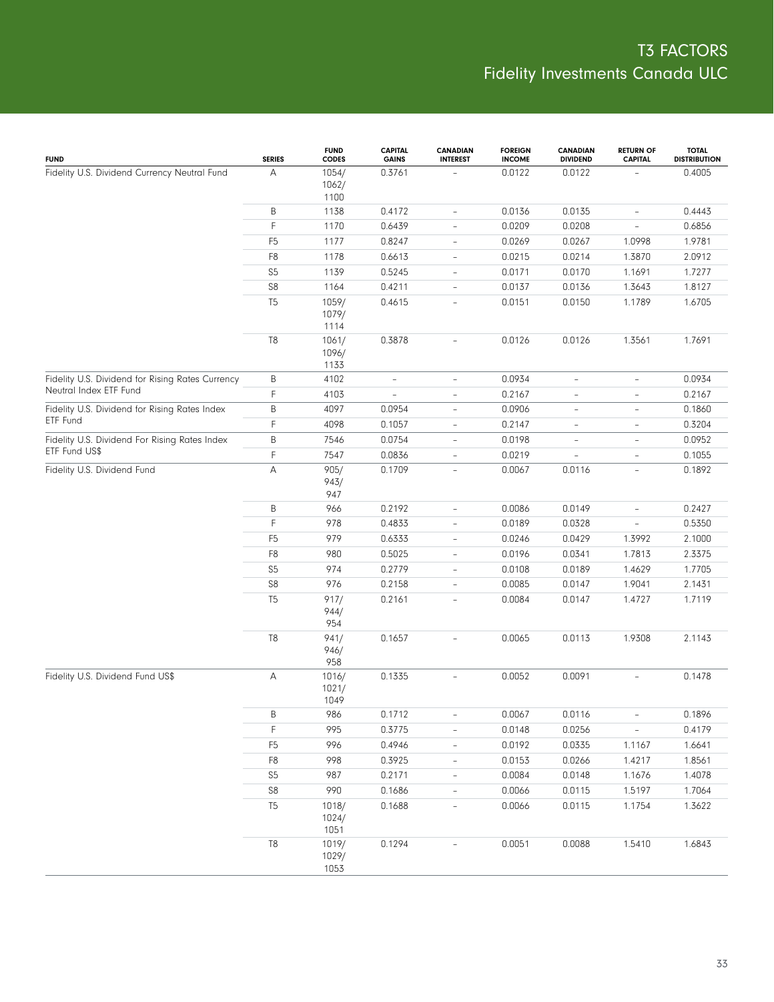| <b>FUND</b>                                      | <b>SERIES</b>  | <b>FUND</b><br><b>CODES</b> | <b>CAPITAL</b><br><b>GAINS</b> | <b>CANADIAN</b><br><b>INTEREST</b> | <b>FOREIGN</b><br><b>INCOME</b> | <b>CANADIAN</b><br><b>DIVIDEND</b> | <b>RETURN OF</b><br><b>CAPITAL</b> | <b>TOTAL</b><br><b>DISTRIBUTION</b> |
|--------------------------------------------------|----------------|-----------------------------|--------------------------------|------------------------------------|---------------------------------|------------------------------------|------------------------------------|-------------------------------------|
| Fidelity U.S. Dividend Currency Neutral Fund     | А              | 1054/<br>1062/<br>1100      | 0.3761                         |                                    | 0.0122                          | 0.0122                             |                                    | 0.4005                              |
|                                                  | Β              | 1138                        | 0.4172                         | $\overline{\phantom{a}}$           | 0.0136                          | 0.0135                             | $\overline{\phantom{a}}$           | 0.4443                              |
|                                                  | F              | 1170                        | 0.6439                         | $\overline{\phantom{a}}$           | 0.0209                          | 0.0208                             | $\overline{\phantom{a}}$           | 0.6856                              |
|                                                  | F <sub>5</sub> | 1177                        | 0.8247                         | $\overline{\phantom{a}}$           | 0.0269                          | 0.0267                             | 1.0998                             | 1.9781                              |
|                                                  | F8             | 1178                        | 0.6613                         | $\overline{\phantom{a}}$           | 0.0215                          | 0.0214                             | 1.3870                             | 2.0912                              |
|                                                  | S <sub>5</sub> | 1139                        | 0.5245                         | $\overline{\phantom{a}}$           | 0.0171                          | 0.0170                             | 1.1691                             | 1.7277                              |
|                                                  | ${\sf S8}$     | 1164                        | 0.4211                         | $\overline{\phantom{a}}$           | 0.0137                          | 0.0136                             | 1.3643                             | 1.8127                              |
|                                                  | T <sub>5</sub> | 1059/<br>1079/<br>1114      | 0.4615                         | $\overline{\phantom{a}}$           | 0.0151                          | 0.0150                             | 1.1789                             | 1.6705                              |
|                                                  | T <sub>8</sub> | 1061/<br>1096/<br>1133      | 0.3878                         | $\overline{\phantom{a}}$           | 0.0126                          | 0.0126                             | 1.3561                             | 1.7691                              |
| Fidelity U.S. Dividend for Rising Rates Currency | B              | 4102                        | $\overline{\phantom{a}}$       | $\overline{\phantom{a}}$           | 0.0934                          | $\overline{\phantom{a}}$           | $\overline{\phantom{a}}$           | 0.0934                              |
| Neutral Index ETF Fund                           | F              | 4103                        | $\overline{\phantom{a}}$       | $\overline{\phantom{a}}$           | 0.2167                          | $\overline{\phantom{a}}$           | $\overline{\phantom{a}}$           | 0.2167                              |
| Fidelity U.S. Dividend for Rising Rates Index    | B              | 4097                        | 0.0954                         | $\overline{\phantom{a}}$           | 0.0906                          | $\overline{\phantom{a}}$           | $\overline{\phantom{a}}$           | 0.1860                              |
| ETF Fund                                         | F              | 4098                        | 0.1057                         | $\overline{\phantom{0}}$           | 0.2147                          | $\overline{\phantom{a}}$           | $\overline{\phantom{a}}$           | 0.3204                              |
| Fidelity U.S. Dividend For Rising Rates Index    | B              | 7546                        | 0.0754                         | $\overline{\phantom{a}}$           | 0.0198                          | $\overline{\phantom{a}}$           | $\overline{\phantom{a}}$           | 0.0952                              |
| ETF Fund US\$                                    | F              | 7547                        | 0.0836                         | $\overline{\phantom{a}}$           | 0.0219                          | $\overline{\phantom{a}}$           | $\overline{\phantom{a}}$           | 0.1055                              |
| Fidelity U.S. Dividend Fund                      | А              | 905/<br>943/<br>947         | 0.1709                         | $\overline{\phantom{a}}$           | 0.0067                          | 0.0116                             | $\overline{\phantom{a}}$           | 0.1892                              |
|                                                  | B              | 966                         | 0.2192                         | $\overline{\phantom{a}}$           | 0.0086                          | 0.0149                             | $\overline{\phantom{a}}$           | 0.2427                              |
|                                                  | F              | 978                         | 0.4833                         | $\frac{1}{2}$                      | 0.0189                          | 0.0328                             | $\overline{\phantom{a}}$           | 0.5350                              |
|                                                  | F <sub>5</sub> | 979                         | 0.6333                         | $\overline{\phantom{0}}$           | 0.0246                          | 0.0429                             | 1.3992                             | 2.1000                              |
|                                                  | F8             | 980                         | 0.5025                         | $\overline{\phantom{0}}$           | 0.0196                          | 0.0341                             | 1.7813                             | 2.3375                              |
|                                                  | S <sub>5</sub> | 974                         | 0.2779                         | $\overline{\phantom{0}}$           | 0.0108                          | 0.0189                             | 1.4629                             | 1.7705                              |
|                                                  | S8             | 976                         | 0.2158                         | $\overline{\phantom{a}}$           | 0.0085                          | 0.0147                             | 1.9041                             | 2.1431                              |
|                                                  | T <sub>5</sub> | 917/<br>944/<br>954         | 0.2161                         | $\overline{\phantom{a}}$           | 0.0084                          | 0.0147                             | 1.4727                             | 1.7119                              |
|                                                  | $\mathbb{T}8$  | 941/<br>946/<br>958         | 0.1657                         | $\overline{\phantom{a}}$           | 0.0065                          | 0.0113                             | 1.9308                             | 2.1143                              |
| Fidelity U.S. Dividend Fund US\$                 | А              | 1016/<br>1021/<br>1049      | 0.1335                         | $\overline{\phantom{a}}$           | 0.0052                          | 0.0091                             | $\overline{\phantom{a}}$           | 0.1478                              |
|                                                  | Β              | 986                         | 0.1712                         | $\qquad \qquad -$                  | 0.0067                          | 0.0116                             | $\overline{\phantom{a}}$           | 0.1896                              |
|                                                  | F              | 995                         | 0.3775                         | $\overline{\phantom{0}}$           | 0.0148                          | 0.0256                             | $\overline{\phantom{a}}$           | 0.4179                              |
|                                                  | F <sub>5</sub> | 996                         | 0.4946                         | $\overline{\phantom{a}}$           | 0.0192                          | 0.0335                             | 1.1167                             | 1.6641                              |
|                                                  | F8             | 998                         | 0.3925                         | $\qquad \qquad -$                  | 0.0153                          | 0.0266                             | 1.4217                             | 1.8561                              |
|                                                  | S <sub>5</sub> | 987                         | 0.2171                         | $\overline{\phantom{a}}$           | 0.0084                          | 0.0148                             | 1.1676                             | 1.4078                              |
|                                                  | ${\sf S8}$     | 990                         | 0.1686                         | $\overline{\phantom{0}}$           | 0.0066                          | 0.0115                             | 1.5197                             | 1.7064                              |
|                                                  | T <sub>5</sub> | 1018/<br>1024/<br>1051      | 0.1688                         | $\overline{\phantom{0}}$           | 0.0066                          | 0.0115                             | 1.1754                             | 1.3622                              |
|                                                  | T8             | 1019/<br>1029/<br>1053      | 0.1294                         |                                    | 0.0051                          | 0.0088                             | 1.5410                             | 1.6843                              |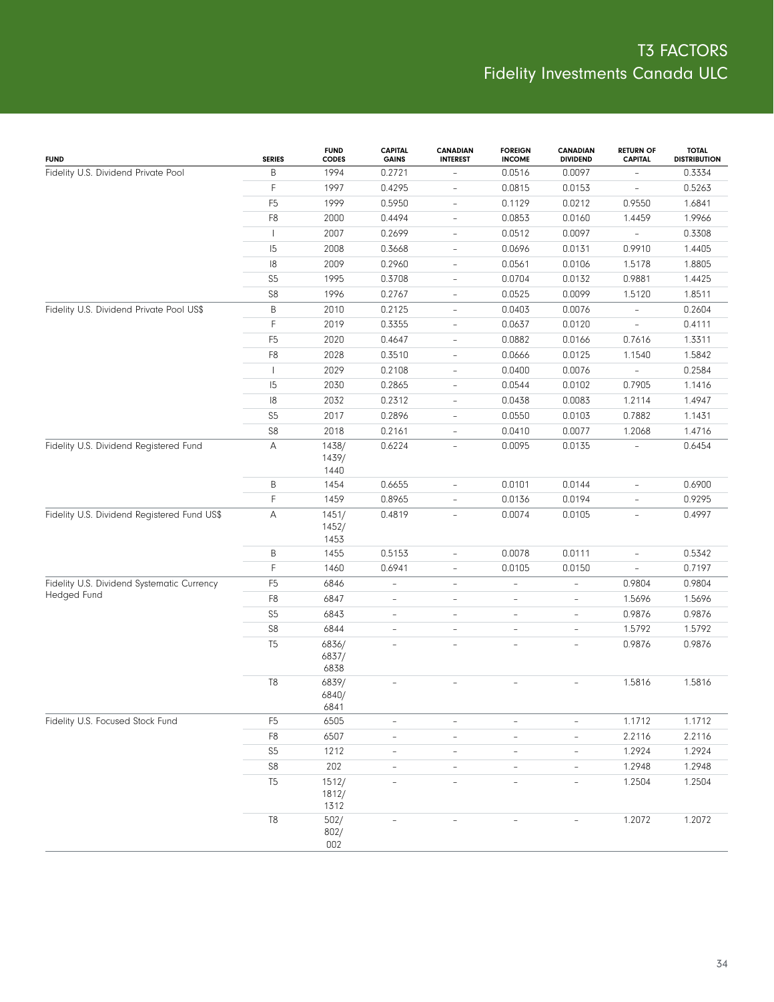| <b>FUND</b>                                 | <b>SERIES</b>  | <b>FUND</b><br><b>CODES</b> | <b>CAPITAL</b><br><b>GAINS</b> | <b>CANADIAN</b><br><b>INTEREST</b> | <b>FOREIGN</b><br><b>INCOME</b> | <b>CANADIAN</b><br><b>DIVIDEND</b> | <b>RETURN OF</b><br><b>CAPITAL</b> | <b>TOTAL</b><br><b>DISTRIBUTION</b> |
|---------------------------------------------|----------------|-----------------------------|--------------------------------|------------------------------------|---------------------------------|------------------------------------|------------------------------------|-------------------------------------|
| Fidelity U.S. Dividend Private Pool         | B              | 1994                        | 0.2721                         |                                    | 0.0516                          | 0.0097                             | L,                                 | 0.3334                              |
|                                             | F              | 1997                        | 0.4295                         | $\overline{\phantom{a}}$           | 0.0815                          | 0.0153                             | $\overline{\phantom{0}}$           | 0.5263                              |
|                                             | F <sub>5</sub> | 1999                        | 0.5950                         | $\overline{\phantom{a}}$           | 0.1129                          | 0.0212                             | 0.9550                             | 1.6841                              |
|                                             | F8             | 2000                        | 0.4494                         | $\overline{\phantom{a}}$           | 0.0853                          | 0.0160                             | 1.4459                             | 1.9966                              |
|                                             | $\mathbf{L}$   | 2007                        | 0.2699                         | $\overline{\phantom{a}}$           | 0.0512                          | 0.0097                             | $\overline{\phantom{a}}$           | 0.3308                              |
|                                             | 15             | 2008                        | 0.3668                         | $\overline{\phantom{a}}$           | 0.0696                          | 0.0131                             | 0.9910                             | 1.4405                              |
|                                             | 8              | 2009                        | 0.2960                         | $\overline{\phantom{a}}$           | 0.0561                          | 0.0106                             | 1.5178                             | 1.8805                              |
|                                             | S <sub>5</sub> | 1995                        | 0.3708                         | $\overline{\phantom{a}}$           | 0.0704                          | 0.0132                             | 0.9881                             | 1.4425                              |
|                                             | S8             | 1996                        | 0.2767                         | $\overline{\phantom{a}}$           | 0.0525                          | 0.0099                             | 1.5120                             | 1.8511                              |
| Fidelity U.S. Dividend Private Pool US\$    | B              | 2010                        | 0.2125                         | $\overline{\phantom{a}}$           | 0.0403                          | 0.0076                             | $\overline{\phantom{0}}$           | 0.2604                              |
|                                             | F              | 2019                        | 0.3355                         | $\overline{\phantom{a}}$           | 0.0637                          | 0.0120                             | $\bar{ }$                          | 0.4111                              |
|                                             | F <sub>5</sub> | 2020                        | 0.4647                         | $\overline{\phantom{a}}$           | 0.0882                          | 0.0166                             | 0.7616                             | 1.3311                              |
|                                             | F8             | 2028                        | 0.3510                         | $\overline{\phantom{a}}$           | 0.0666                          | 0.0125                             | 1.1540                             | 1.5842                              |
|                                             |                | 2029                        | 0.2108                         | $\overline{\phantom{a}}$           | 0.0400                          | 0.0076                             | $\overline{\phantom{0}}$           | 0.2584                              |
|                                             | 15             | 2030                        | 0.2865                         | $\overline{\phantom{a}}$           | 0.0544                          | 0.0102                             | 0.7905                             | 1.1416                              |
|                                             | 8              | 2032                        | 0.2312                         | $\overline{\phantom{a}}$           | 0.0438                          | 0.0083                             | 1.2114                             | 1.4947                              |
|                                             | S <sub>5</sub> | 2017                        | 0.2896                         | $\qquad \qquad -$                  | 0.0550                          | 0.0103                             | 0.7882                             | 1.1431                              |
|                                             | ${\sf S8}$     | 2018                        | 0.2161                         | $\blacksquare$                     | 0.0410                          | 0.0077                             | 1.2068                             | 1.4716                              |
| Fidelity U.S. Dividend Registered Fund      | Α              | 1438/<br>1439/<br>1440      | 0.6224                         | $\overline{\phantom{a}}$           | 0.0095                          | 0.0135                             |                                    | 0.6454                              |
|                                             | Β              | 1454                        | 0.6655                         | $\overline{\phantom{a}}$           | 0.0101                          | 0.0144                             | $\overline{\phantom{0}}$           | 0.6900                              |
|                                             | F              | 1459                        | 0.8965                         | $\overline{\phantom{a}}$           | 0.0136                          | 0.0194                             | $\bar{ }$                          | 0.9295                              |
| Fidelity U.S. Dividend Registered Fund US\$ | Α              | 1451/<br>1452/<br>1453      | 0.4819                         | $\overline{\phantom{a}}$           | 0.0074                          | 0.0105                             | $\overline{\phantom{0}}$           | 0.4997                              |
|                                             | B              | 1455                        | 0.5153                         | $\frac{1}{2}$                      | 0.0078                          | 0.0111                             | $\overline{\phantom{0}}$           | 0.5342                              |
|                                             | F              | 1460                        | 0.6941                         | $\overline{\phantom{a}}$           | 0.0105                          | 0.0150                             | $\overline{\phantom{0}}$           | 0.7197                              |
| Fidelity U.S. Dividend Systematic Currency  | F <sub>5</sub> | 6846                        | $\overline{\phantom{0}}$       | $\qquad \qquad -$                  | $\overline{a}$                  | $\overline{\phantom{0}}$           | 0.9804                             | 0.9804                              |
| <b>Hedged Fund</b>                          | F8             | 6847                        | $\frac{1}{2}$                  | $\overline{\phantom{a}}$           | L,                              | $\qquad \qquad -$                  | 1.5696                             | 1.5696                              |
|                                             | S <sub>5</sub> | 6843                        | $\overline{\phantom{0}}$       | $\frac{1}{2}$                      | $\overline{a}$                  | $\qquad \qquad -$                  | 0.9876                             | 0.9876                              |
|                                             | ${\sf S8}$     | 6844                        | $\overline{\phantom{0}}$       | $\overline{\phantom{0}}$           | L,                              | $\overline{\phantom{a}}$           | 1.5792                             | 1.5792                              |
|                                             | T <sub>5</sub> | 6836/<br>6837/<br>6838      | $\overline{a}$                 | $\overline{a}$                     | $\overline{a}$                  | $\overline{\phantom{a}}$           | 0.9876                             | 0.9876                              |
|                                             | T8             | 6839/<br>6840/<br>6841      |                                |                                    |                                 |                                    | 1.5816                             | 1.5816                              |
| Fidelity U.S. Focused Stock Fund            | F <sub>5</sub> | 6505                        | $\overline{\phantom{0}}$       | $\qquad \qquad -$                  | $\overline{\phantom{0}}$        | $\qquad \qquad -$                  | 1.1712                             | 1.1712                              |
|                                             | ${\sf F8}$     | 6507                        | $\overline{a}$                 | $\frac{1}{2}$                      | L,                              | $\qquad \qquad -$                  | 2.2116                             | 2.2116                              |
|                                             | S <sub>5</sub> | 1212                        | $\overline{\phantom{0}}$       | $\qquad \qquad -$                  | $\overline{\phantom{0}}$        | $\overline{\phantom{0}}$           | 1.2924                             | 1.2924                              |
|                                             | ${\sf S8}$     | 202                         | $\frac{1}{2}$                  | $\frac{1}{2}$                      | L,                              | $\qquad \qquad -$                  | 1.2948                             | 1.2948                              |
|                                             | T <sub>5</sub> | 1512/<br>1812/<br>1312      |                                |                                    |                                 | $\qquad \qquad -$                  | 1.2504                             | 1.2504                              |
|                                             | $\mathbb{T}8$  | 502/<br>802/<br>002         |                                |                                    |                                 |                                    | 1.2072                             | 1.2072                              |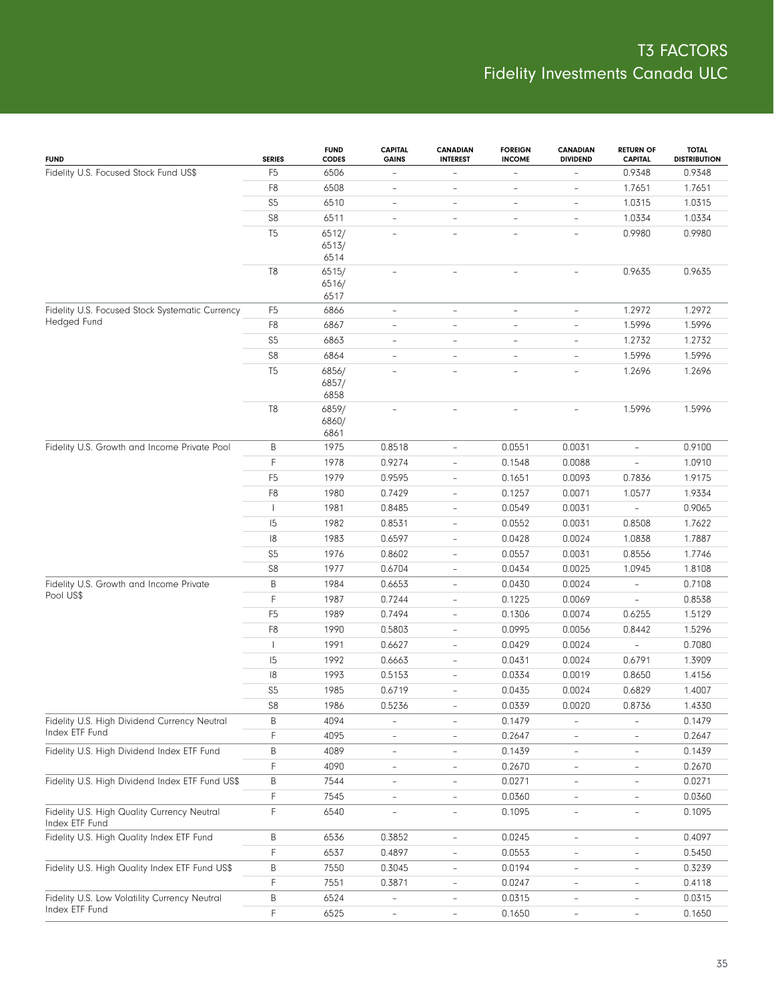| <b>FUND</b>                                                    | <b>SERIES</b>  | <b>FUND</b><br><b>CODES</b> | <b>CAPITAL</b><br><b>GAINS</b> | <b>CANADIAN</b><br><b>INTEREST</b> | <b>FOREIGN</b><br><b>INCOME</b> | <b>CANADIAN</b><br><b>DIVIDEND</b> | <b>RETURN OF</b><br><b>CAPITAL</b> | <b>TOTAL</b><br><b>DISTRIBUTION</b> |
|----------------------------------------------------------------|----------------|-----------------------------|--------------------------------|------------------------------------|---------------------------------|------------------------------------|------------------------------------|-------------------------------------|
| Fidelity U.S. Focused Stock Fund US\$                          | F <sub>5</sub> | 6506                        | $\overline{\phantom{a}}$       | $\overline{\phantom{0}}$           | $\overline{\phantom{a}}$        |                                    | 0.9348                             | 0.9348                              |
|                                                                | F8             | 6508                        | $\overline{\phantom{a}}$       | $\qquad \qquad -$                  | $\overline{a}$                  | $\overline{a}$                     | 1.7651                             | 1.7651                              |
|                                                                | S <sub>5</sub> | 6510                        | $\overline{\phantom{a}}$       | $\overline{\phantom{0}}$           | $\overline{\phantom{a}}$        | $\overline{a}$                     | 1.0315                             | 1.0315                              |
|                                                                | ${\sf S8}$     | 6511                        | $\overline{a}$                 | $\overline{\phantom{0}}$           | $\overline{\phantom{a}}$        | $\qquad \qquad -$                  | 1.0334                             | 1.0334                              |
|                                                                | T <sub>5</sub> | 6512/                       |                                |                                    | $\overline{\phantom{a}}$        |                                    | 0.9980                             | 0.9980                              |
|                                                                |                | 6513/                       |                                |                                    |                                 |                                    |                                    |                                     |
|                                                                | T8             | 6514<br>6515/               | $\overline{a}$                 | $\overline{a}$                     |                                 |                                    | 0.9635                             | 0.9635                              |
|                                                                |                | 6516/                       |                                |                                    |                                 |                                    |                                    |                                     |
|                                                                |                | 6517                        |                                |                                    |                                 |                                    |                                    |                                     |
| Fidelity U.S. Focused Stock Systematic Currency                | F <sub>5</sub> | 6866                        | $\overline{\phantom{a}}$       | L,                                 | $\overline{\phantom{a}}$        | $\overline{\phantom{0}}$           | 1.2972                             | 1.2972                              |
| Hedged Fund                                                    | F8             | 6867                        | $\qquad \qquad -$              | $\overline{\phantom{0}}$           | $\overline{\phantom{a}}$        | $\overline{a}$                     | 1.5996                             | 1.5996                              |
|                                                                | S <sub>5</sub> | 6863                        | $\overline{\phantom{a}}$       | ÷,                                 | $\overline{\phantom{a}}$        | $\overline{\phantom{0}}$           | 1.2732                             | 1.2732                              |
|                                                                | ${\sf S8}$     | 6864                        | $\qquad \qquad -$              | L.                                 | $\overline{\phantom{a}}$        | $\qquad \qquad -$                  | 1.5996                             | 1.5996                              |
|                                                                | T <sub>5</sub> | 6856/                       |                                |                                    | ÷,                              | ÷                                  | 1.2696                             | 1.2696                              |
|                                                                |                | 6857/                       |                                |                                    |                                 |                                    |                                    |                                     |
|                                                                | T <sub>8</sub> | 6858<br>6859/               |                                | $\overline{a}$                     |                                 |                                    | 1.5996                             | 1.5996                              |
|                                                                |                | 6860/                       |                                |                                    |                                 |                                    |                                    |                                     |
|                                                                |                | 6861                        |                                |                                    |                                 |                                    |                                    |                                     |
| Fidelity U.S. Growth and Income Private Pool                   | B              | 1975                        | 0.8518                         | $\overline{\phantom{a}}$           | 0.0551                          | 0.0031                             | $\overline{\phantom{a}}$           | 0.9100                              |
|                                                                | F              | 1978                        | 0.9274                         | $\overline{a}$                     | 0.1548                          | 0.0088                             | $\frac{1}{2}$                      | 1.0910                              |
|                                                                | F <sub>5</sub> | 1979                        | 0.9595                         | $\overline{\phantom{0}}$           | 0.1651                          | 0.0093                             | 0.7836                             | 1.9175                              |
|                                                                | F <sub>8</sub> | 1980                        | 0.7429                         | $\overline{a}$                     | 0.1257                          | 0.0071                             | 1.0577                             | 1.9334                              |
|                                                                |                | 1981                        | 0.8485                         | $\overline{\phantom{0}}$           | 0.0549                          | 0.0031                             | $\overline{\phantom{a}}$           | 0.9065                              |
|                                                                | 15             | 1982                        | 0.8531                         | $\overline{\phantom{0}}$           | 0.0552                          | 0.0031                             | 0.8508                             | 1.7622                              |
|                                                                | 18             | 1983                        | 0.6597                         | $\overline{a}$                     | 0.0428                          | 0.0024                             | 1.0838                             | 1.7887                              |
|                                                                | S <sub>5</sub> | 1976                        | 0.8602                         | $\overline{\phantom{0}}$           | 0.0557                          | 0.0031                             | 0.8556                             | 1.7746                              |
|                                                                | S8             | 1977                        | 0.6704                         | $\overline{\phantom{0}}$           | 0.0434                          | 0.0025                             | 1.0945                             | 1.8108                              |
| Fidelity U.S. Growth and Income Private                        | B              | 1984                        | 0.6653                         | $\frac{1}{2}$                      | 0.0430                          | 0.0024                             | $\overline{\phantom{a}}$           | 0.7108                              |
| Pool US\$                                                      | F              | 1987                        | 0.7244                         | $\overline{a}$                     | 0.1225                          | 0.0069                             | $\overline{\phantom{0}}$           | 0.8538                              |
|                                                                | F <sub>5</sub> | 1989                        | 0.7494                         | $\overline{\phantom{0}}$           | 0.1306                          | 0.0074                             | 0.6255                             | 1.5129                              |
|                                                                | F <sub>8</sub> | 1990                        | 0.5803                         | $\overline{a}$                     | 0.0995                          | 0.0056                             | 0.8442                             | 1.5296                              |
|                                                                |                | 1991                        | 0.6627                         | $\overline{\phantom{0}}$           | 0.0429                          | 0.0024                             | $\overline{\phantom{a}}$           | 0.7080                              |
|                                                                | 15             | 1992                        | 0.6663                         | $\overline{\phantom{0}}$           | 0.0431                          | 0.0024                             | 0.6791                             | 1.3909                              |
|                                                                | 8              | 1993                        | 0.5153                         | $\overline{\phantom{0}}$           | 0.0334                          | 0.0019                             | 0.8650                             | 1.4156                              |
|                                                                | S <sub>5</sub> | 1985                        | 0.6719                         | $\overline{\phantom{0}}$           | 0.0435                          | 0.0024                             | 0.6829                             | 1.4007                              |
|                                                                | S <sub>8</sub> | 1986                        | 0.5236                         |                                    | 0.0339                          | 0.0020                             | 0.8736                             | 1.4330                              |
| Fidelity U.S. High Dividend Currency Neutral<br>Index ETF Fund | Β              | 4094                        | $\overline{\phantom{a}}$       | $\overline{\phantom{0}}$           | 0.1479                          | $\overline{\phantom{a}}$           | $\overline{\phantom{a}}$           | 0.1479                              |
|                                                                | F              | 4095                        | $\overline{\phantom{0}}$       |                                    | 0.2647                          | $\qquad \qquad -$                  |                                    | 0.2647                              |
| Fidelity U.S. High Dividend Index ETF Fund                     | B              | 4089                        | $\overline{\phantom{a}}$       | $\overline{\phantom{0}}$           | 0.1439                          | $\overline{\phantom{0}}$           | $\overline{\phantom{a}}$           | 0.1439                              |
|                                                                | F              | 4090                        | $\overline{\phantom{a}}$       | $\overline{\phantom{0}}$           | 0.2670                          | $\overline{\phantom{0}}$           | $\overline{\phantom{0}}$           | 0.2670                              |
| Fidelity U.S. High Dividend Index ETF Fund US\$                | B              | 7544                        | $\overline{\phantom{a}}$       | $\overline{\phantom{0}}$           | 0.0271                          | $\overline{\phantom{a}}$           | $\overline{\phantom{a}}$           | 0.0271                              |
|                                                                | F              | 7545                        | $\overline{\phantom{a}}$       | L,                                 | 0.0360                          | $\overline{\phantom{0}}$           | $\overline{\phantom{a}}$           | 0.0360                              |
| Fidelity U.S. High Quality Currency Neutral<br>Index ETF Fund  | F              | 6540                        | $\overline{\phantom{a}}$       | $\overline{\phantom{0}}$           | 0.1095                          | $\qquad \qquad -$                  | $\overline{\phantom{a}}$           | 0.1095                              |
| Fidelity U.S. High Quality Index ETF Fund                      | Β              | 6536                        | 0.3852                         | $\overline{\phantom{0}}$           | 0.0245                          | $\overline{\phantom{a}}$           | $\overline{\phantom{a}}$           | 0.4097                              |
|                                                                | F              | 6537                        | 0.4897                         |                                    | 0.0553                          |                                    |                                    | 0.5450                              |
| Fidelity U.S. High Quality Index ETF Fund US\$                 | Β              | 7550                        | 0.3045                         | $\overline{\phantom{0}}$           | 0.0194                          |                                    | $\overline{\phantom{a}}$           | 0.3239                              |
|                                                                | F              | 7551                        | 0.3871                         |                                    | 0.0247                          | $\overline{\phantom{0}}$           |                                    | 0.4118                              |
| Fidelity U.S. Low Volatility Currency Neutral                  | B              | 6524                        |                                |                                    | 0.0315                          |                                    |                                    | 0.0315                              |
| Index ETF Fund                                                 | F              | 6525                        | $\qquad \qquad -$              | $\overline{\phantom{a}}$           | 0.1650                          | $\overline{\phantom{a}}$           | $\overline{\phantom{a}}$           | 0.1650                              |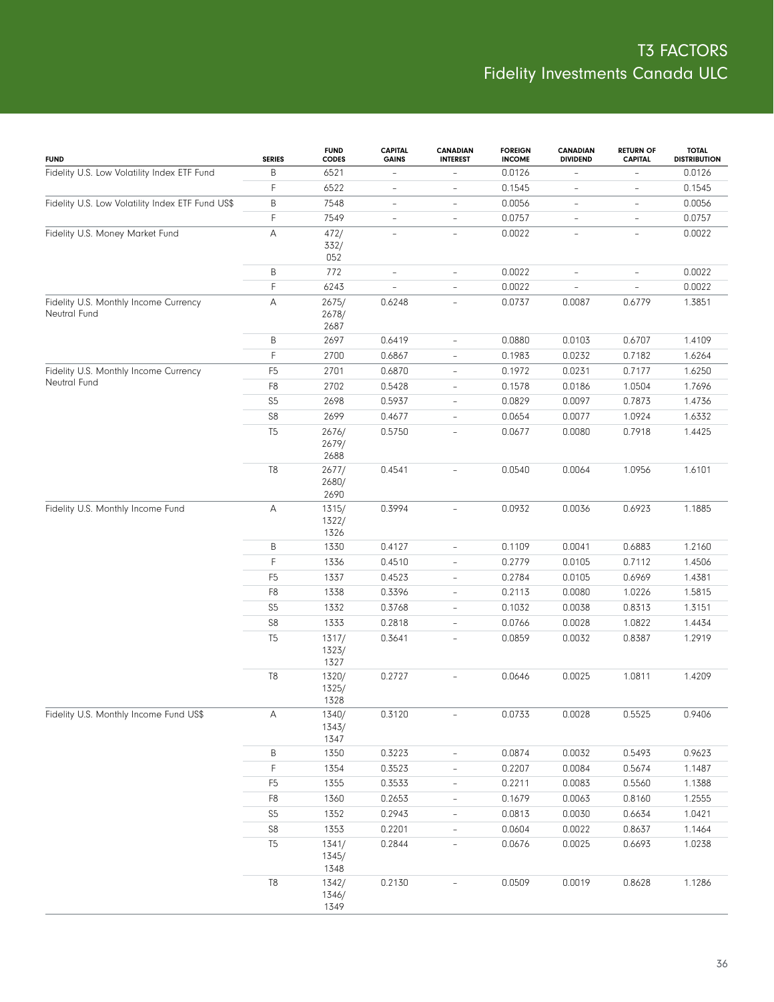| <b>FUND</b>                                           | <b>SERIES</b>             | <b>FUND</b><br><b>CODES</b> | <b>CAPITAL</b><br><b>GAINS</b> | <b>CANADIAN</b><br><b>INTEREST</b> | <b>FOREIGN</b><br><b>INCOME</b> | <b>CANADIAN</b><br><b>DIVIDEND</b> | <b>RETURN OF</b><br><b>CAPITAL</b> | <b>TOTAL</b><br><b>DISTRIBUTION</b> |
|-------------------------------------------------------|---------------------------|-----------------------------|--------------------------------|------------------------------------|---------------------------------|------------------------------------|------------------------------------|-------------------------------------|
| Fidelity U.S. Low Volatility Index ETF Fund           | B                         | 6521                        | $\qquad \qquad -$              | $\overline{\phantom{a}}$           | 0.0126                          | $\overline{\phantom{a}}$           | $\overline{\phantom{0}}$           | 0.0126                              |
|                                                       | F                         | 6522                        | $\frac{1}{2}$                  | $\overline{\phantom{a}}$           | 0.1545                          | $\overline{\phantom{a}}$           | $\bar{ }$                          | 0.1545                              |
| Fidelity U.S. Low Volatility Index ETF Fund US\$      | B                         | 7548                        | $\qquad \qquad -$              | $\overline{\phantom{a}}$           | 0.0056                          | $\overline{\phantom{a}}$           | $\qquad \qquad -$                  | 0.0056                              |
|                                                       | F                         | 7549                        | $\bar{ }$                      | $\overline{\phantom{a}}$           | 0.0757                          | $\qquad \qquad -$                  | $\qquad \qquad -$                  | 0.0757                              |
| Fidelity U.S. Money Market Fund                       | A                         | 472/<br>332/<br>052         | $\bar{ }$                      | $\overline{\phantom{a}}$           | 0.0022                          | $\overline{\phantom{a}}$           | $\overline{\phantom{a}}$           | 0.0022                              |
|                                                       | B                         | 772                         | $\frac{1}{2}$                  | $\overline{\phantom{a}}$           | 0.0022                          | $\overline{\phantom{a}}$           | $\overline{\phantom{a}}$           | 0.0022                              |
|                                                       | F                         | 6243                        | $\bar{ }$                      | $\overline{\phantom{a}}$           | 0.0022                          | L,                                 | $\overline{\phantom{a}}$           | 0.0022                              |
| Fidelity U.S. Monthly Income Currency<br>Neutral Fund | Α                         | 2675/<br>2678/<br>2687      | 0.6248                         | $\overline{\phantom{a}}$           | 0.0737                          | 0.0087                             | 0.6779                             | 1.3851                              |
|                                                       | B                         | 2697                        | 0.6419                         | $\overline{\phantom{a}}$           | 0.0880                          | 0.0103                             | 0.6707                             | 1.4109                              |
|                                                       | F                         | 2700                        | 0.6867                         | $\overline{\phantom{a}}$           | 0.1983                          | 0.0232                             | 0.7182                             | 1.6264                              |
| Fidelity U.S. Monthly Income Currency                 | F <sub>5</sub>            | 2701                        | 0.6870                         | $\overline{\phantom{a}}$           | 0.1972                          | 0.0231                             | 0.7177                             | 1.6250                              |
| Neutral Fund                                          | F8                        | 2702                        | 0.5428                         | $\overline{\phantom{a}}$           | 0.1578                          | 0.0186                             | 1.0504                             | 1.7696                              |
|                                                       | S <sub>5</sub>            | 2698                        | 0.5937                         | $\overline{\phantom{a}}$           | 0.0829                          | 0.0097                             | 0.7873                             | 1.4736                              |
|                                                       | ${\sf S8}$                | 2699                        | 0.4677                         | $\qquad \qquad -$                  | 0.0654                          | 0.0077                             | 1.0924                             | 1.6332                              |
|                                                       | T <sub>5</sub>            | 2676/<br>2679/<br>2688      | 0.5750                         | $\overline{\phantom{a}}$           | 0.0677                          | 0.0080                             | 0.7918                             | 1.4425                              |
|                                                       | T <sub>8</sub>            | 2677/<br>2680/<br>2690      | 0.4541                         | $\overline{\phantom{0}}$           | 0.0540                          | 0.0064                             | 1.0956                             | 1.6101                              |
| Fidelity U.S. Monthly Income Fund                     | $\boldsymbol{\mathsf{A}}$ | 1315/<br>1322/<br>1326      | 0.3994                         | $\overline{\phantom{a}}$           | 0.0932                          | 0.0036                             | 0.6923                             | 1.1885                              |
|                                                       | B                         | 1330                        | 0.4127                         | $\overline{\phantom{a}}$           | 0.1109                          | 0.0041                             | 0.6883                             | 1.2160                              |
|                                                       | F                         | 1336                        | 0.4510                         | $\overline{\phantom{a}}$           | 0.2779                          | 0.0105                             | 0.7112                             | 1.4506                              |
|                                                       | F <sub>5</sub>            | 1337                        | 0.4523                         | $\overline{\phantom{a}}$           | 0.2784                          | 0.0105                             | 0.6969                             | 1.4381                              |
|                                                       | F8                        | 1338                        | 0.3396                         | $\overline{\phantom{a}}$           | 0.2113                          | 0.0080                             | 1.0226                             | 1.5815                              |
|                                                       | S <sub>5</sub>            | 1332                        | 0.3768                         | $\overline{\phantom{a}}$           | 0.1032                          | 0.0038                             | 0.8313                             | 1.3151                              |
|                                                       | S8                        | 1333                        | 0.2818                         | $\overline{\phantom{0}}$           | 0.0766                          | 0.0028                             | 1.0822                             | 1.4434                              |
|                                                       | T <sub>5</sub>            | 1317/<br>1323/<br>1327      | 0.3641                         | $\overline{\phantom{0}}$           | 0.0859                          | 0.0032                             | 0.8387                             | 1.2919                              |
|                                                       | T <sub>8</sub>            | 1320/<br>1325/<br>1328      | 0.2727                         | $\overline{\phantom{a}}$           | 0.0646                          | 0.0025                             | 1.0811                             | 1.4209                              |
| Fidelity U.S. Monthly Income Fund US\$                | Α                         | 1340/<br>1343/<br>1347      | 0.3120                         | $\overline{\phantom{0}}$           | 0.0733                          | 0.0028                             | 0.5525                             | 0.9406                              |
|                                                       | Β                         | 1350                        | 0.3223                         | $\overline{\phantom{0}}$           | 0.0874                          | 0.0032                             | 0.5493                             | 0.9623                              |
|                                                       | F                         | 1354                        | 0.3523                         | $\overline{\phantom{0}}$           | 0.2207                          | 0.0084                             | 0.5674                             | 1.1487                              |
|                                                       | F <sub>5</sub>            | 1355                        | 0.3533                         | $\overline{\phantom{0}}$           | 0.2211                          | 0.0083                             | 0.5560                             | 1.1388                              |
|                                                       | F8                        | 1360                        | 0.2653                         | $\overline{\phantom{0}}$           | 0.1679                          | 0.0063                             | 0.8160                             | 1.2555                              |
|                                                       | $S5\,$                    | 1352                        | 0.2943                         | $\overline{\phantom{0}}$           | 0.0813                          | 0.0030                             | 0.6634                             | 1.0421                              |
|                                                       | ${\sf S8}$                | 1353                        | 0.2201                         | $\overline{\phantom{0}}$           | 0.0604                          | 0.0022                             | 0.8637                             | 1.1464                              |
|                                                       | T <sub>5</sub>            | 1341/<br>1345/<br>1348      | 0.2844                         | $\overline{\phantom{0}}$           | 0.0676                          | 0.0025                             | 0.6693                             | 1.0238                              |
|                                                       | $\mathbb{T}8$             | 1342/<br>1346/<br>1349      | 0.2130                         |                                    | 0.0509                          | 0.0019                             | 0.8628                             | 1.1286                              |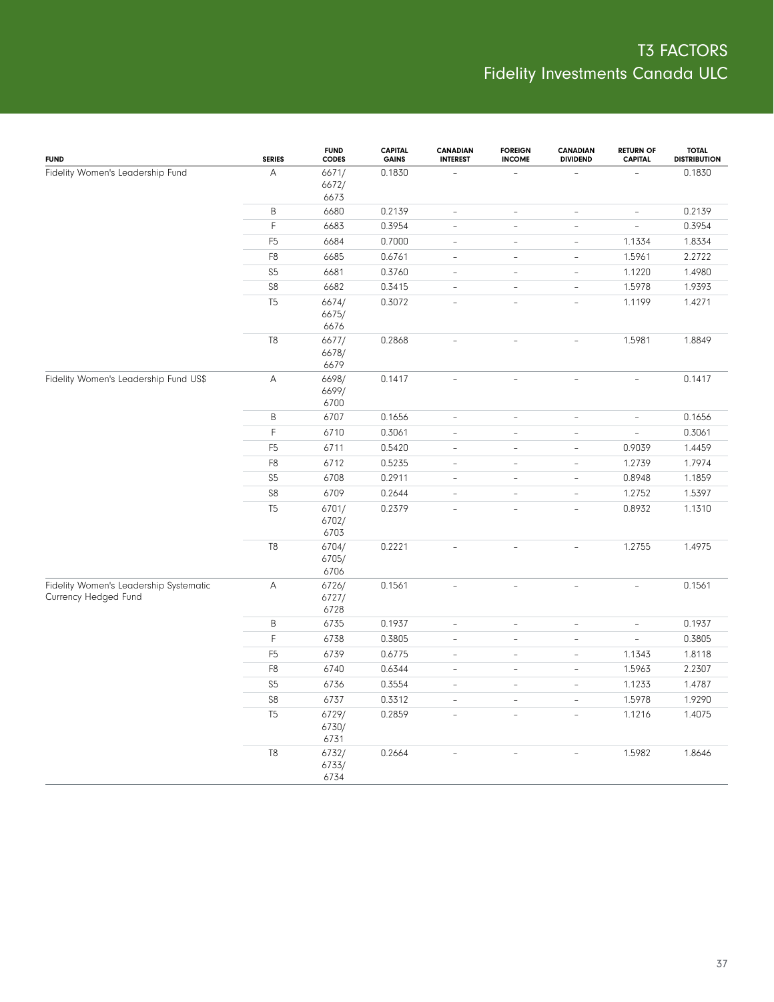| <b>FUND</b>                                                    | <b>SERIES</b>  | <b>FUND</b><br>CODES   | <b>CAPITAL</b><br><b>GAINS</b> | <b>CANADIAN</b><br><b>INTEREST</b> | <b>FOREIGN</b><br><b>INCOME</b> | <b>CANADIAN</b><br><b>DIVIDEND</b> | <b>RETURN OF</b><br><b>CAPITAL</b> | <b>TOTAL</b><br><b>DISTRIBUTION</b> |
|----------------------------------------------------------------|----------------|------------------------|--------------------------------|------------------------------------|---------------------------------|------------------------------------|------------------------------------|-------------------------------------|
| Fidelity Women's Leadership Fund                               | $\overline{A}$ | 6671/<br>6672/<br>6673 | 0.1830                         |                                    |                                 |                                    |                                    | 0.1830                              |
|                                                                | B              | 6680                   | 0.2139                         | $\frac{1}{2}$                      | ÷,                              | $\overline{\phantom{a}}$           | $\overline{\phantom{a}}$           | 0.2139                              |
|                                                                | F              | 6683                   | 0.3954                         | $\overline{\phantom{a}}$           | $\overline{\phantom{a}}$        | $\overline{\phantom{a}}$           | $\overline{\phantom{a}}$           | 0.3954                              |
|                                                                | F <sub>5</sub> | 6684                   | 0.7000                         | $\frac{1}{2}$                      | $\overline{\phantom{a}}$        | $\overline{\phantom{a}}$           | 1.1334                             | 1.8334                              |
|                                                                | F8             | 6685                   | 0.6761                         | $\frac{1}{2}$                      | $\overline{\phantom{a}}$        | $\overline{\phantom{a}}$           | 1.5961                             | 2.2722                              |
|                                                                | S <sub>5</sub> | 6681                   | 0.3760                         | $\frac{1}{2}$                      | ÷,                              | $\overline{\phantom{a}}$           | 1.1220                             | 1.4980                              |
|                                                                | ${\sf S8}$     | 6682                   | 0.3415                         | $\overline{\phantom{0}}$           | $\overline{\phantom{a}}$        | $\bar{ }$                          | 1.5978                             | 1.9393                              |
|                                                                | T <sub>5</sub> | 6674/<br>6675/<br>6676 | 0.3072                         | $\overline{a}$                     | $\overline{a}$                  | L.                                 | 1.1199                             | 1.4271                              |
|                                                                | T8             | 6677/<br>6678/<br>6679 | 0.2868                         | $\bar{a}$                          | $\overline{a}$                  | L,                                 | 1.5981                             | 1.8849                              |
| Fidelity Women's Leadership Fund US\$                          | А              | 6698/<br>6699/<br>6700 | 0.1417                         | $\overline{a}$                     | $\overline{\phantom{a}}$        | $\equiv$                           | $\equiv$                           | 0.1417                              |
|                                                                | $\sf B$        | 6707                   | 0.1656                         | $\frac{1}{2}$                      | ÷,                              | $\overline{\phantom{a}}$           | $\overline{\phantom{a}}$           | 0.1656                              |
|                                                                | $\mathsf F$    | 6710                   | 0.3061                         | $\frac{1}{2}$                      | $\overline{\phantom{a}}$        | $\overline{\phantom{a}}$           | $\overline{\phantom{a}}$           | 0.3061                              |
|                                                                | F <sub>5</sub> | 6711                   | 0.5420                         | $\frac{1}{2}$                      | $\overline{\phantom{a}}$        | $\overline{\phantom{a}}$           | 0.9039                             | 1.4459                              |
|                                                                | F8             | 6712                   | 0.5235                         | $\overline{\phantom{a}}$           | $\overline{\phantom{a}}$        | $\overline{\phantom{0}}$           | 1.2739                             | 1.7974                              |
|                                                                | S <sub>5</sub> | 6708                   | 0.2911                         | $\overline{\phantom{a}}$           | $\overline{\phantom{a}}$        | $\overline{\phantom{a}}$           | 0.8948                             | 1.1859                              |
|                                                                | ${\sf S8}$     | 6709                   | 0.2644                         | $\frac{1}{2}$                      | $\overline{\phantom{a}}$        | $\sim$                             | 1.2752                             | 1.5397                              |
|                                                                | T <sub>5</sub> | 6701/<br>6702/<br>6703 | 0.2379                         | $\overline{a}$                     | $\equiv$                        | ÷.                                 | 0.8932                             | 1.1310                              |
|                                                                | T <sub>8</sub> | 6704/<br>6705/<br>6706 | 0.2221                         | $\overline{\phantom{0}}$           | $\overline{a}$                  | $\overline{a}$                     | 1.2755                             | 1.4975                              |
| Fidelity Women's Leadership Systematic<br>Currency Hedged Fund | A              | 6726/<br>6727/<br>6728 | 0.1561                         | $\overline{a}$                     | $\overline{\phantom{a}}$        | $\overline{\phantom{a}}$           | $\overline{\phantom{a}}$           | 0.1561                              |
|                                                                | $\sf B$        | 6735                   | 0.1937                         | $\frac{1}{2}$                      | ÷,                              | $\overline{\phantom{a}}$           | $\overline{\phantom{a}}$           | 0.1937                              |
|                                                                | $\mathsf F$    | 6738                   | 0.3805                         | $\frac{1}{2}$                      | $\equiv$                        | $\overline{\phantom{a}}$           | $\overline{\phantom{a}}$           | 0.3805                              |
|                                                                | F <sub>5</sub> | 6739                   | 0.6775                         | $\overline{\phantom{0}}$           | $\overline{\phantom{a}}$        | $\overline{\phantom{0}}$           | 1.1343                             | 1.8118                              |
|                                                                | F8             | 6740                   | 0.6344                         | $\frac{1}{2}$                      | $\overline{\phantom{a}}$        | $\overline{\phantom{0}}$           | 1.5963                             | 2.2307                              |
|                                                                | S <sub>5</sub> | 6736                   | 0.3554                         | $\frac{1}{2}$                      | $\overline{\phantom{a}}$        | $\overline{\phantom{a}}$           | 1.1233                             | 1.4787                              |
|                                                                | ${\sf S8}$     | 6737                   | 0.3312                         | $\frac{1}{2}$                      | $\overline{\phantom{a}}$        | $\overline{\phantom{a}}$           | 1.5978                             | 1.9290                              |
|                                                                | T <sub>5</sub> | 6729/<br>6730/<br>6731 | 0.2859                         | $\overline{\phantom{0}}$           | $\overline{a}$                  | $\qquad \qquad -$                  | 1.1216                             | 1.4075                              |
|                                                                | T8             | 6732/<br>6733/<br>6734 | 0.2664                         | $\overline{\phantom{0}}$           | $\overline{a}$                  | $\equiv$                           | 1.5982                             | 1.8646                              |